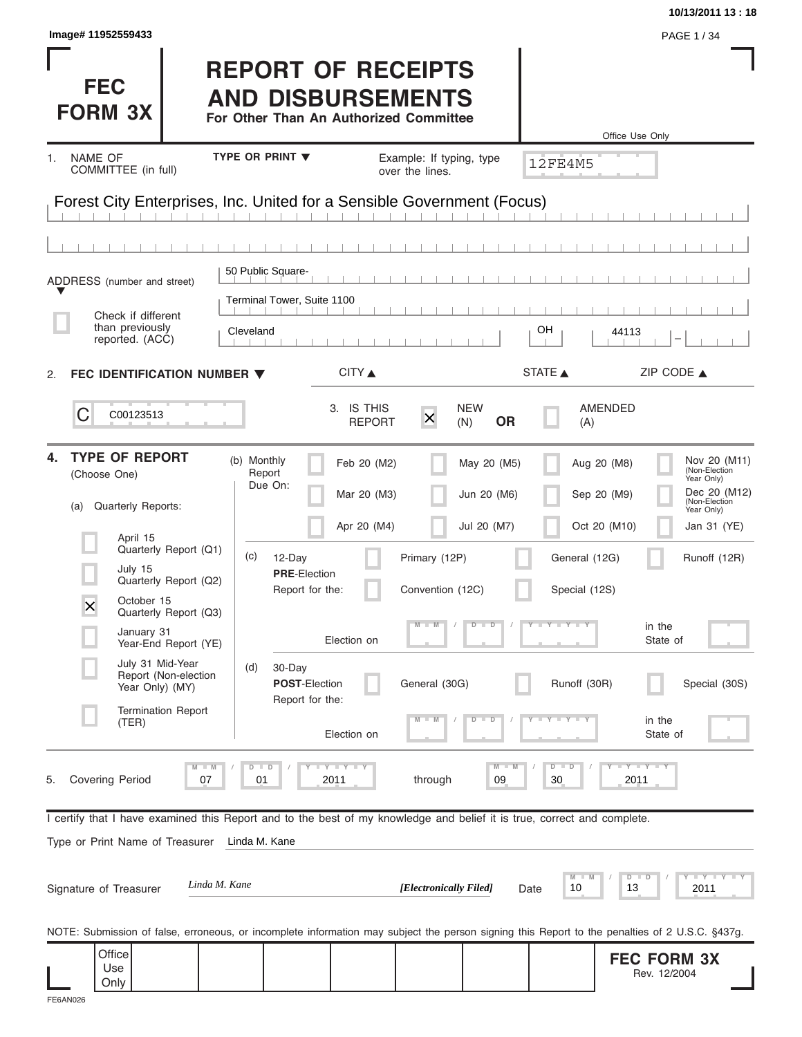| Image# 11952559433                                                                                                                                                      |                                                                                                 |                                                                                        |                                            | 10/13/2011 13:18<br>PAGE 1/34                                                                             |
|-------------------------------------------------------------------------------------------------------------------------------------------------------------------------|-------------------------------------------------------------------------------------------------|----------------------------------------------------------------------------------------|--------------------------------------------|-----------------------------------------------------------------------------------------------------------|
| <b>FEC</b><br><b>FORM 3X</b>                                                                                                                                            | <b>REPORT OF RECEIPTS</b><br><b>AND DISBURSEMENTS</b><br>For Other Than An Authorized Committee |                                                                                        |                                            | Office Use Only                                                                                           |
| <b>NAME OF</b><br>1.<br>COMMITTEE (in full)                                                                                                                             | TYPE OR PRINT V                                                                                 | Example: If typing, type<br>over the lines.                                            | <b>12FE4M5</b>                             |                                                                                                           |
| Forest City Enterprises, Inc. United for a Sensible Government (Focus)                                                                                                  |                                                                                                 |                                                                                        |                                            |                                                                                                           |
| ADDRESS (number and street)                                                                                                                                             | 50 Public Square-                                                                               |                                                                                        |                                            |                                                                                                           |
| Check if different<br>than previously<br>reported. (ACC)                                                                                                                | Terminal Tower, Suite 1100<br>Cleveland                                                         |                                                                                        | OН<br>44113                                |                                                                                                           |
| FEC IDENTIFICATION NUMBER $\blacktriangledown$<br>2.                                                                                                                    | CITY                                                                                            |                                                                                        | STATE A                                    | ZIP CODE $\triangle$                                                                                      |
| C<br>C00123513                                                                                                                                                          |                                                                                                 | 3. IS THIS<br><b>NEW</b><br>$\times$<br><b>OR</b><br><b>REPORT</b><br>(N)              | AMENDED<br>(A)                             |                                                                                                           |
| <b>TYPE OF REPORT</b><br>4.<br>(Choose One)<br>Quarterly Reports:<br>(a)                                                                                                | (b) Monthly<br>Report<br>Due On:                                                                | Feb 20 (M2)<br>May 20 (M5)<br>Mar 20 (M3)<br>Jun 20 (M6)<br>Apr 20 (M4)<br>Jul 20 (M7) | Aug 20 (M8)<br>Sep 20 (M9)<br>Oct 20 (M10) | Nov 20 (M11)<br>(Non-Election<br>Year Only)<br>Dec 20 (M12)<br>(Non-Election<br>Year Only)<br>Jan 31 (YE) |
| April 15<br>Quarterly Report (Q1)<br>July 15<br>Quarterly Report (Q2)<br>October 15<br>$\overline{\mathsf{x}}$<br>Quarterly Report (Q3)                                 | (c)<br>12-Day<br><b>PRE-Election</b><br>Report for the:                                         | Primary (12P)<br>Convention (12C)                                                      | General (12G)<br>Special (12S)             | Runoff (12R)                                                                                              |
| January 31<br>Year-End Report (YE)<br>July 31 Mid-Year                                                                                                                  | Election on<br>(d)<br>30-Day                                                                    | $\overline{D}$<br>$\Box$                                                               | Y Y Y Y J                                  | in the<br>State of                                                                                        |
| Report (Non-election<br>Year Only) (MY)<br><b>Termination Report</b><br>(TER)                                                                                           | POST-Election<br>Report for the:                                                                | General (30G)<br>ъ<br>$\overline{\phantom{a}}$                                         | Runoff (30R)                               | Special (30S)<br>in the                                                                                   |
| $\blacksquare$<br>M<br><b>Covering Period</b><br>07<br>5.                                                                                                               | Election on<br>$D$ $D$<br>$T - Y = T - Y$<br>01<br>2011                                         | M<br>through<br>09                                                                     | $D - D$<br>30                              | State of<br>$-Y - Y - Y$<br>2011                                                                          |
| I certify that I have examined this Report and to the best of my knowledge and belief it is true, correct and complete.<br>Type or Print Name of Treasurer              | Linda M. Kane                                                                                   |                                                                                        |                                            |                                                                                                           |
| Linda M. Kane<br>Signature of Treasurer                                                                                                                                 |                                                                                                 | [Electronically Filed]                                                                 | M<br>10<br>13<br>Date                      | $\bot$ $\gamma$ $\bot$ $\gamma$ $\bot$ $\gamma$<br>$D$ $D$<br>2011                                        |
| NOTE: Submission of false, erroneous, or incomplete information may subject the person signing this Report to the penalties of 2 U.S.C. §437g.<br>Office<br>Use<br>Only |                                                                                                 |                                                                                        |                                            | <b>FEC FORM 3X</b><br>Rev. 12/2004                                                                        |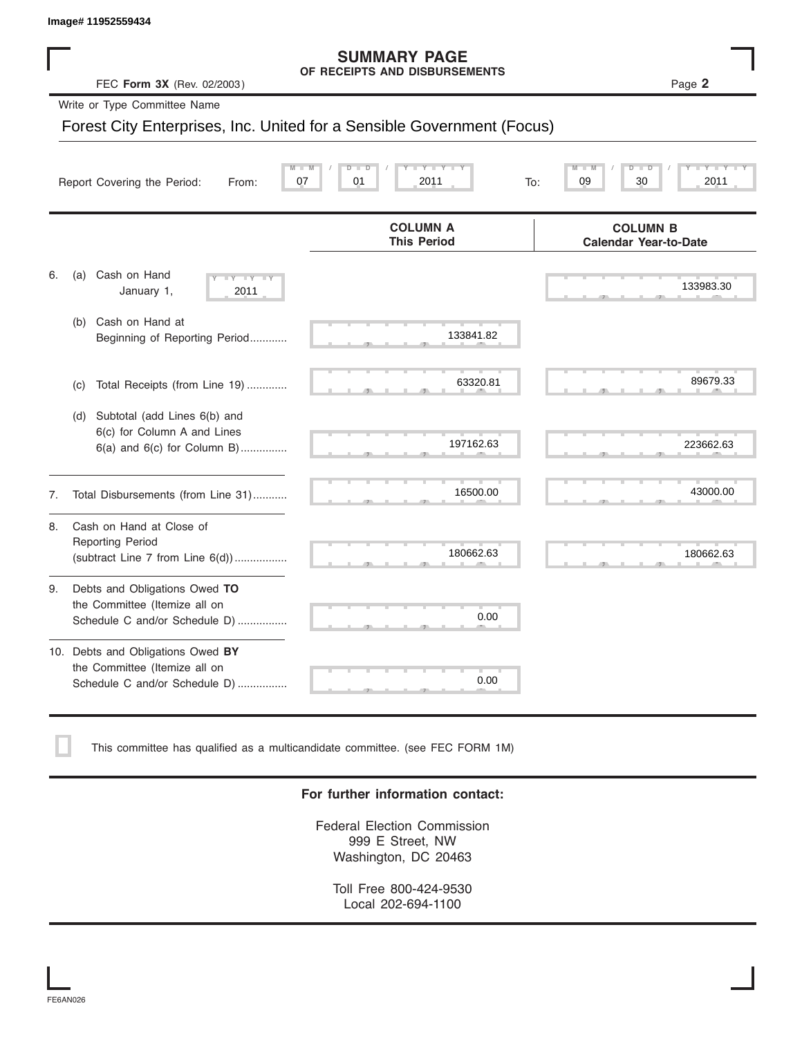#### **SUMMARY PAGE OF RECEIPTS AND DISBURSEMENTS**

|    | Image# 11952559434                                                                                    |                                                                        |                                                 |
|----|-------------------------------------------------------------------------------------------------------|------------------------------------------------------------------------|-------------------------------------------------|
|    | FEC Form 3X (Rev. 02/2003)                                                                            | <b>SUMMARY PAGE</b><br>OF RECEIPTS AND DISBURSEMENTS                   | Page 2                                          |
|    | Write or Type Committee Name                                                                          |                                                                        |                                                 |
|    |                                                                                                       | Forest City Enterprises, Inc. United for a Sensible Government (Focus) |                                                 |
|    | Report Covering the Period:<br>From:                                                                  | 07<br>01<br>2011<br>To:                                                | 30<br>09<br>2011                                |
|    |                                                                                                       | <b>COLUMN A</b><br><b>This Period</b>                                  | <b>COLUMN B</b><br><b>Calendar Year-to-Date</b> |
| 6. | Cash on Hand<br>(a)<br>$-\gamma$<br>January 1,<br>2011                                                |                                                                        | 133983.30                                       |
|    | Cash on Hand at<br>(b)<br>Beginning of Reporting Period                                               | 133841.82                                                              |                                                 |
|    | Total Receipts (from Line 19)<br>(c)                                                                  | 63320.81                                                               | 89679.33                                        |
|    | Subtotal (add Lines 6(b) and<br>(d)<br>6(c) for Column A and Lines<br>$6(a)$ and $6(c)$ for Column B) | 197162.63                                                              | 223662.63                                       |
| 7. | Total Disbursements (from Line 31)                                                                    | 16500.00                                                               | 43000.00                                        |
| 8. | Cash on Hand at Close of<br><b>Reporting Period</b><br>(subtract Line $7$ from Line $6(d)$ )          | 180662.63                                                              | 180662.63                                       |
| 9. | Debts and Obligations Owed TO<br>the Committee (Itemize all on<br>Schedule C and/or Schedule D)       | 0.00                                                                   |                                                 |
|    | 10. Debts and Obligations Owed BY<br>the Committee (Itemize all on<br>Schedule C and/or Schedule D)   | 0.00                                                                   |                                                 |

This committee has qualified as a multicandidate committee. (see FEC FORM 1M)

#### **For further information contact:**

Federal Election Commission 999 E Street, NW Washington, DC 20463

Toll Free 800-424-9530 Local 202-694-1100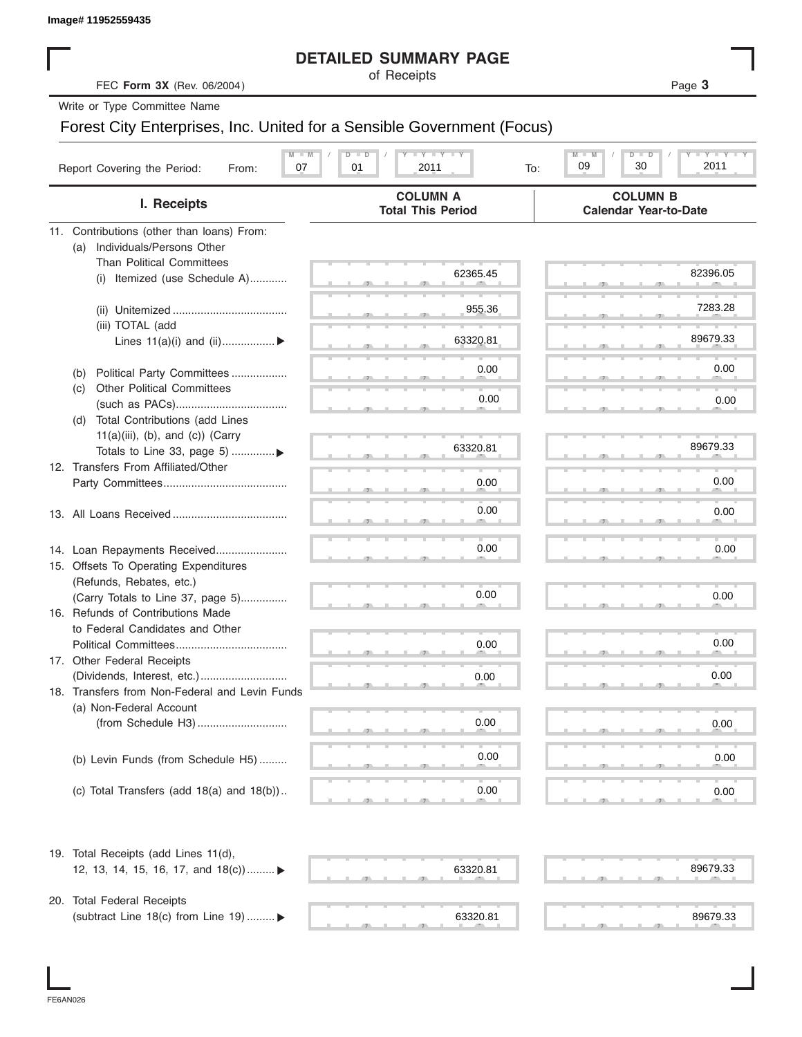|  | Image# 11952559435 |  |
|--|--------------------|--|
|--|--------------------|--|

#### **DETAILED SUMMARY PAGE**

|                                                                        |               | <b>DETAILED SUMMARY PAGE</b>                |     |                                                 |                 |
|------------------------------------------------------------------------|---------------|---------------------------------------------|-----|-------------------------------------------------|-----------------|
| FEC Form 3X (Rev. 06/2004)                                             |               | of Receipts                                 |     |                                                 | Page 3          |
| Write or Type Committee Name                                           |               |                                             |     |                                                 |                 |
| Forest City Enterprises, Inc. United for a Sensible Government (Focus) |               |                                             |     |                                                 |                 |
|                                                                        |               |                                             |     |                                                 |                 |
| Report Covering the Period:<br>07<br>From:                             | $D$ $D$<br>01 | <b>LY LY LY</b><br>2011                     | To: | $M - M$<br>D<br>ъ<br>30<br>09                   | Y I Y I<br>2011 |
| I. Receipts                                                            |               | <b>COLUMN A</b><br><b>Total This Period</b> |     | <b>COLUMN B</b><br><b>Calendar Year-to-Date</b> |                 |
| 11. Contributions (other than loans) From:                             |               |                                             |     |                                                 |                 |
| Individuals/Persons Other<br>(a)                                       |               |                                             |     |                                                 |                 |
| <b>Than Political Committees</b>                                       |               |                                             |     |                                                 | 82396.05        |
| (i) Itemized (use Schedule A)                                          |               | 62365.45                                    |     |                                                 |                 |
|                                                                        |               |                                             |     |                                                 |                 |
|                                                                        |               | 955.36                                      |     |                                                 | 7283.28         |
| (iii) TOTAL (add                                                       |               | 63320.81                                    |     |                                                 | 89679.33        |
| Lines $11(a)(i)$ and $(ii)$                                            |               |                                             |     |                                                 |                 |
| Political Party Committees<br>(b)                                      |               | 0.00                                        |     |                                                 | 0.00            |
| <b>Other Political Committees</b><br>(C)                               |               |                                             |     |                                                 |                 |
|                                                                        |               | 0.00                                        |     |                                                 | 0.00            |
| Total Contributions (add Lines<br>(d)                                  |               |                                             |     |                                                 |                 |
| $11(a)(iii)$ , (b), and (c)) (Carry                                    |               |                                             |     |                                                 |                 |
| Totals to Line 33, page 5) ▶                                           |               | 63320.81                                    |     |                                                 | 89679.33        |
| 12. Transfers From Affiliated/Other                                    |               |                                             |     |                                                 |                 |
|                                                                        |               | 0.00                                        |     |                                                 | 0.00            |
|                                                                        |               |                                             |     |                                                 |                 |
|                                                                        |               | 0.00                                        |     |                                                 | 0.00            |
|                                                                        |               |                                             |     |                                                 |                 |
| 14. Loan Repayments Received                                           |               | 0.00                                        |     |                                                 | 0.00            |
| 15. Offsets To Operating Expenditures                                  |               |                                             |     |                                                 |                 |
| (Refunds, Rebates, etc.)                                               |               |                                             |     |                                                 |                 |
| (Carry Totals to Line 37, page 5)                                      |               | 0.00                                        |     |                                                 | 0.00            |
| 16. Refunds of Contributions Made                                      |               |                                             |     |                                                 |                 |
| to Federal Candidates and Other<br>Political Committees                |               | 0.00                                        |     |                                                 | 0.00            |
| 17. Other Federal Receipts                                             |               |                                             |     |                                                 |                 |
|                                                                        |               | 0.00                                        |     |                                                 | 0.00            |
| 18. Transfers from Non-Federal and Levin Funds                         |               |                                             |     |                                                 |                 |
| (a) Non-Federal Account                                                |               |                                             |     |                                                 |                 |
|                                                                        |               | 0.00                                        |     |                                                 | 0.00            |
|                                                                        |               |                                             |     |                                                 |                 |
| (b) Levin Funds (from Schedule H5)                                     |               | 0.00                                        |     |                                                 | 0.00            |
|                                                                        |               |                                             |     |                                                 |                 |
| (c) Total Transfers (add $18(a)$ and $18(b)$ )                         |               | 0.00                                        |     |                                                 | 0.00            |
|                                                                        |               |                                             |     |                                                 |                 |
| 19. Total Receipts (add Lines 11(d),                                   |               |                                             |     |                                                 |                 |
| 12, 13, 14, 15, 16, 17, and $18(c)$                                    |               | 63320.81                                    |     |                                                 | 89679.33        |
|                                                                        |               |                                             |     |                                                 |                 |
| 20. Total Federal Receipts                                             |               |                                             |     |                                                 |                 |
| (subtract Line 18(c) from Line 19)  ▶                                  |               | 63320.81                                    |     |                                                 | 89679.33        |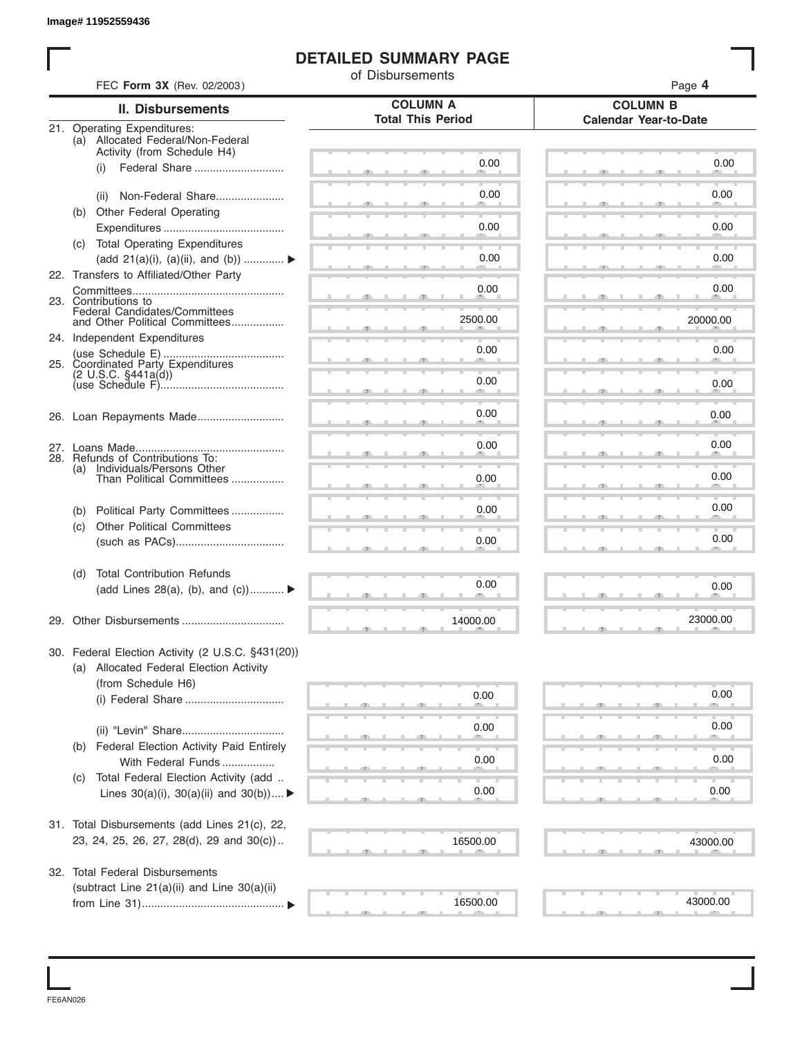#### **DETAILED SUMMARY PAGE**

|     | FEC Form 3X (Rev. 02/2003)                                       | of Disbursements         | Page 4                       |
|-----|------------------------------------------------------------------|--------------------------|------------------------------|
|     | <b>II. Disbursements</b>                                         | <b>COLUMN A</b>          | <b>COLUMN B</b>              |
|     | 21. Operating Expenditures:                                      | <b>Total This Period</b> | <b>Calendar Year-to-Date</b> |
|     | (a) Allocated Federal/Non-Federal<br>Activity (from Schedule H4) |                          |                              |
|     | Federal Share<br>(i)                                             | 0.00                     | 0.00                         |
|     |                                                                  |                          |                              |
|     | Non-Federal Share<br>(ii)                                        | 0.00                     | 0.00                         |
|     | (b) Other Federal Operating                                      |                          |                              |
|     | (c) Total Operating Expenditures                                 | 0.00                     | 0.00                         |
|     | (add 21(a)(i), (a)(ii), and (b))                                 | 0.00                     | 0.00                         |
|     | 22. Transfers to Affiliated/Other Party                          |                          |                              |
|     | 23. Contributions to                                             | 0.00                     | 0.00                         |
|     | Federal Candidates/Committees                                    | 2500.00                  |                              |
|     | and Other Political Committees                                   |                          | 20000.00                     |
|     | 24. Independent Expenditures                                     | 0.00                     | 0.00                         |
|     | 25. Coordinated Party Expenditures<br>$(2 \cup S.C. \S441a(d))$  |                          |                              |
|     |                                                                  | 0.00                     | 0.00                         |
|     |                                                                  |                          |                              |
|     |                                                                  | 0.00                     | 0.00                         |
|     |                                                                  | 0.00                     | 0.00                         |
|     | 28. Refunds of Contributions To:                                 |                          |                              |
| (a) | Individuals/Persons Other<br>Than Political Committees           | 0.00                     | 0.00                         |
|     |                                                                  |                          |                              |
| (b) | Political Party Committees                                       | 0.00                     | 0.00                         |
| (c) | <b>Other Political Committees</b>                                | 0.00                     | 0.00                         |
|     |                                                                  |                          |                              |
| (d) | <b>Total Contribution Refunds</b>                                |                          |                              |
|     | (add Lines 28(a), (b), and (c))                                  | 0.00                     | 0.00                         |
|     |                                                                  |                          |                              |
|     |                                                                  | 14000.00                 | 23000.00                     |
|     | 30. Federal Election Activity (2 U.S.C. §431(20))                |                          |                              |
|     | (a) Allocated Federal Election Activity                          |                          |                              |
|     | (from Schedule H6)                                               |                          |                              |
|     |                                                                  | 0.00                     | 0.00                         |
|     |                                                                  | 0.00                     | 0.00                         |
| (b) | Federal Election Activity Paid Entirely                          |                          |                              |
|     | With Federal Funds                                               | 0.00                     | 0.00                         |
| (C) | Total Federal Election Activity (add                             |                          |                              |
|     | Lines $30(a)(i)$ , $30(a)(ii)$ and $30(b))$                      | 0.00                     | 0.00                         |
|     |                                                                  |                          |                              |
|     | 31. Total Disbursements (add Lines 21(c), 22,                    |                          |                              |
|     | 23, 24, 25, 26, 27, 28(d), 29 and 30(c))                         | 16500.00                 | 43000.00                     |
|     | 32. Total Federal Disbursements                                  |                          |                              |
|     | (subtract Line 21(a)(ii) and Line 30(a)(ii)                      |                          |                              |
|     |                                                                  | 16500.00                 | 43000.00                     |

FE6AN026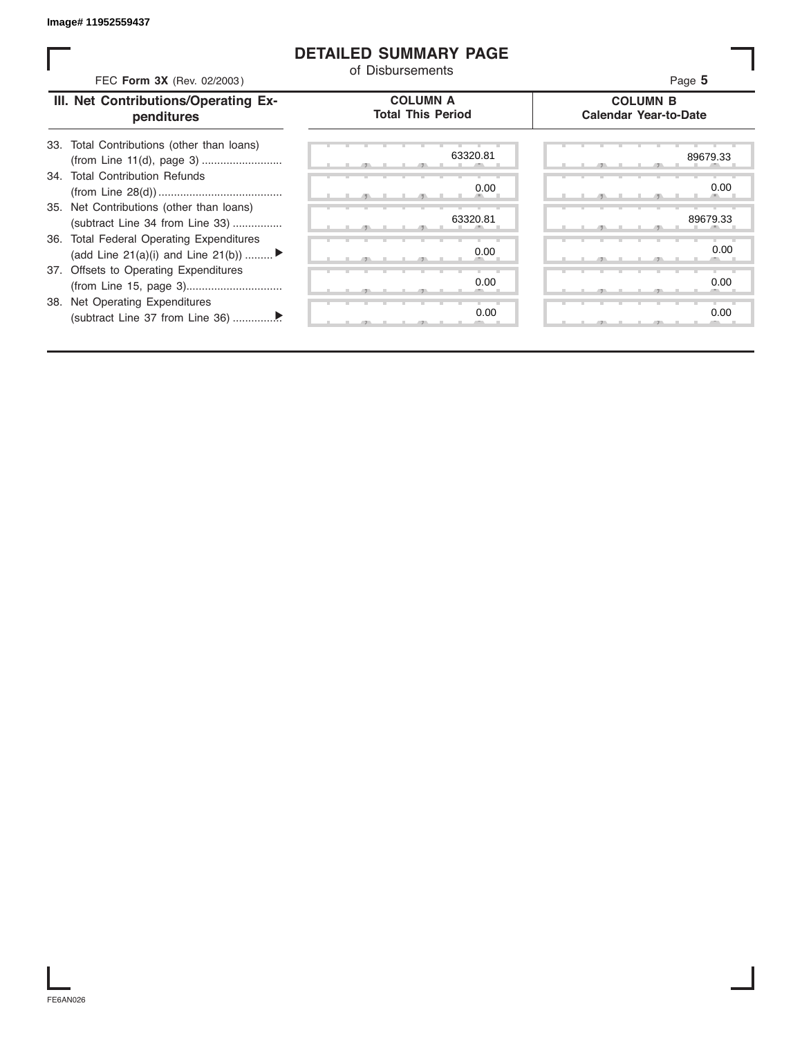#### **DETAILED SUMMARY PAGE**

| FEC Form 3X (Rev. 02/2003)                                                               | of Disbursements                            | Page 5                                          |
|------------------------------------------------------------------------------------------|---------------------------------------------|-------------------------------------------------|
| III. Net Contributions/Operating Ex-<br>penditures                                       | <b>COLUMN A</b><br><b>Total This Period</b> | <b>COLUMN B</b><br><b>Calendar Year-to-Date</b> |
| Total Contributions (other than loans)<br>33.                                            | 63320.81                                    | 89679.33                                        |
| 34. Total Contribution Refunds                                                           | 0.00                                        | 0.00                                            |
| 35. Net Contributions (other than loans)<br>(subtract Line 34 from Line 33)              | 63320.81                                    | 89679.33                                        |
| <b>Total Federal Operating Expenditures</b><br>36.<br>(add Line 21(a)(i) and Line 21(b)) | 0.00                                        | 0.00                                            |
| 37. Offsets to Operating Expenditures                                                    | 0.00                                        | 0.00                                            |
| 38. Net Operating Expenditures                                                           | 0.00                                        | 0.00                                            |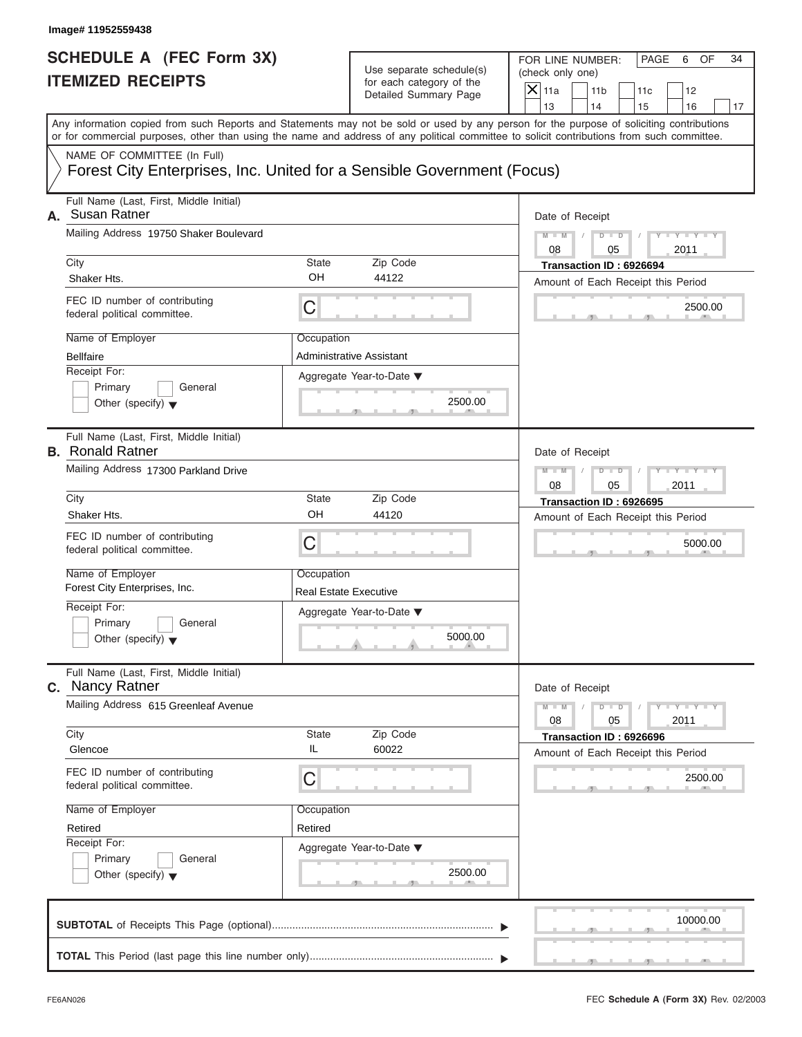FOR LINE NUMBER: PAGE 6 OF<br>(check only one)

| SCHEDULE A (FEC Form 3X)<br><b>ITEMIZED RECEIPTS</b>                                                                                                                                                                                                                                                                                                                                             | Use separate schedule(s)<br>for each category of the<br>Detailed Summary Page                      | FOR LINE NUMBER:<br>PAGE<br>6<br>OF<br>34<br>(check only one)<br>$X$ 11a<br>11 <sub>b</sub><br>12<br>11c<br>13<br>14                                       |
|--------------------------------------------------------------------------------------------------------------------------------------------------------------------------------------------------------------------------------------------------------------------------------------------------------------------------------------------------------------------------------------------------|----------------------------------------------------------------------------------------------------|------------------------------------------------------------------------------------------------------------------------------------------------------------|
| Any information copied from such Reports and Statements may not be sold or used by any person for the purpose of soliciting contributions<br>or for commercial purposes, other than using the name and address of any political committee to solicit contributions from such committee.<br>NAME OF COMMITTEE (In Full)<br>Forest City Enterprises, Inc. United for a Sensible Government (Focus) |                                                                                                    | 15<br>16<br>17                                                                                                                                             |
| Full Name (Last, First, Middle Initial)<br>Susan Ratner<br>А.<br>Mailing Address 19750 Shaker Boulevard<br>City<br><b>State</b><br>OH<br>Shaker Hts.<br>FEC ID number of contributing<br>C<br>federal political committee.<br>Name of Employer<br>Occupation<br><b>Bellfaire</b><br>Receipt For:<br>Primary<br>General<br>Other (specify) $\blacktriangledown$                                   | Zip Code<br>44122<br>Administrative Assistant<br>Aggregate Year-to-Date ▼<br>2500.00               | Date of Receipt<br>$D$ $D$<br>Y I Y I<br>$M - M$<br>08<br>2011<br>05<br>Transaction ID: 6926694<br>Amount of Each Receipt this Period<br>2500.00           |
| Full Name (Last, First, Middle Initial)<br><b>B.</b> Ronald Ratner<br>Mailing Address 17300 Parkland Drive<br>City<br><b>State</b><br>OH<br>Shaker Hts.<br>FEC ID number of contributing<br>C<br>federal political committee.<br>Name of Employer<br>Occupation<br>Forest City Enterprises, Inc.<br>Receipt For:<br>Primary<br>General<br>Other (specify) $\blacktriangledown$                   | Zip Code<br>44120<br><b>Real Estate Executive</b><br>Aggregate Year-to-Date ▼<br>5000.00<br>and in | Date of Receipt<br>$M - M$<br>$D - D$<br>2011<br>08<br>05<br>Transaction ID: 6926695<br>Amount of Each Receipt this Period<br>5000.00                      |
| Full Name (Last, First, Middle Initial)<br>Nancy Ratner<br>С.<br>Mailing Address 615 Greenleaf Avenue<br>City<br><b>State</b><br>IL<br>Glencoe<br>FEC ID number of contributing<br>$\mathsf C$<br>federal political committee.<br>Name of Employer<br>Occupation<br>Retired<br>Retired<br>Receipt For:<br>Primary<br>General<br>Other (specify) $\blacktriangledown$                             | Zip Code<br>60022<br>Aggregate Year-to-Date ▼<br>2500.00                                           | Date of Receipt<br>$M - M$<br>$T - Y = Y - T Y$<br>$D$ $D$<br>08<br>05<br>2011<br>Transaction ID: 6926696<br>Amount of Each Receipt this Period<br>2500.00 |
|                                                                                                                                                                                                                                                                                                                                                                                                  |                                                                                                    | 10000.00                                                                                                                                                   |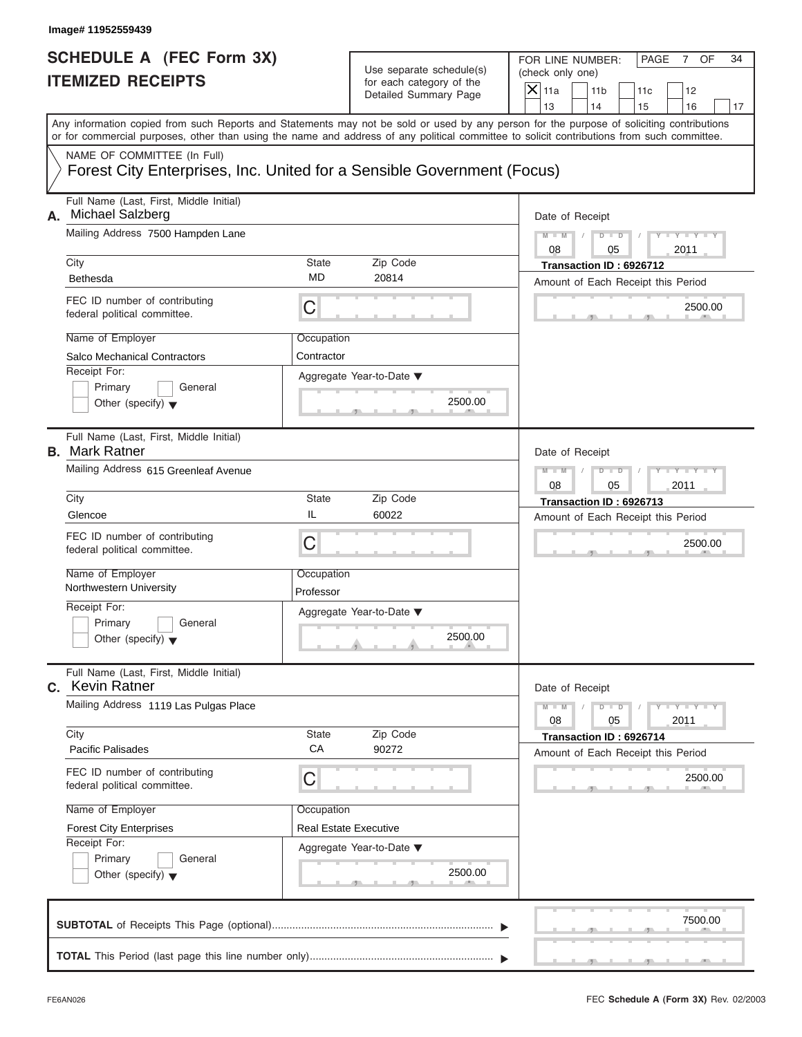| SCHEDULE A (FEC Form 3X)<br><b>ITEMIZED RECEIPTS</b>                                                                                                                                                                                                                                                                                                                                             | Use separate schedule(s)<br>for each category of the<br>Detailed Summary Page                                                | FOR LINE NUMBER:<br>PAGE<br>OF<br>34<br>7<br>(check only one)<br>$\mathsf{X}$ 11a<br>11 <sub>b</sub><br>12<br>11c                                                                                         |
|--------------------------------------------------------------------------------------------------------------------------------------------------------------------------------------------------------------------------------------------------------------------------------------------------------------------------------------------------------------------------------------------------|------------------------------------------------------------------------------------------------------------------------------|-----------------------------------------------------------------------------------------------------------------------------------------------------------------------------------------------------------|
| Any information copied from such Reports and Statements may not be sold or used by any person for the purpose of soliciting contributions<br>or for commercial purposes, other than using the name and address of any political committee to solicit contributions from such committee.<br>NAME OF COMMITTEE (In Full)<br>Forest City Enterprises, Inc. United for a Sensible Government (Focus) |                                                                                                                              | 13<br>14<br>15<br>16<br>17                                                                                                                                                                                |
| Full Name (Last, First, Middle Initial)<br><b>Michael Salzberg</b><br>А.<br>Mailing Address 7500 Hampden Lane<br>City<br>Bethesda<br>FEC ID number of contributing<br>C<br>federal political committee.<br>Name of Employer<br><b>Salco Mechanical Contractors</b><br>Receipt For:<br>Primary<br>General<br>Other (specify) $\blacktriangledown$                                                 | <b>State</b><br>Zip Code<br>MD<br>20814<br>Occupation<br>Contractor<br>Aggregate Year-to-Date ▼<br>2500.00                   | Date of Receipt<br>$M - M$<br>$D$ $\Box$ $D$<br>08<br>05<br>2011<br>Transaction ID: 6926712<br>Amount of Each Receipt this Period<br>2500.00                                                              |
| Full Name (Last, First, Middle Initial)<br><b>B.</b> Mark Ratner<br>Mailing Address 615 Greenleaf Avenue<br>City<br>IL<br>Glencoe<br>FEC ID number of contributing<br>C<br>federal political committee.<br>Name of Employer<br>Northwestern University<br>Receipt For:<br>Primary<br>General<br>Other (specify) $\blacktriangledown$                                                             | Zip Code<br>State<br>60022<br>Occupation<br>Professor<br>Aggregate Year-to-Date ▼<br>2500.00<br>A                            | Date of Receipt<br>$M - M$<br>$D$ $D$<br>05<br>2011<br>08<br>Transaction ID: 6926713<br>Amount of Each Receipt this Period<br>2500.00                                                                     |
| Full Name (Last, First, Middle Initial)<br><b>Kevin Ratner</b><br>С.<br>Mailing Address 1119 Las Pulgas Place<br>City<br><b>Pacific Palisades</b><br>FEC ID number of contributing<br>C<br>federal political committee.<br>Name of Employer<br><b>Forest City Enterprises</b><br>Receipt For:<br>Primary<br>General<br>Other (specify) $\blacktriangledown$                                      | Zip Code<br><b>State</b><br>СA<br>90272<br>Occupation<br><b>Real Estate Executive</b><br>Aggregate Year-to-Date ▼<br>2500.00 | Date of Receipt<br>$M - M$<br>$\mathbf{I} = \mathbf{Y} - \mathbf{I} - \mathbf{Y} - \mathbf{I}$<br>$D$ $D$<br>08<br>05<br>2011<br>Transaction ID: 6926714<br>Amount of Each Receipt this Period<br>2500.00 |
|                                                                                                                                                                                                                                                                                                                                                                                                  |                                                                                                                              | 7500.00                                                                                                                                                                                                   |

S S S , , .

FOR LINE NUMBER: PAGE 7 OF<br>(check only one)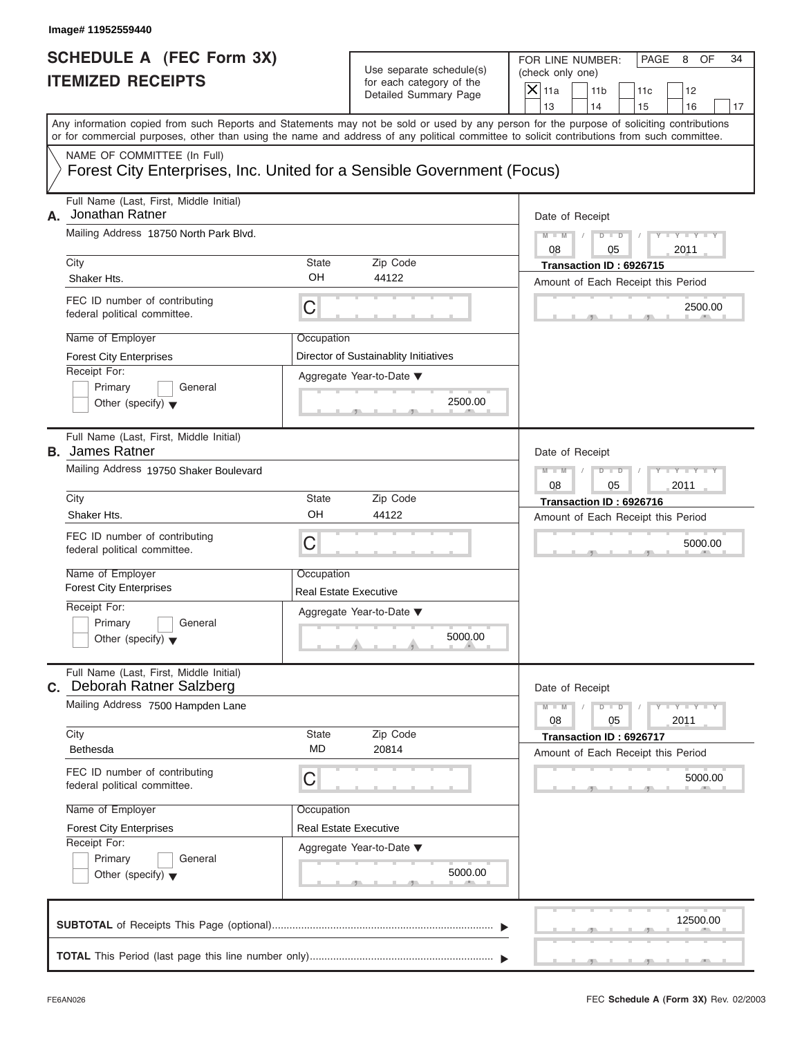| SCHEDULE A (FEC Form 3X)<br><b>ITEMIZED RECEIPTS</b>                                                                                                                                                                                                                                    |                                                                       | Use separate schedule(s)<br>for each category of the<br>Detailed Summary Page                          | FOR LINE NUMBER:<br>PAGE<br>OF<br>34<br>8<br>(check only one)<br>$\mathsf{X}$ 11a<br>11 <sub>b</sub><br>11c<br>12                                          |
|-----------------------------------------------------------------------------------------------------------------------------------------------------------------------------------------------------------------------------------------------------------------------------------------|-----------------------------------------------------------------------|--------------------------------------------------------------------------------------------------------|------------------------------------------------------------------------------------------------------------------------------------------------------------|
| Any information copied from such Reports and Statements may not be sold or used by any person for the purpose of soliciting contributions<br>or for commercial purposes, other than using the name and address of any political committee to solicit contributions from such committee. |                                                                       |                                                                                                        | 13<br>14<br>15<br>16<br>17                                                                                                                                 |
| NAME OF COMMITTEE (In Full)<br>Forest City Enterprises, Inc. United for a Sensible Government (Focus)                                                                                                                                                                                   |                                                                       |                                                                                                        |                                                                                                                                                            |
| Full Name (Last, First, Middle Initial)<br>Jonathan Ratner<br>А.<br>Mailing Address 18750 North Park Blvd.<br>City<br>Shaker Hts.<br>FEC ID number of contributing<br>federal political committee.                                                                                      | State<br>OH<br>C                                                      | Zip Code<br>44122                                                                                      | Date of Receipt<br>$M - M$ /<br>$D$ $D$<br>$Y = Y + Y + Y$<br>08<br>2011<br>05<br>Transaction ID: 6926715<br>Amount of Each Receipt this Period<br>2500.00 |
| Name of Employer<br><b>Forest City Enterprises</b><br>Receipt For:<br>Primary<br>General<br>Other (specify) $\blacktriangledown$                                                                                                                                                        | Occupation                                                            | Director of Sustainablity Initiatives<br>Aggregate Year-to-Date ▼<br>2500.00<br>$\overline{5}$<br>$-9$ |                                                                                                                                                            |
| Full Name (Last, First, Middle Initial)<br><b>B.</b> James Ratner<br>Mailing Address 19750 Shaker Boulevard<br>City<br>Shaker Hts.                                                                                                                                                      | State<br>OH                                                           | Zip Code<br>44122                                                                                      | Date of Receipt<br>$M - M$<br>$D - D$<br>$T - Y = T - T$<br>08<br>05<br>2011<br>Transaction ID: 6926716<br>Amount of Each Receipt this Period              |
| FEC ID number of contributing<br>federal political committee.<br>Name of Employer<br><b>Forest City Enterprises</b><br>Receipt For:<br>Primary<br>General<br>Other (specify) $\blacktriangledown$                                                                                       | C<br>Occupation<br><b>Real Estate Executive</b>                       | Aggregate Year-to-Date ▼<br>5000.00<br><b>State State</b>                                              | 5000.00                                                                                                                                                    |
| Full Name (Last, First, Middle Initial)<br>Deborah Ratner Salzberg<br>C.<br>Mailing Address 7500 Hampden Lane                                                                                                                                                                           |                                                                       |                                                                                                        | Date of Receipt<br>$M - M$<br>$D$ $D$<br>$T - Y = Y - T Y$<br>08<br>05<br>2011                                                                             |
| City<br>Bethesda<br>FEC ID number of contributing<br>federal political committee.<br>Name of Employer<br><b>Forest City Enterprises</b>                                                                                                                                                 | <b>State</b><br>MD<br>C<br>Occupation<br><b>Real Estate Executive</b> | Zip Code<br>20814                                                                                      | Transaction ID: 6926717<br>Amount of Each Receipt this Period<br>5000.00                                                                                   |
| Receipt For:<br>Primary<br>General<br>Other (specify) $\blacktriangledown$                                                                                                                                                                                                              |                                                                       | Aggregate Year-to-Date ▼<br>5000.00                                                                    |                                                                                                                                                            |
|                                                                                                                                                                                                                                                                                         |                                                                       |                                                                                                        | 12500.00                                                                                                                                                   |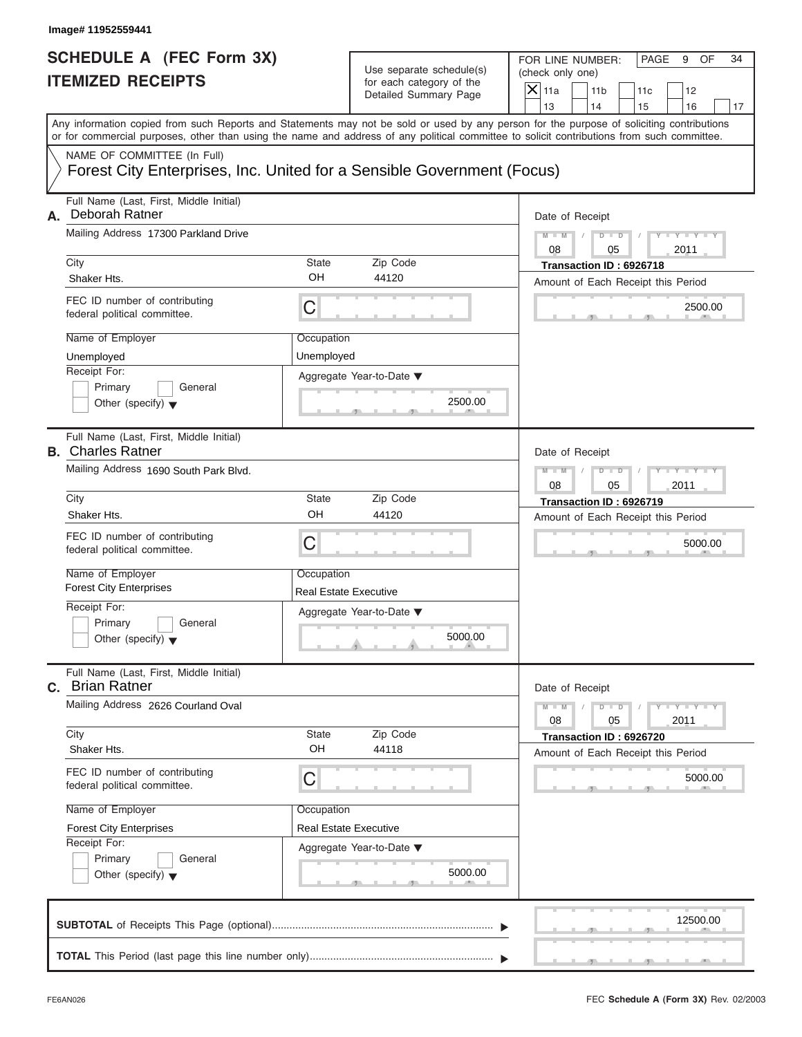FOR LINE NUMBER: PAGE 9 OF<br>(check only one)

| SCHEDULE A (FEC Form 3X)<br><b>ITEMIZED RECEIPTS</b>                                                                                                                                                                                                                                                                                                                                             | Use separate schedule(s)<br>for each category of the<br>Detailed Summary Page                      | FOR LINE NUMBER:<br>PAGE<br>9<br>OF<br>34<br>(check only one)<br>$X$ 11a<br>11 <sub>b</sub><br>11c<br>12<br>13<br>14<br>15<br>16<br>17                                                                    |
|--------------------------------------------------------------------------------------------------------------------------------------------------------------------------------------------------------------------------------------------------------------------------------------------------------------------------------------------------------------------------------------------------|----------------------------------------------------------------------------------------------------|-----------------------------------------------------------------------------------------------------------------------------------------------------------------------------------------------------------|
| Any information copied from such Reports and Statements may not be sold or used by any person for the purpose of soliciting contributions<br>or for commercial purposes, other than using the name and address of any political committee to solicit contributions from such committee.<br>NAME OF COMMITTEE (In Full)<br>Forest City Enterprises, Inc. United for a Sensible Government (Focus) |                                                                                                    |                                                                                                                                                                                                           |
| Full Name (Last, First, Middle Initial)<br>Deborah Ratner<br>А.<br>Mailing Address 17300 Parkland Drive<br>City<br>State<br>OH<br>Shaker Hts.<br>FEC ID number of contributing<br>С<br>federal political committee.<br>Name of Employer<br>Occupation<br>Unemployed<br>Unemployed<br>Receipt For:<br>Primary<br>General<br>Other (specify) $\blacktriangledown$                                  | Zip Code<br>44120<br>Aggregate Year-to-Date ▼<br>2500.00                                           | Date of Receipt<br>$Y = Y - I$<br>$M - M$<br>$D$ $D$<br>08<br>2011<br>05<br>Transaction ID: 6926718<br>Amount of Each Receipt this Period<br>2500.00                                                      |
| Full Name (Last, First, Middle Initial)<br><b>B.</b> Charles Ratner<br>Mailing Address 1690 South Park Blvd.<br>City<br><b>State</b><br>OH<br>Shaker Hts.<br>FEC ID number of contributing<br>C<br>federal political committee.<br>Name of Employer<br>Occupation<br><b>Forest City Enterprises</b><br>Receipt For:<br>Primary<br>General<br>Other (specify) $\blacktriangledown$                | Zip Code<br>44120<br><b>Real Estate Executive</b><br>Aggregate Year-to-Date ▼<br>5000.00<br>and in | Date of Receipt<br>$M - M$<br>$D - D$<br>$-Y$<br>08<br>2011<br>05<br>Transaction ID: 6926719<br>Amount of Each Receipt this Period<br>5000.00                                                             |
| Full Name (Last, First, Middle Initial)<br><b>Brian Ratner</b><br>С.<br>Mailing Address 2626 Courland Oval<br>City<br>State<br>OH<br>Shaker Hts.<br>FEC ID number of contributing<br>C<br>federal political committee.<br>Name of Employer<br>Occupation<br><b>Forest City Enterprises</b><br>Receipt For:<br>Primary<br>General<br>Other (specify) $\blacktriangledown$                         | Zip Code<br>44118<br><b>Real Estate Executive</b><br>Aggregate Year-to-Date ▼<br>5000.00           | Date of Receipt<br>$M - M$<br>$\mathbf{I} = \mathbf{Y} - \mathbf{I} - \mathbf{Y} - \mathbf{I}$<br>$D$ $D$<br>08<br>05<br>2011<br>Transaction ID: 6926720<br>Amount of Each Receipt this Period<br>5000.00 |
|                                                                                                                                                                                                                                                                                                                                                                                                  |                                                                                                    | 12500.00                                                                                                                                                                                                  |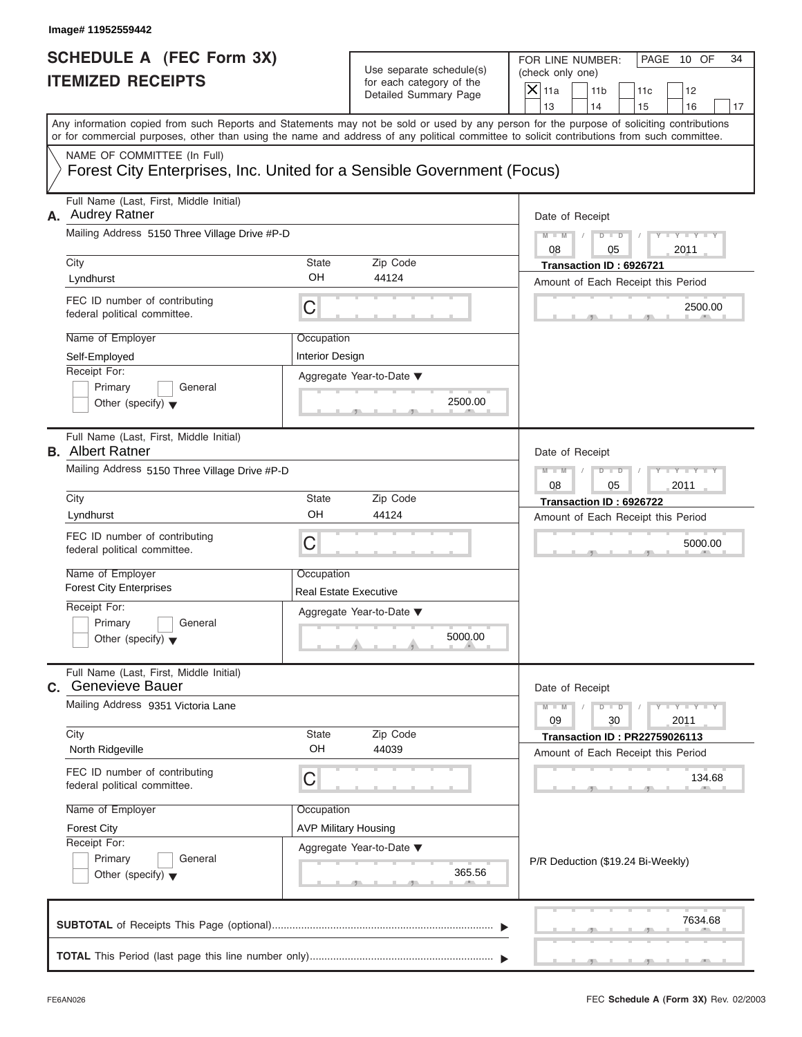| <b>ITEMIZED RECEIPTS</b><br>Any information copied from such Reports and Statements may not be sold or used by any person for the purpose of soliciting contributions<br>or for commercial purposes, other than using the name and address of any political committee to solicit contributions from such committee.<br>NAME OF COMMITTEE (In Full)<br>Forest City Enterprises, Inc. United for a Sensible Government (Focus)<br>Full Name (Last, First, Middle Initial)<br><b>Audrey Ratner</b><br>А.<br>Mailing Address 5150 Three Village Drive #P-D<br>Zip Code<br>City<br>State<br>OH<br>44124<br>Lyndhurst<br>FEC ID number of contributing<br>С<br>federal political committee.<br>Name of Employer<br>Occupation | Use separate schedule(s)<br>for each category of the<br>Detailed Summary Page | (check only one)<br>$X$ 11a<br>11 <sub>b</sub><br>11c<br>12<br>13<br>14<br>15<br>16<br>17<br>Date of Receipt<br>$Y - Y - Y - Y - Y$<br>$M - M$<br>$D - D$<br>08<br>2011<br>05<br>Transaction ID: 6926721<br>Amount of Each Receipt this Period |
|-------------------------------------------------------------------------------------------------------------------------------------------------------------------------------------------------------------------------------------------------------------------------------------------------------------------------------------------------------------------------------------------------------------------------------------------------------------------------------------------------------------------------------------------------------------------------------------------------------------------------------------------------------------------------------------------------------------------------|-------------------------------------------------------------------------------|------------------------------------------------------------------------------------------------------------------------------------------------------------------------------------------------------------------------------------------------|
|                                                                                                                                                                                                                                                                                                                                                                                                                                                                                                                                                                                                                                                                                                                         |                                                                               |                                                                                                                                                                                                                                                |
|                                                                                                                                                                                                                                                                                                                                                                                                                                                                                                                                                                                                                                                                                                                         |                                                                               |                                                                                                                                                                                                                                                |
|                                                                                                                                                                                                                                                                                                                                                                                                                                                                                                                                                                                                                                                                                                                         |                                                                               |                                                                                                                                                                                                                                                |
|                                                                                                                                                                                                                                                                                                                                                                                                                                                                                                                                                                                                                                                                                                                         |                                                                               |                                                                                                                                                                                                                                                |
|                                                                                                                                                                                                                                                                                                                                                                                                                                                                                                                                                                                                                                                                                                                         |                                                                               |                                                                                                                                                                                                                                                |
|                                                                                                                                                                                                                                                                                                                                                                                                                                                                                                                                                                                                                                                                                                                         |                                                                               |                                                                                                                                                                                                                                                |
|                                                                                                                                                                                                                                                                                                                                                                                                                                                                                                                                                                                                                                                                                                                         |                                                                               |                                                                                                                                                                                                                                                |
|                                                                                                                                                                                                                                                                                                                                                                                                                                                                                                                                                                                                                                                                                                                         |                                                                               |                                                                                                                                                                                                                                                |
|                                                                                                                                                                                                                                                                                                                                                                                                                                                                                                                                                                                                                                                                                                                         |                                                                               | 2500.00                                                                                                                                                                                                                                        |
|                                                                                                                                                                                                                                                                                                                                                                                                                                                                                                                                                                                                                                                                                                                         |                                                                               |                                                                                                                                                                                                                                                |
| Self-Employed<br><b>Interior Design</b>                                                                                                                                                                                                                                                                                                                                                                                                                                                                                                                                                                                                                                                                                 |                                                                               |                                                                                                                                                                                                                                                |
| Receipt For:<br>Aggregate Year-to-Date ▼<br>Primary<br>General                                                                                                                                                                                                                                                                                                                                                                                                                                                                                                                                                                                                                                                          |                                                                               |                                                                                                                                                                                                                                                |
| Other (specify) $\blacktriangledown$                                                                                                                                                                                                                                                                                                                                                                                                                                                                                                                                                                                                                                                                                    | 2500.00                                                                       |                                                                                                                                                                                                                                                |
| Full Name (Last, First, Middle Initial)<br><b>B.</b> Albert Ratner                                                                                                                                                                                                                                                                                                                                                                                                                                                                                                                                                                                                                                                      |                                                                               | Date of Receipt                                                                                                                                                                                                                                |
| Mailing Address 5150 Three Village Drive #P-D                                                                                                                                                                                                                                                                                                                                                                                                                                                                                                                                                                                                                                                                           |                                                                               | Y TYTTYTTY<br>$M - M$<br>$D$ $D$<br>08<br>05<br>2011                                                                                                                                                                                           |
| State<br>Zip Code<br>City                                                                                                                                                                                                                                                                                                                                                                                                                                                                                                                                                                                                                                                                                               |                                                                               | Transaction ID: 6926722                                                                                                                                                                                                                        |
| OH<br>44124<br>Lyndhurst                                                                                                                                                                                                                                                                                                                                                                                                                                                                                                                                                                                                                                                                                                |                                                                               | Amount of Each Receipt this Period                                                                                                                                                                                                             |
| FEC ID number of contributing<br>C<br>federal political committee.                                                                                                                                                                                                                                                                                                                                                                                                                                                                                                                                                                                                                                                      |                                                                               | 5000.00                                                                                                                                                                                                                                        |
| Name of Employer<br>Occupation                                                                                                                                                                                                                                                                                                                                                                                                                                                                                                                                                                                                                                                                                          |                                                                               |                                                                                                                                                                                                                                                |
| <b>Forest City Enterprises</b><br><b>Real Estate Executive</b>                                                                                                                                                                                                                                                                                                                                                                                                                                                                                                                                                                                                                                                          |                                                                               |                                                                                                                                                                                                                                                |
| Receipt For:<br>Aggregate Year-to-Date ▼<br>Primary<br>General                                                                                                                                                                                                                                                                                                                                                                                                                                                                                                                                                                                                                                                          |                                                                               |                                                                                                                                                                                                                                                |
| Other (specify) $\blacktriangledown$                                                                                                                                                                                                                                                                                                                                                                                                                                                                                                                                                                                                                                                                                    | 5000.00                                                                       |                                                                                                                                                                                                                                                |
| Full Name (Last, First, Middle Initial)<br>C. Genevieve Bauer                                                                                                                                                                                                                                                                                                                                                                                                                                                                                                                                                                                                                                                           |                                                                               | Date of Receipt                                                                                                                                                                                                                                |
| Mailing Address 9351 Victoria Lane                                                                                                                                                                                                                                                                                                                                                                                                                                                                                                                                                                                                                                                                                      |                                                                               | $M - M$<br>$D - D$<br>$Y - I - Y - I - Y - I$<br>09<br>30<br>2011                                                                                                                                                                              |
| City<br>Zip Code<br>State                                                                                                                                                                                                                                                                                                                                                                                                                                                                                                                                                                                                                                                                                               |                                                                               | <b>Transaction ID: PR22759026113</b>                                                                                                                                                                                                           |
| OH<br>44039<br>North Ridgeville                                                                                                                                                                                                                                                                                                                                                                                                                                                                                                                                                                                                                                                                                         |                                                                               | Amount of Each Receipt this Period                                                                                                                                                                                                             |
| FEC ID number of contributing<br>С<br>federal political committee.                                                                                                                                                                                                                                                                                                                                                                                                                                                                                                                                                                                                                                                      |                                                                               | 134.68                                                                                                                                                                                                                                         |
| Name of Employer<br>Occupation                                                                                                                                                                                                                                                                                                                                                                                                                                                                                                                                                                                                                                                                                          |                                                                               |                                                                                                                                                                                                                                                |
| <b>AVP Military Housing</b><br><b>Forest City</b>                                                                                                                                                                                                                                                                                                                                                                                                                                                                                                                                                                                                                                                                       |                                                                               |                                                                                                                                                                                                                                                |
| Receipt For:<br>Aggregate Year-to-Date ▼<br>Primary<br>General                                                                                                                                                                                                                                                                                                                                                                                                                                                                                                                                                                                                                                                          |                                                                               |                                                                                                                                                                                                                                                |
| Other (specify) $\blacktriangledown$                                                                                                                                                                                                                                                                                                                                                                                                                                                                                                                                                                                                                                                                                    | 365.56                                                                        | P/R Deduction (\$19.24 Bi-Weekly)                                                                                                                                                                                                              |
|                                                                                                                                                                                                                                                                                                                                                                                                                                                                                                                                                                                                                                                                                                                         |                                                                               | 7634.68                                                                                                                                                                                                                                        |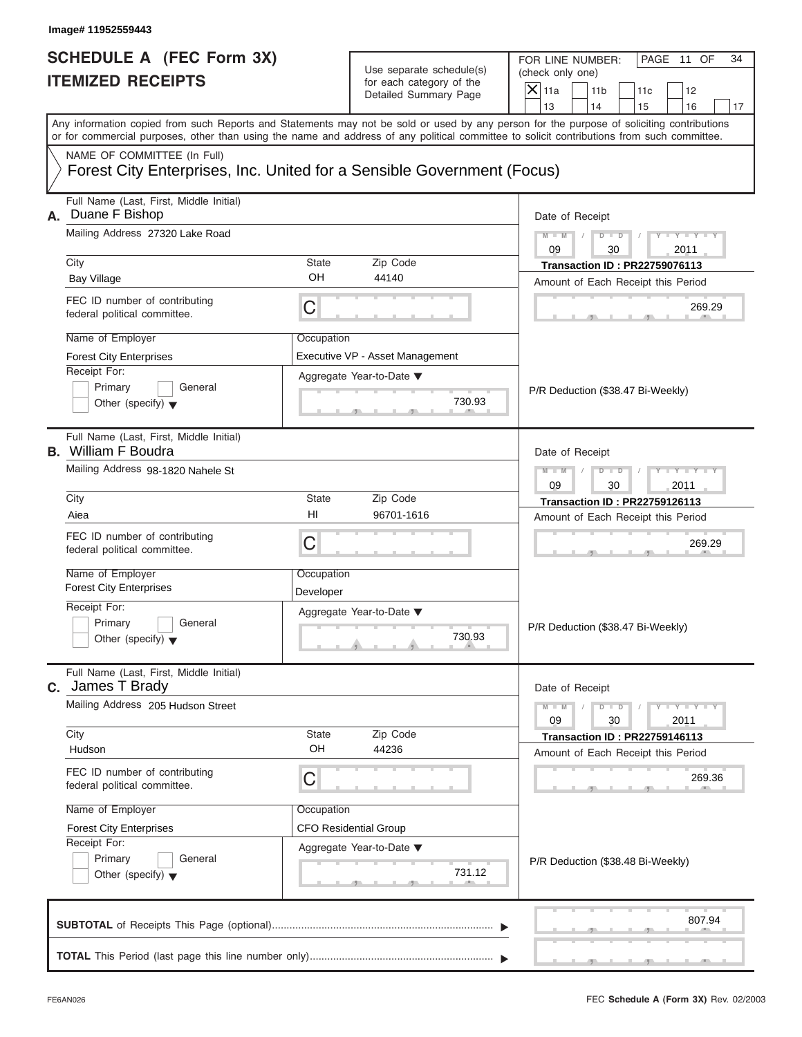| SCHEDULE A (FEC Form 3X) |  |  |
|--------------------------|--|--|
| <b>ITEMIZED RECEIPTS</b> |  |  |

| Image# 11952559443                                                                                                                              |             |                                                                               |                                                                                                                                                                                                                                                                                                                       |
|-------------------------------------------------------------------------------------------------------------------------------------------------|-------------|-------------------------------------------------------------------------------|-----------------------------------------------------------------------------------------------------------------------------------------------------------------------------------------------------------------------------------------------------------------------------------------------------------------------|
| <b>SCHEDULE A (FEC Form 3X)</b><br><b>ITEMIZED RECEIPTS</b>                                                                                     |             | Use separate schedule(s)<br>for each category of the<br>Detailed Summary Page | FOR LINE NUMBER:<br>PAGE 11 OF<br>34<br>(check only one)<br>$\mathsf{X}$ 11a<br>11 <sub>b</sub><br>11c<br>12                                                                                                                                                                                                          |
|                                                                                                                                                 |             |                                                                               | 13<br>14<br>15<br>16<br>17<br>Any information copied from such Reports and Statements may not be sold or used by any person for the purpose of soliciting contributions<br>or for commercial purposes, other than using the name and address of any political committee to solicit contributions from such committee. |
| NAME OF COMMITTEE (In Full)                                                                                                                     |             |                                                                               |                                                                                                                                                                                                                                                                                                                       |
|                                                                                                                                                 |             | Forest City Enterprises, Inc. United for a Sensible Government (Focus)        |                                                                                                                                                                                                                                                                                                                       |
| Full Name (Last, First, Middle Initial)<br>Duane F Bishop<br>А.<br>Mailing Address 27320 Lake Road<br>City<br>State<br>OH<br><b>Bay Village</b> |             |                                                                               | Date of Receipt                                                                                                                                                                                                                                                                                                       |
|                                                                                                                                                 |             |                                                                               | $D$ $D$<br>$Y - Y - Y - Y - I$<br>$M - M$<br>09<br>2011<br>30                                                                                                                                                                                                                                                         |
|                                                                                                                                                 |             | Zip Code                                                                      | <b>Transaction ID: PR22759076113</b>                                                                                                                                                                                                                                                                                  |
|                                                                                                                                                 |             | 44140                                                                         | Amount of Each Receipt this Period                                                                                                                                                                                                                                                                                    |
| FEC ID number of contributing<br>federal political committee.                                                                                   | C           |                                                                               | 269.29                                                                                                                                                                                                                                                                                                                |
| Name of Employer                                                                                                                                | Occupation  |                                                                               |                                                                                                                                                                                                                                                                                                                       |
| <b>Forest City Enterprises</b>                                                                                                                  |             | Executive VP - Asset Management                                               |                                                                                                                                                                                                                                                                                                                       |
| Receipt For:                                                                                                                                    |             | Aggregate Year-to-Date ▼                                                      |                                                                                                                                                                                                                                                                                                                       |
| Primary<br>Other (specify) $\blacktriangledown$                                                                                                 | General     | 730.93                                                                        | P/R Deduction (\$38.47 Bi-Weekly)                                                                                                                                                                                                                                                                                     |
|                                                                                                                                                 |             |                                                                               |                                                                                                                                                                                                                                                                                                                       |
| Full Name (Last, First, Middle Initial)<br><b>B.</b> William F Boudra                                                                           |             |                                                                               | Date of Receipt                                                                                                                                                                                                                                                                                                       |
| Mailing Address 98-1820 Nahele St                                                                                                               |             | $Y - Y - Y - Y - Y$<br>$M - M$<br>$D$ $\Box$ $D$                              |                                                                                                                                                                                                                                                                                                                       |
|                                                                                                                                                 |             | 09<br>30<br>2011                                                              |                                                                                                                                                                                                                                                                                                                       |
| City                                                                                                                                            | State       | Zip Code                                                                      | <b>Transaction ID: PR22759126113</b>                                                                                                                                                                                                                                                                                  |
| Aiea                                                                                                                                            | HI          | 96701-1616                                                                    | Amount of Each Receipt this Period                                                                                                                                                                                                                                                                                    |
| FEC ID number of contributing<br>federal political committee.                                                                                   | C           |                                                                               | 269.29                                                                                                                                                                                                                                                                                                                |
| Name of Employer                                                                                                                                | Occupation  |                                                                               |                                                                                                                                                                                                                                                                                                                       |
| <b>Forest City Enterprises</b>                                                                                                                  | Developer   |                                                                               |                                                                                                                                                                                                                                                                                                                       |
| Receipt For:                                                                                                                                    |             | Aggregate Year-to-Date ▼                                                      |                                                                                                                                                                                                                                                                                                                       |
| Primary                                                                                                                                         | General     | 730.93                                                                        | P/R Deduction (\$38.47 Bi-Weekly)                                                                                                                                                                                                                                                                                     |
| Other (specify) $\blacktriangledown$                                                                                                            |             |                                                                               |                                                                                                                                                                                                                                                                                                                       |
| Full Name (Last, First, Middle Initial)<br><b>C.</b> James T Brady                                                                              |             |                                                                               | Date of Receipt                                                                                                                                                                                                                                                                                                       |
| Mailing Address 205 Hudson Street                                                                                                               |             |                                                                               | $Y - Y - Y - Y - I$<br>$M - M$<br>$D$ $D$                                                                                                                                                                                                                                                                             |
|                                                                                                                                                 |             |                                                                               | 2011<br>09<br>30                                                                                                                                                                                                                                                                                                      |
| City<br>Hudson                                                                                                                                  | State<br>OH | Zip Code<br>44236                                                             | <b>Transaction ID: PR22759146113</b>                                                                                                                                                                                                                                                                                  |
|                                                                                                                                                 |             |                                                                               | Amount of Each Receipt this Period                                                                                                                                                                                                                                                                                    |
| FEC ID number of contributing<br>federal political committee.                                                                                   | C           |                                                                               | 269.36                                                                                                                                                                                                                                                                                                                |
| Name of Employer                                                                                                                                | Occupation  |                                                                               |                                                                                                                                                                                                                                                                                                                       |
| <b>Forest City Enterprises</b>                                                                                                                  |             | <b>CFO Residential Group</b>                                                  |                                                                                                                                                                                                                                                                                                                       |
| Receipt For:                                                                                                                                    |             | Aggregate Year-to-Date ▼                                                      |                                                                                                                                                                                                                                                                                                                       |
| Primary<br>Other (specify) $\blacktriangledown$                                                                                                 | General     | 731.12                                                                        | P/R Deduction (\$38.48 Bi-Weekly)                                                                                                                                                                                                                                                                                     |
|                                                                                                                                                 |             |                                                                               |                                                                                                                                                                                                                                                                                                                       |
|                                                                                                                                                 |             |                                                                               |                                                                                                                                                                                                                                                                                                                       |
|                                                                                                                                                 |             |                                                                               | 807.94                                                                                                                                                                                                                                                                                                                |
|                                                                                                                                                 |             |                                                                               |                                                                                                                                                                                                                                                                                                                       |
|                                                                                                                                                 |             |                                                                               |                                                                                                                                                                                                                                                                                                                       |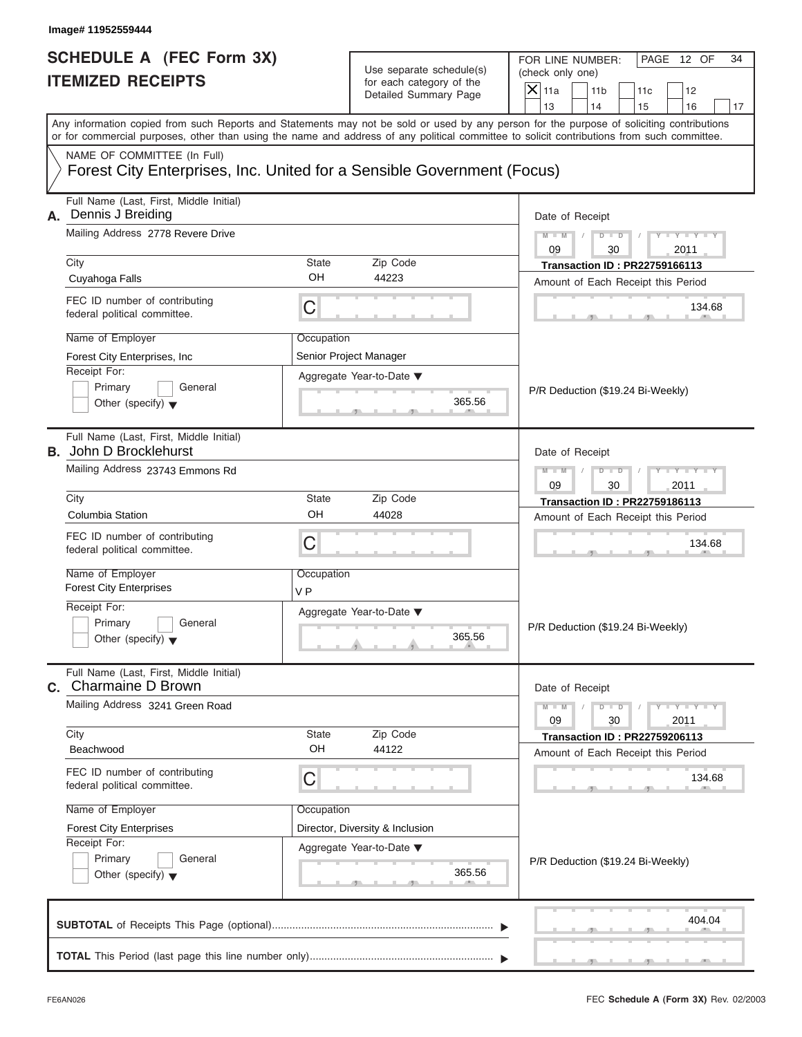| Image# 11952559444                                                                                                               |                              |                                                                               |                                                                                                                                                                                                                                                                                         |          |
|----------------------------------------------------------------------------------------------------------------------------------|------------------------------|-------------------------------------------------------------------------------|-----------------------------------------------------------------------------------------------------------------------------------------------------------------------------------------------------------------------------------------------------------------------------------------|----------|
| <b>SCHEDULE A (FEC Form 3X)</b><br><b>ITEMIZED RECEIPTS</b>                                                                      |                              | Use separate schedule(s)<br>for each category of the<br>Detailed Summary Page | FOR LINE NUMBER:<br>PAGE 12 OF<br>(check only one)<br>$\mathsf{X}$ 11a<br>11 <sub>b</sub><br>11c<br>12<br>13<br>14<br>15<br>16                                                                                                                                                          | 34<br>17 |
|                                                                                                                                  |                              |                                                                               | Any information copied from such Reports and Statements may not be sold or used by any person for the purpose of soliciting contributions<br>or for commercial purposes, other than using the name and address of any political committee to solicit contributions from such committee. |          |
| NAME OF COMMITTEE (In Full)<br>Forest City Enterprises, Inc. United for a Sensible Government (Focus)                            |                              |                                                                               |                                                                                                                                                                                                                                                                                         |          |
| Full Name (Last, First, Middle Initial)<br>Dennis J Breiding<br>А.<br>Mailing Address 2778 Revere Drive                          |                              |                                                                               | Date of Receipt<br>$M - M$<br>$D$ $\Box$ $D$<br>Y TYT                                                                                                                                                                                                                                   |          |
| City                                                                                                                             | <b>State</b>                 | Zip Code                                                                      | 09<br>30<br>2011<br><b>Transaction ID: PR22759166113</b>                                                                                                                                                                                                                                |          |
| Cuyahoga Falls                                                                                                                   | OH                           | 44223                                                                         | Amount of Each Receipt this Period                                                                                                                                                                                                                                                      |          |
| FEC ID number of contributing<br>federal political committee.                                                                    | C                            |                                                                               | 134.68                                                                                                                                                                                                                                                                                  |          |
| Name of Employer<br>Forest City Enterprises, Inc.<br>Receipt For:<br>Primary<br>General<br>Other (specify) $\blacktriangledown$  | Occupation                   | Senior Project Manager<br>Aggregate Year-to-Date ▼<br>365.56                  | P/R Deduction (\$19.24 Bi-Weekly)                                                                                                                                                                                                                                                       |          |
| Full Name (Last, First, Middle Initial)<br><b>B.</b> John D Brocklehurst<br>Mailing Address 23743 Emmons Rd                      |                              |                                                                               | Date of Receipt<br>Y T Y T Y T<br>$M - M$<br>$D$ $D$                                                                                                                                                                                                                                    |          |
|                                                                                                                                  |                              |                                                                               |                                                                                                                                                                                                                                                                                         |          |
| City                                                                                                                             | State                        | Zip Code                                                                      | 2011<br><b>Transaction ID: PR22759186113</b>                                                                                                                                                                                                                                            |          |
| <b>Columbia Station</b>                                                                                                          | OH                           | 44028                                                                         | Amount of Each Receipt this Period                                                                                                                                                                                                                                                      |          |
| FEC ID number of contributing<br>federal political committee.                                                                    | C                            |                                                                               | 134.68                                                                                                                                                                                                                                                                                  |          |
| Name of Employer<br><b>Forest City Enterprises</b>                                                                               | Occupation<br>V <sub>P</sub> |                                                                               |                                                                                                                                                                                                                                                                                         |          |
| Receipt For:<br>Primary<br>General<br>Other (specify) $\blacktriangledown$                                                       |                              | Aggregate Year-to-Date ▼<br>365.56                                            | P/R Deduction (\$19.24 Bi-Weekly)                                                                                                                                                                                                                                                       |          |
| Full Name (Last, First, Middle Initial)<br><b>C.</b> Charmaine D Brown                                                           |                              |                                                                               | Date of Receipt                                                                                                                                                                                                                                                                         |          |
| Mailing Address 3241 Green Road<br>City                                                                                          |                              | Zip Code                                                                      | $M - M$<br>$Y + Y + Y + Y$<br>$D$ $D$<br>09<br>30<br>2011                                                                                                                                                                                                                               |          |
| Beachwood                                                                                                                        | State<br>OH                  | 44122                                                                         | <b>Transaction ID: PR22759206113</b><br>Amount of Each Receipt this Period                                                                                                                                                                                                              |          |
| FEC ID number of contributing<br>federal political committee.                                                                    | С                            |                                                                               | 134.68                                                                                                                                                                                                                                                                                  |          |
| Name of Employer<br><b>Forest City Enterprises</b><br>Receipt For:<br>Primary<br>General<br>Other (specify) $\blacktriangledown$ | Occupation                   | Director, Diversity & Inclusion<br>Aggregate Year-to-Date ▼<br>365.56         | P/R Deduction (\$19.24 Bi-Weekly)                                                                                                                                                                                                                                                       |          |
|                                                                                                                                  |                              |                                                                               | 404.04                                                                                                                                                                                                                                                                                  |          |
|                                                                                                                                  |                              |                                                                               |                                                                                                                                                                                                                                                                                         |          |

 $\mathcal{T}$  s s  $\mathcal{T}$  , and  $\mathcal{T}$  , .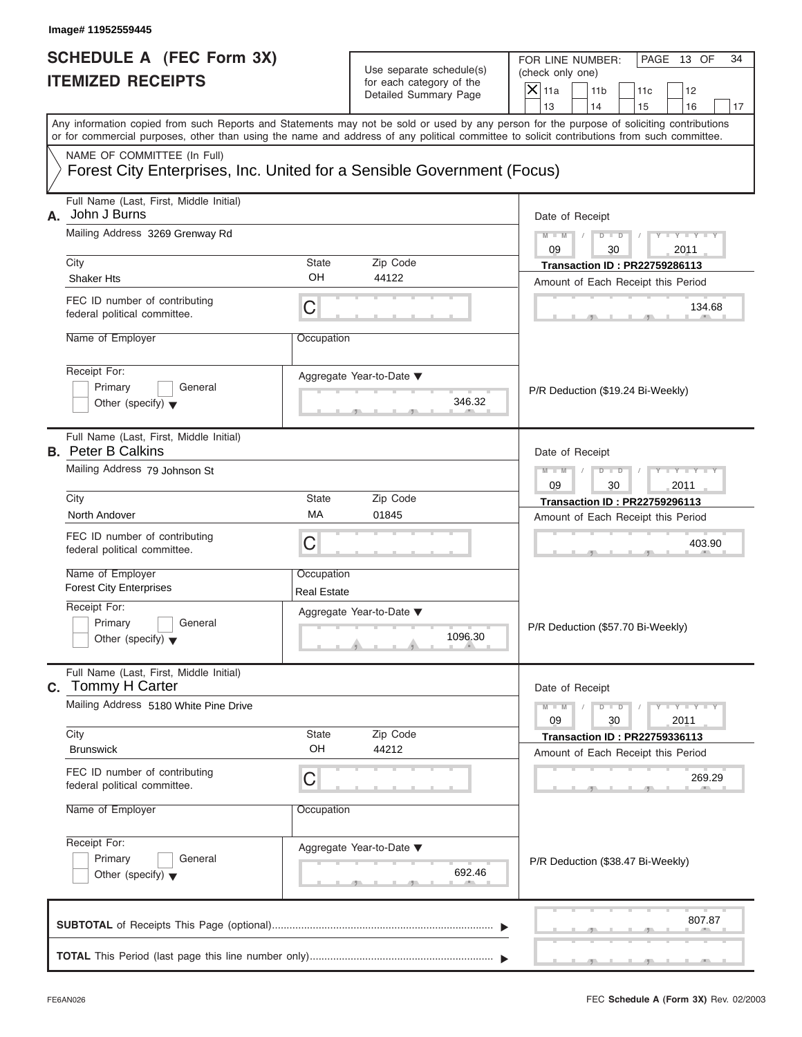| <b>SCHEDULE A (FEC Form 3X)</b> |  |  |
|---------------------------------|--|--|
| <b>ITEMIZED RECEIPTS</b>        |  |  |

|                                                                                                  | Image# 11952559445                                                                                                                         |                                                 |                                                                               |                                                                                                                                              |
|--------------------------------------------------------------------------------------------------|--------------------------------------------------------------------------------------------------------------------------------------------|-------------------------------------------------|-------------------------------------------------------------------------------|----------------------------------------------------------------------------------------------------------------------------------------------|
| <b>SCHEDULE A (FEC Form 3X)</b><br><b>ITEMIZED RECEIPTS</b>                                      |                                                                                                                                            |                                                 | Use separate schedule(s)<br>for each category of the<br>Detailed Summary Page | FOR LINE NUMBER:<br>PAGE 13 OF<br>34<br>(check only one)<br>$\overline{X}$ 11a<br>11 <sub>b</sub><br>11c<br>12<br>13<br>14<br>15<br>16<br>17 |
|                                                                                                  | or for commercial purposes, other than using the name and address of any political committee to solicit contributions from such committee. |                                                 |                                                                               | Any information copied from such Reports and Statements may not be sold or used by any person for the purpose of soliciting contributions    |
|                                                                                                  | NAME OF COMMITTEE (In Full)<br>Forest City Enterprises, Inc. United for a Sensible Government (Focus)                                      |                                                 |                                                                               |                                                                                                                                              |
| Full Name (Last, First, Middle Initial)<br>John J Burns<br>А.<br>Mailing Address 3269 Grenway Rd |                                                                                                                                            |                                                 |                                                                               | Date of Receipt<br>$D$ $\Box$ $D$<br>Y TYT<br>$M - M$<br>09<br>2011<br>30                                                                    |
|                                                                                                  | City                                                                                                                                       | State                                           | Zip Code                                                                      | <b>Transaction ID: PR22759286113</b>                                                                                                         |
|                                                                                                  | <b>Shaker Hts</b>                                                                                                                          | OH                                              | 44122                                                                         | Amount of Each Receipt this Period                                                                                                           |
|                                                                                                  | FEC ID number of contributing<br>federal political committee.                                                                              | C                                               |                                                                               | 134.68                                                                                                                                       |
|                                                                                                  | Name of Employer                                                                                                                           |                                                 |                                                                               |                                                                                                                                              |
|                                                                                                  | Receipt For:<br>Primary<br>General<br>Other (specify) $\blacktriangledown$                                                                 |                                                 | Aggregate Year-to-Date ▼<br>346.32                                            | P/R Deduction (\$19.24 Bi-Weekly)                                                                                                            |
|                                                                                                  | Full Name (Last, First, Middle Initial)<br><b>B.</b> Peter B Calkins                                                                       |                                                 |                                                                               | Date of Receipt                                                                                                                              |
|                                                                                                  | Mailing Address 79 Johnson St                                                                                                              | $M - M$<br>$D$ $D$<br>Y TYT<br>09<br>30<br>2011 |                                                                               |                                                                                                                                              |
|                                                                                                  | City<br>North Andover                                                                                                                      | State<br>MA                                     | Zip Code<br>01845                                                             | <b>Transaction ID: PR22759296113</b>                                                                                                         |
|                                                                                                  | FEC ID number of contributing<br>federal political committee.                                                                              | С                                               |                                                                               | Amount of Each Receipt this Period<br>403.90                                                                                                 |
|                                                                                                  | Name of Employer<br><b>Forest City Enterprises</b>                                                                                         | Occupation<br><b>Real Estate</b>                |                                                                               |                                                                                                                                              |
|                                                                                                  | Receipt For:<br>Primary<br>General<br>Other (specify) $\blacktriangledown$                                                                 |                                                 | Aggregate Year-to-Date ▼<br>1096.30                                           | P/R Deduction (\$57.70 Bi-Weekly)                                                                                                            |
|                                                                                                  | Full Name (Last, First, Middle Initial)<br>C. Tommy H Carter                                                                               |                                                 |                                                                               | Date of Receipt                                                                                                                              |
|                                                                                                  | Mailing Address 5180 White Pine Drive<br>City                                                                                              | State                                           | Zip Code                                                                      | $M - M$<br>$Y = Y$<br>$D - D$<br>09<br>2011<br>30                                                                                            |
|                                                                                                  | <b>Brunswick</b>                                                                                                                           | OH                                              | 44212                                                                         | <b>Transaction ID: PR22759336113</b><br>Amount of Each Receipt this Period                                                                   |
|                                                                                                  | FEC ID number of contributing<br>federal political committee.                                                                              | С                                               |                                                                               | 269.29                                                                                                                                       |
|                                                                                                  | Name of Employer                                                                                                                           | Occupation                                      |                                                                               |                                                                                                                                              |
|                                                                                                  | Receipt For:<br>Primary<br>General<br>Other (specify) $\blacktriangledown$                                                                 |                                                 | Aggregate Year-to-Date ▼<br>692.46                                            | P/R Deduction (\$38.47 Bi-Weekly)                                                                                                            |
|                                                                                                  |                                                                                                                                            |                                                 |                                                                               | 807.87                                                                                                                                       |
|                                                                                                  |                                                                                                                                            |                                                 |                                                                               |                                                                                                                                              |

S S S , , .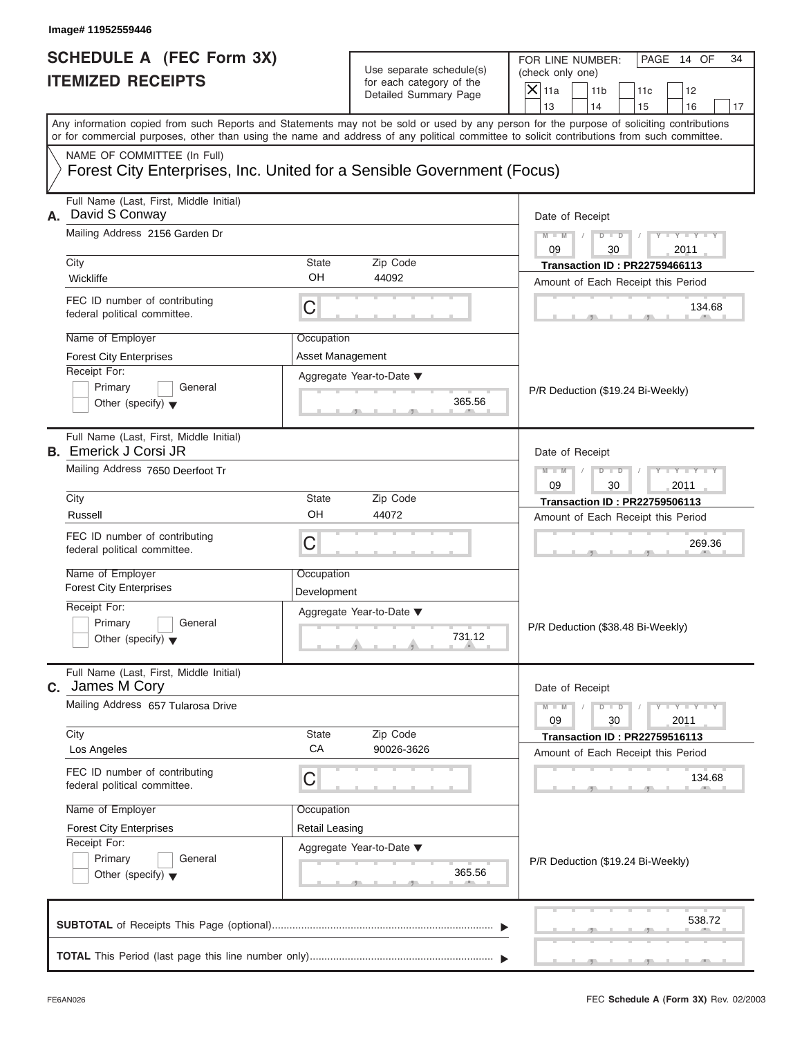| SCHEDULE A (FEC Form 3X) |  |  |
|--------------------------|--|--|
| <b>ITEMIZED RECEIPTS</b> |  |  |

|                                                                 | Image# 11952559446                                                                                                                         |                                                       |                                                                               |                                                                                                                                           |
|-----------------------------------------------------------------|--------------------------------------------------------------------------------------------------------------------------------------------|-------------------------------------------------------|-------------------------------------------------------------------------------|-------------------------------------------------------------------------------------------------------------------------------------------|
| <b>SCHEDULE A (FEC Form 3X)</b><br><b>ITEMIZED RECEIPTS</b>     |                                                                                                                                            |                                                       | Use separate schedule(s)<br>for each category of the<br>Detailed Summary Page | FOR LINE NUMBER:<br>PAGE 14 OF<br>34<br>(check only one)<br>$\mathsf{X} _{\mathsf{11a}}$<br>11 <sub>b</sub><br>11c<br>12                  |
|                                                                 |                                                                                                                                            |                                                       |                                                                               | 13<br>14<br>15<br>16<br>17                                                                                                                |
|                                                                 | or for commercial purposes, other than using the name and address of any political committee to solicit contributions from such committee. |                                                       |                                                                               | Any information copied from such Reports and Statements may not be sold or used by any person for the purpose of soliciting contributions |
|                                                                 | NAME OF COMMITTEE (In Full)<br>Forest City Enterprises, Inc. United for a Sensible Government (Focus)                                      |                                                       |                                                                               |                                                                                                                                           |
| Full Name (Last, First, Middle Initial)<br>David S Conway<br>А. |                                                                                                                                            |                                                       |                                                                               | Date of Receipt                                                                                                                           |
|                                                                 | Mailing Address 2156 Garden Dr                                                                                                             |                                                       |                                                                               | $D$ $D$<br>$Y - Y - Y - Y - Y$<br>$M - M$<br>09<br>2011<br>30                                                                             |
|                                                                 | City<br><b>State</b><br>OH<br>Wickliffe                                                                                                    |                                                       | Zip Code<br>44092                                                             | <b>Transaction ID: PR22759466113</b>                                                                                                      |
|                                                                 |                                                                                                                                            |                                                       |                                                                               | Amount of Each Receipt this Period                                                                                                        |
|                                                                 | FEC ID number of contributing<br>federal political committee.                                                                              | C                                                     |                                                                               | 134.68                                                                                                                                    |
|                                                                 | Name of Employer                                                                                                                           | Occupation                                            |                                                                               |                                                                                                                                           |
|                                                                 | <b>Forest City Enterprises</b>                                                                                                             | Asset Management                                      |                                                                               |                                                                                                                                           |
|                                                                 | Receipt For:<br>Primary<br>General                                                                                                         |                                                       | Aggregate Year-to-Date ▼                                                      |                                                                                                                                           |
|                                                                 | Other (specify) $\blacktriangledown$                                                                                                       |                                                       | 365.56                                                                        | P/R Deduction (\$19.24 Bi-Weekly)                                                                                                         |
|                                                                 | Full Name (Last, First, Middle Initial)<br><b>B.</b> Emerick J Corsi JR                                                                    |                                                       |                                                                               | Date of Receipt                                                                                                                           |
|                                                                 | Mailing Address 7650 Deerfoot Tr                                                                                                           | Y T Y T Y T<br>$D$ $D$<br>$M - M$<br>09<br>30<br>2011 |                                                                               |                                                                                                                                           |
|                                                                 | City                                                                                                                                       | <b>State</b>                                          | Zip Code                                                                      | <b>Transaction ID: PR22759506113</b>                                                                                                      |
|                                                                 | Russell                                                                                                                                    | OH                                                    | 44072                                                                         | Amount of Each Receipt this Period                                                                                                        |
|                                                                 | FEC ID number of contributing<br>federal political committee.                                                                              | C                                                     |                                                                               | 269.36                                                                                                                                    |
|                                                                 | Name of Employer                                                                                                                           | Occupation                                            |                                                                               |                                                                                                                                           |
|                                                                 | <b>Forest City Enterprises</b>                                                                                                             | Development                                           |                                                                               |                                                                                                                                           |
|                                                                 | Receipt For:                                                                                                                               |                                                       | Aggregate Year-to-Date ▼                                                      |                                                                                                                                           |
|                                                                 | Primary<br>General<br>Other (specify) $\blacktriangledown$                                                                                 |                                                       | 731.12                                                                        | P/R Deduction (\$38.48 Bi-Weekly)                                                                                                         |
| C.                                                              | Full Name (Last, First, Middle Initial)<br>James M Cory                                                                                    |                                                       |                                                                               | Date of Receipt                                                                                                                           |
|                                                                 | Mailing Address 657 Tularosa Drive                                                                                                         |                                                       |                                                                               | $Y = Y$<br>$M - M$<br>$D$ $D$<br>2011<br>09<br>30                                                                                         |
|                                                                 | City<br>Los Angeles                                                                                                                        | State<br>CA                                           | Zip Code<br>90026-3626                                                        | <b>Transaction ID: PR22759516113</b>                                                                                                      |
|                                                                 |                                                                                                                                            |                                                       |                                                                               | Amount of Each Receipt this Period                                                                                                        |
|                                                                 | FEC ID number of contributing<br>federal political committee.                                                                              | C                                                     |                                                                               | 134.68                                                                                                                                    |
|                                                                 | Name of Employer                                                                                                                           | Occupation                                            |                                                                               |                                                                                                                                           |
|                                                                 | <b>Forest City Enterprises</b>                                                                                                             | <b>Retail Leasing</b>                                 |                                                                               |                                                                                                                                           |
|                                                                 | Receipt For:<br>Primary<br>General                                                                                                         |                                                       | Aggregate Year-to-Date ▼                                                      |                                                                                                                                           |
|                                                                 | Other (specify) $\blacktriangledown$                                                                                                       |                                                       | 365.56                                                                        | P/R Deduction (\$19.24 Bi-Weekly)                                                                                                         |
|                                                                 |                                                                                                                                            |                                                       |                                                                               | 538.72                                                                                                                                    |
|                                                                 |                                                                                                                                            |                                                       |                                                                               |                                                                                                                                           |

S S S , , .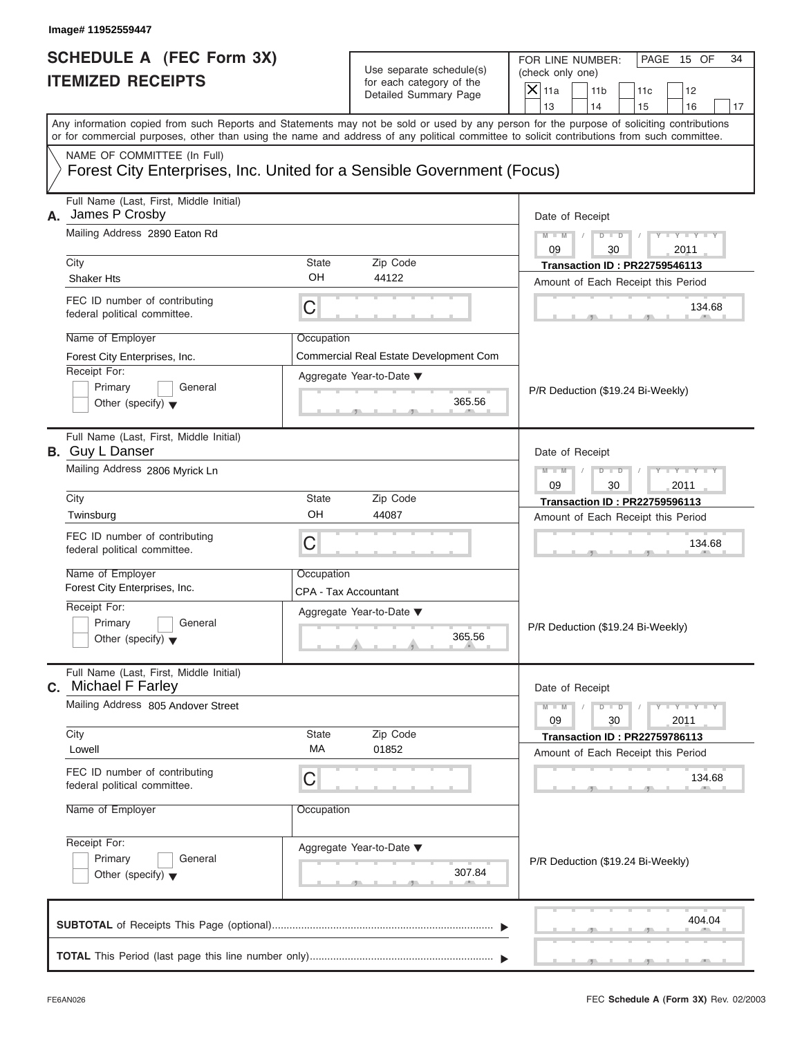| Image# 11952559447                                                                                                                         |                          |                                                      |                                      |                                      |     |                             |    |
|--------------------------------------------------------------------------------------------------------------------------------------------|--------------------------|------------------------------------------------------|--------------------------------------|--------------------------------------|-----|-----------------------------|----|
| <b>SCHEDULE A (FEC Form 3X)</b><br><b>ITEMIZED RECEIPTS</b>                                                                                |                          | Use separate schedule(s)<br>for each category of the | FOR LINE NUMBER:<br>(check only one) |                                      |     | PAGE 15 OF                  | 34 |
|                                                                                                                                            |                          | Detailed Summary Page                                | $X$ 11a                              | 11 <sub>b</sub>                      | 11c | 12                          |    |
| Any information copied from such Reports and Statements may not be sold or used by any person for the purpose of soliciting contributions  |                          |                                                      | 13                                   | 14                                   | 15  | 16                          | 17 |
| or for commercial purposes, other than using the name and address of any political committee to solicit contributions from such committee. |                          |                                                      |                                      |                                      |     |                             |    |
| NAME OF COMMITTEE (In Full)<br>Forest City Enterprises, Inc. United for a Sensible Government (Focus)                                      |                          |                                                      |                                      |                                      |     |                             |    |
| Full Name (Last, First, Middle Initial)<br>James P Crosby<br>А.                                                                            |                          |                                                      | Date of Receipt                      |                                      |     |                             |    |
| Mailing Address 2890 Eaton Rd                                                                                                              |                          |                                                      | $M - M$<br>09                        | $D - D$<br>30                        |     | $Y - Y - Y - Y - Y$<br>2011 |    |
| City                                                                                                                                       | State                    | Zip Code                                             |                                      | <b>Transaction ID: PR22759546113</b> |     |                             |    |
| <b>Shaker Hts</b>                                                                                                                          | OH                       | 44122                                                |                                      | Amount of Each Receipt this Period   |     |                             |    |
| FEC ID number of contributing<br>federal political committee.                                                                              | C                        |                                                      |                                      |                                      |     | 134.68                      |    |
| Name of Employer                                                                                                                           | Occupation               |                                                      |                                      |                                      |     |                             |    |
| Forest City Enterprises, Inc.                                                                                                              |                          |                                                      |                                      |                                      |     |                             |    |
| Receipt For:                                                                                                                               | Aggregate Year-to-Date ▼ |                                                      |                                      |                                      |     |                             |    |
| Primary<br>General<br>Other (specify) $\blacktriangledown$                                                                                 |                          | 365.56                                               |                                      | P/R Deduction (\$19.24 Bi-Weekly)    |     |                             |    |
| Full Name (Last, First, Middle Initial)<br><b>B.</b> Guy L Danser                                                                          |                          |                                                      | Date of Receipt                      |                                      |     |                             |    |
| Mailing Address 2806 Myrick Ln                                                                                                             |                          |                                                      | $M - M$<br>09                        | $D$ $\Box$ $D$<br>30                 |     | $Y = Y = Y$                 |    |
| City                                                                                                                                       | State                    | Zip Code                                             |                                      | <b>Transaction ID: PR22759596113</b> |     | 2011                        |    |
| Twinsburg                                                                                                                                  | OH                       | 44087                                                |                                      | Amount of Each Receipt this Period   |     |                             |    |
| FEC ID number of contributing<br>federal political committee.                                                                              | C                        |                                                      |                                      |                                      |     | 134.68                      |    |
| Name of Employer                                                                                                                           | Occupation               |                                                      |                                      |                                      |     |                             |    |
| Forest City Enterprises, Inc.                                                                                                              | CPA - Tax Accountant     |                                                      |                                      |                                      |     |                             |    |
| Receipt For:                                                                                                                               | Aggregate Year-to-Date ▼ |                                                      |                                      |                                      |     |                             |    |
| Primary<br>General<br>Other (specify) $\blacktriangledown$                                                                                 |                          | 365.56                                               | P/R Deduction (\$19.24 Bi-Weekly)    |                                      |     |                             |    |
| Full Name (Last, First, Middle Initial)<br><b>Michael F Farley</b><br>С.                                                                   |                          |                                                      | Date of Receipt                      |                                      |     |                             |    |
| Mailing Address 805 Andover Street                                                                                                         |                          |                                                      | $M - M$<br>09                        | $D - D$<br>30                        |     | $Y - Y - Y - Y - I$<br>2011 |    |
| City                                                                                                                                       | State                    | Zip Code                                             |                                      | <b>Transaction ID: PR22759786113</b> |     |                             |    |
| Lowell                                                                                                                                     | МA                       | 01852                                                |                                      | Amount of Each Receipt this Period   |     |                             |    |
| FEC ID number of contributing<br>federal political committee.                                                                              | С                        |                                                      |                                      |                                      |     | 134.68                      |    |
| Name of Employer                                                                                                                           | Occupation               |                                                      |                                      |                                      |     |                             |    |
| Receipt For:                                                                                                                               | Aggregate Year-to-Date ▼ |                                                      |                                      |                                      |     |                             |    |
| Primary<br>General<br>Other (specify) $\blacktriangledown$                                                                                 |                          | 307.84                                               | P/R Deduction (\$19.24 Bi-Weekly)    |                                      |     |                             |    |
|                                                                                                                                            |                          |                                                      |                                      |                                      |     | 404.04                      |    |
|                                                                                                                                            |                          |                                                      |                                      |                                      |     |                             |    |

S S S , , .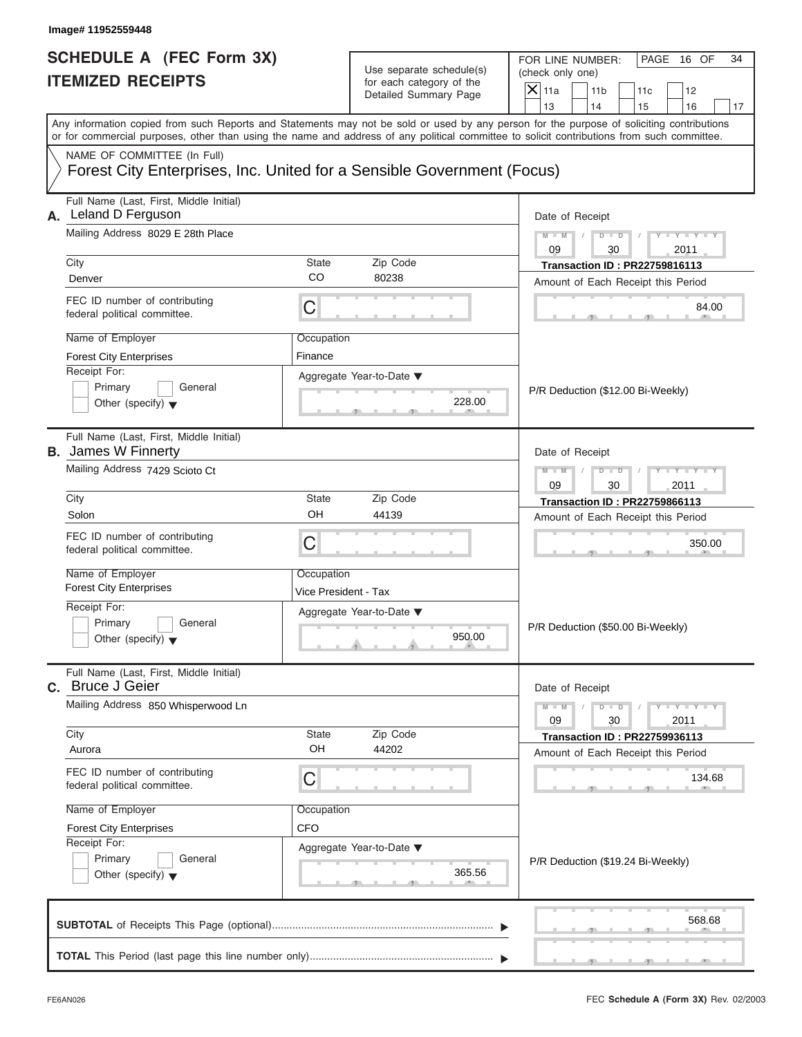| Image# 11952559448                                                                                                                                        |                                    |                                                                               |                                                                                                                                                                                                                                                                                         |
|-----------------------------------------------------------------------------------------------------------------------------------------------------------|------------------------------------|-------------------------------------------------------------------------------|-----------------------------------------------------------------------------------------------------------------------------------------------------------------------------------------------------------------------------------------------------------------------------------------|
| <b>SCHEDULE A (FEC Form 3X)</b><br><b>ITEMIZED RECEIPTS</b>                                                                                               |                                    | Use separate schedule(s)<br>for each category of the<br>Detailed Summary Page | FOR LINE NUMBER:<br>PAGE 16 OF<br>34<br>(check only one)<br>$\mathsf{X}$ 11a<br>11 <sub>b</sub><br>11c<br>12<br>13<br>14<br>15<br>16<br>17                                                                                                                                              |
|                                                                                                                                                           |                                    |                                                                               | Any information copied from such Reports and Statements may not be sold or used by any person for the purpose of soliciting contributions<br>or for commercial purposes, other than using the name and address of any political committee to solicit contributions from such committee. |
| NAME OF COMMITTEE (In Full)<br>Forest City Enterprises, Inc. United for a Sensible Government (Focus)                                                     |                                    |                                                                               |                                                                                                                                                                                                                                                                                         |
| Full Name (Last, First, Middle Initial)<br>Leland D Ferguson<br>А.<br>Mailing Address 8029 E 28th Place                                                   |                                    |                                                                               | Date of Receipt<br>$M - M$<br>$D$ $D$<br>$Y - Y - Y - Y$                                                                                                                                                                                                                                |
|                                                                                                                                                           |                                    |                                                                               | 09<br>30<br>2011                                                                                                                                                                                                                                                                        |
| City<br>Denver                                                                                                                                            | State<br>CO                        | Zip Code<br>80238                                                             | <b>Transaction ID: PR22759816113</b>                                                                                                                                                                                                                                                    |
| FEC ID number of contributing<br>federal political committee.                                                                                             | C                                  |                                                                               | Amount of Each Receipt this Period<br>84.00                                                                                                                                                                                                                                             |
| Name of Employer<br>Occupation<br><b>Forest City Enterprises</b><br>Finance<br>Receipt For:<br>Primary<br>General<br>Other (specify) $\blacktriangledown$ |                                    | Aggregate Year-to-Date ▼<br>228.00                                            | P/R Deduction (\$12.00 Bi-Weekly)                                                                                                                                                                                                                                                       |
| Full Name (Last, First, Middle Initial)<br><b>B.</b> James W Finnerty<br>Mailing Address 7429 Scioto Ct                                                   |                                    |                                                                               | Date of Receipt<br>Y T Y T Y T<br>$M - M$<br>$D$ $D$<br>09<br>30<br>2011                                                                                                                                                                                                                |
| City                                                                                                                                                      | State                              | Zip Code                                                                      | Transaction ID: PR22759866113                                                                                                                                                                                                                                                           |
| Solon<br>FEC ID number of contributing<br>federal political committee.                                                                                    | OH<br>C                            | 44139                                                                         | Amount of Each Receipt this Period<br>350.00                                                                                                                                                                                                                                            |
| Name of Employer<br><b>Forest City Enterprises</b>                                                                                                        | Occupation<br>Vice President - Tax |                                                                               |                                                                                                                                                                                                                                                                                         |
| Receipt For:<br>Primary<br>General<br>Other (specify) $\blacktriangledown$                                                                                |                                    | Aggregate Year-to-Date ▼<br>950.00                                            | P/R Deduction (\$50.00 Bi-Weekly)                                                                                                                                                                                                                                                       |
| Full Name (Last, First, Middle Initial)<br>C. Bruce J Geier                                                                                               |                                    |                                                                               | Date of Receipt                                                                                                                                                                                                                                                                         |
| Mailing Address 850 Whisperwood Ln<br>City                                                                                                                | State                              | Zip Code                                                                      | $M - M$<br>$\mathbf{I} = \mathbf{Y} - \mathbf{I} - \mathbf{Y} - \mathbf{I}$<br>$D$ $D$<br>09<br>30<br>2011<br><b>Transaction ID: PR22759936113</b>                                                                                                                                      |
| Aurora                                                                                                                                                    | OH                                 | 44202                                                                         | Amount of Each Receipt this Period                                                                                                                                                                                                                                                      |
| FEC ID number of contributing<br>federal political committee.                                                                                             | С                                  |                                                                               | 134.68                                                                                                                                                                                                                                                                                  |
| Name of Employer<br><b>Forest City Enterprises</b><br>Receipt For:<br>Primary<br>General<br>Other (specify) $\blacktriangledown$                          | Occupation<br><b>CFO</b>           | Aggregate Year-to-Date ▼<br>365.56                                            | P/R Deduction (\$19.24 Bi-Weekly)                                                                                                                                                                                                                                                       |
|                                                                                                                                                           |                                    |                                                                               | 568.68                                                                                                                                                                                                                                                                                  |
|                                                                                                                                                           |                                    |                                                                               |                                                                                                                                                                                                                                                                                         |

S S S , , .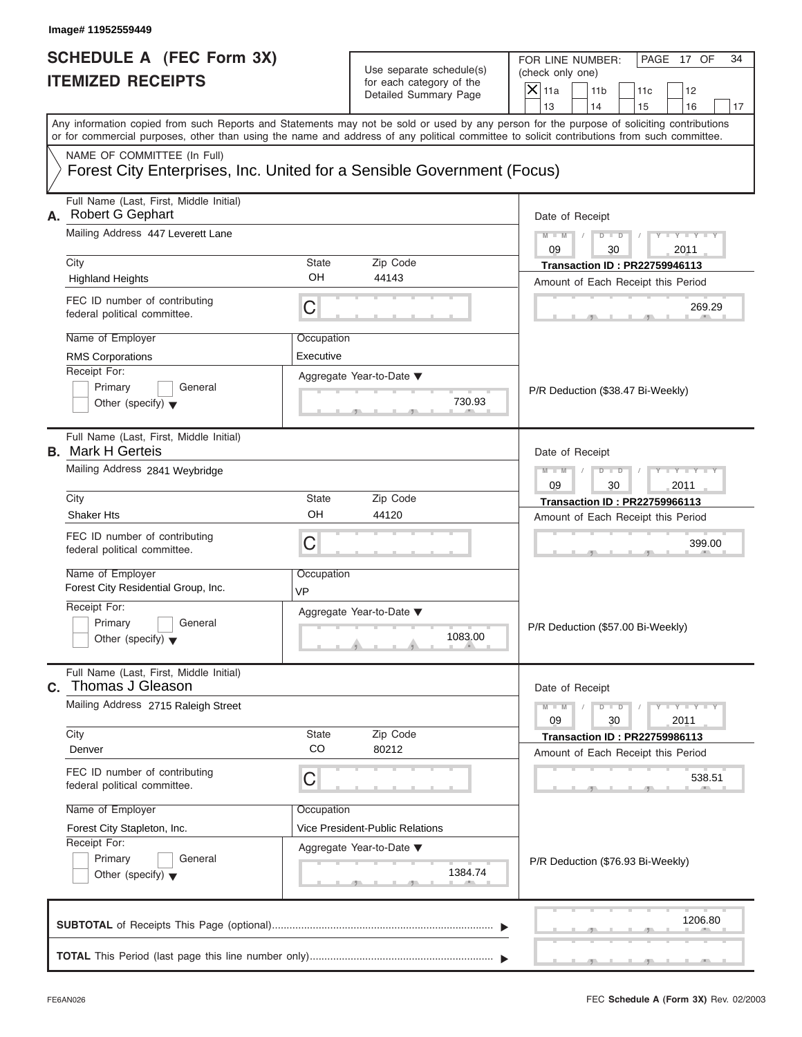| <b>SCHEDULE A (FEC Form 3X)</b> |  |  |
|---------------------------------|--|--|
| <b>ITEMIZED RECEIPTS</b>        |  |  |

|                                                                          | Image# 11952559449                                                                                                                                                                                                                                                                      |                    |                                                                               |                                                                    |                               |  |
|--------------------------------------------------------------------------|-----------------------------------------------------------------------------------------------------------------------------------------------------------------------------------------------------------------------------------------------------------------------------------------|--------------------|-------------------------------------------------------------------------------|--------------------------------------------------------------------|-------------------------------|--|
| <b>SCHEDULE A (FEC Form 3X)</b><br><b>ITEMIZED RECEIPTS</b>              |                                                                                                                                                                                                                                                                                         |                    | Use separate schedule(s)<br>for each category of the<br>Detailed Summary Page | FOR LINE NUMBER:<br>(check only one)<br>$X$ 11a<br>11 <sub>b</sub> | PAGE 17 OF<br>34<br>11c<br>12 |  |
|                                                                          |                                                                                                                                                                                                                                                                                         |                    |                                                                               | 13<br>14                                                           | 15<br>16<br>17                |  |
|                                                                          | Any information copied from such Reports and Statements may not be sold or used by any person for the purpose of soliciting contributions<br>or for commercial purposes, other than using the name and address of any political committee to solicit contributions from such committee. |                    |                                                                               |                                                                    |                               |  |
|                                                                          | NAME OF COMMITTEE (In Full)                                                                                                                                                                                                                                                             |                    |                                                                               |                                                                    |                               |  |
|                                                                          | Forest City Enterprises, Inc. United for a Sensible Government (Focus)                                                                                                                                                                                                                  |                    |                                                                               |                                                                    |                               |  |
| Full Name (Last, First, Middle Initial)<br><b>Robert G Gephart</b><br>А. |                                                                                                                                                                                                                                                                                         |                    |                                                                               | Date of Receipt                                                    |                               |  |
|                                                                          | Mailing Address 447 Leverett Lane                                                                                                                                                                                                                                                       |                    |                                                                               | $D$ $\Box$ $D$<br>$M - M$<br>09<br>30                              | $Y = Y =$<br>2011             |  |
|                                                                          | City                                                                                                                                                                                                                                                                                    | <b>State</b>       | Zip Code                                                                      | <b>Transaction ID: PR22759946113</b>                               |                               |  |
|                                                                          | <b>Highland Heights</b>                                                                                                                                                                                                                                                                 | OH                 | 44143                                                                         | Amount of Each Receipt this Period                                 |                               |  |
|                                                                          | FEC ID number of contributing<br>federal political committee.                                                                                                                                                                                                                           | C                  |                                                                               |                                                                    | 269.29                        |  |
|                                                                          | Name of Employer                                                                                                                                                                                                                                                                        | Occupation         |                                                                               |                                                                    |                               |  |
|                                                                          | <b>RMS Corporations</b>                                                                                                                                                                                                                                                                 |                    |                                                                               |                                                                    |                               |  |
|                                                                          | Receipt For:                                                                                                                                                                                                                                                                            |                    |                                                                               |                                                                    |                               |  |
|                                                                          | Primary<br>General                                                                                                                                                                                                                                                                      |                    | 730.93                                                                        | P/R Deduction (\$38.47 Bi-Weekly)                                  |                               |  |
|                                                                          | Other (specify) $\blacktriangledown$                                                                                                                                                                                                                                                    |                    |                                                                               |                                                                    |                               |  |
|                                                                          | Full Name (Last, First, Middle Initial)<br><b>B.</b> Mark H Gerteis                                                                                                                                                                                                                     |                    |                                                                               | Date of Receipt                                                    |                               |  |
|                                                                          | Mailing Address 2841 Weybridge                                                                                                                                                                                                                                                          | $M - M$<br>$D$ $D$ | $+Y+Y+$                                                                       |                                                                    |                               |  |
|                                                                          |                                                                                                                                                                                                                                                                                         | 09<br>30           | 2011                                                                          |                                                                    |                               |  |
|                                                                          | City                                                                                                                                                                                                                                                                                    | <b>State</b>       | Zip Code                                                                      | <b>Transaction ID: PR22759966113</b>                               |                               |  |
|                                                                          | <b>Shaker Hts</b>                                                                                                                                                                                                                                                                       | OH                 | 44120                                                                         | Amount of Each Receipt this Period                                 |                               |  |
|                                                                          | FEC ID number of contributing<br>federal political committee.                                                                                                                                                                                                                           | C                  |                                                                               |                                                                    | 399.00                        |  |
|                                                                          | Name of Employer<br>Forest City Residential Group, Inc.                                                                                                                                                                                                                                 | Occupation<br>VP   |                                                                               |                                                                    |                               |  |
|                                                                          | Receipt For:                                                                                                                                                                                                                                                                            |                    | Aggregate Year-to-Date ▼                                                      |                                                                    |                               |  |
|                                                                          | Primary<br>General                                                                                                                                                                                                                                                                      |                    |                                                                               | P/R Deduction (\$57.00 Bi-Weekly)                                  |                               |  |
|                                                                          | Other (specify) $\blacktriangledown$                                                                                                                                                                                                                                                    |                    | 1083.00                                                                       |                                                                    |                               |  |
| C.                                                                       | Full Name (Last, First, Middle Initial)<br>Thomas J Gleason                                                                                                                                                                                                                             |                    |                                                                               | Date of Receipt                                                    |                               |  |
|                                                                          | Mailing Address 2715 Raleigh Street                                                                                                                                                                                                                                                     |                    |                                                                               | $M - M$<br>$D$ $D$<br>09<br>30                                     | $Y + Y + Y + Y$<br>2011       |  |
|                                                                          | City                                                                                                                                                                                                                                                                                    | State              | Zip Code                                                                      | <b>Transaction ID: PR22759986113</b>                               |                               |  |
|                                                                          | Denver                                                                                                                                                                                                                                                                                  | CO                 | 80212                                                                         | Amount of Each Receipt this Period                                 |                               |  |
|                                                                          | FEC ID number of contributing<br>federal political committee.                                                                                                                                                                                                                           | C                  |                                                                               |                                                                    | 538.51                        |  |
|                                                                          | Name of Employer                                                                                                                                                                                                                                                                        | Occupation         |                                                                               |                                                                    |                               |  |
|                                                                          | Forest City Stapleton, Inc.                                                                                                                                                                                                                                                             |                    | Vice President-Public Relations                                               |                                                                    |                               |  |
|                                                                          | Receipt For:                                                                                                                                                                                                                                                                            |                    | Aggregate Year-to-Date ▼                                                      |                                                                    |                               |  |
|                                                                          | Primary<br>General                                                                                                                                                                                                                                                                      |                    |                                                                               | P/R Deduction (\$76.93 Bi-Weekly)                                  |                               |  |
|                                                                          | Other (specify) $\blacktriangledown$                                                                                                                                                                                                                                                    |                    | 1384.74                                                                       |                                                                    |                               |  |
|                                                                          |                                                                                                                                                                                                                                                                                         |                    |                                                                               |                                                                    |                               |  |
|                                                                          |                                                                                                                                                                                                                                                                                         |                    |                                                                               |                                                                    | 1206.80                       |  |
|                                                                          |                                                                                                                                                                                                                                                                                         |                    |                                                                               |                                                                    |                               |  |
|                                                                          |                                                                                                                                                                                                                                                                                         |                    |                                                                               |                                                                    |                               |  |

S S S , , .

an i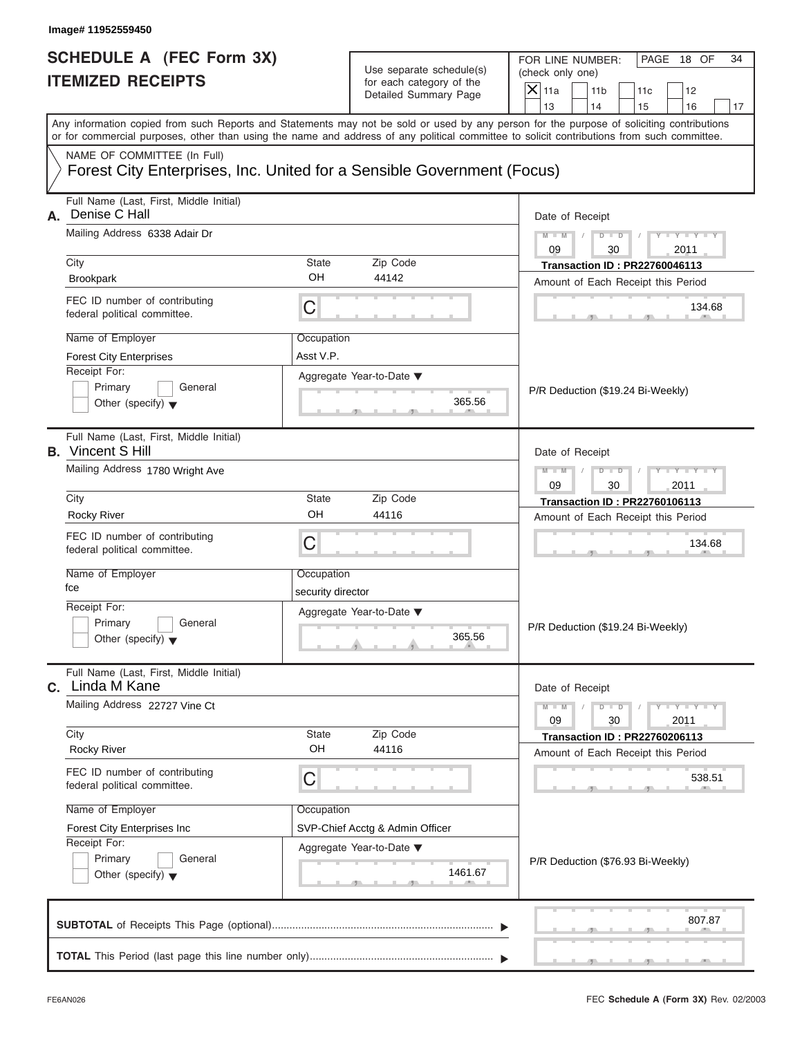| SCHEDULE A (FEC Form 3X) |  |  |
|--------------------------|--|--|
| <b>ITEMIZED RECEIPTS</b> |  |  |

|                                                             | Image# 11952559450                                                                                                                         |                                                               |                                                                               |                                                                                                                                           |
|-------------------------------------------------------------|--------------------------------------------------------------------------------------------------------------------------------------------|---------------------------------------------------------------|-------------------------------------------------------------------------------|-------------------------------------------------------------------------------------------------------------------------------------------|
| <b>SCHEDULE A (FEC Form 3X)</b><br><b>ITEMIZED RECEIPTS</b> |                                                                                                                                            |                                                               | Use separate schedule(s)<br>for each category of the<br>Detailed Summary Page | FOR LINE NUMBER:<br>PAGE 18 OF<br>34<br>(check only one)<br>$X$   11a<br>11 <sub>b</sub><br>11c<br>12                                     |
|                                                             |                                                                                                                                            |                                                               |                                                                               | 13<br>14<br>15<br>16<br>17                                                                                                                |
|                                                             | or for commercial purposes, other than using the name and address of any political committee to solicit contributions from such committee. |                                                               |                                                                               | Any information copied from such Reports and Statements may not be sold or used by any person for the purpose of soliciting contributions |
|                                                             | NAME OF COMMITTEE (In Full)<br>Forest City Enterprises, Inc. United for a Sensible Government (Focus)                                      |                                                               |                                                                               |                                                                                                                                           |
|                                                             | Full Name (Last, First, Middle Initial)<br>Denise C Hall<br>А.                                                                             |                                                               |                                                                               | Date of Receipt                                                                                                                           |
| Mailing Address 6338 Adair Dr                               |                                                                                                                                            |                                                               |                                                                               | $D$ $\Box$ $D$<br>$Y - Y - Y$<br>$M - M$<br>Y L<br>09<br>2011<br>30                                                                       |
|                                                             | City                                                                                                                                       | State                                                         | Zip Code                                                                      | <b>Transaction ID: PR22760046113</b>                                                                                                      |
|                                                             | <b>Brookpark</b>                                                                                                                           | OH                                                            | 44142                                                                         | Amount of Each Receipt this Period                                                                                                        |
|                                                             | FEC ID number of contributing<br>C<br>federal political committee.<br>Name of Employer<br>Occupation                                       |                                                               |                                                                               | 134.68                                                                                                                                    |
|                                                             |                                                                                                                                            |                                                               |                                                                               |                                                                                                                                           |
|                                                             | <b>Forest City Enterprises</b>                                                                                                             | Asst V.P.                                                     |                                                                               |                                                                                                                                           |
|                                                             | Receipt For:<br>Primary<br>General<br>Other (specify) $\blacktriangledown$                                                                 |                                                               | Aggregate Year-to-Date ▼<br>365.56                                            | P/R Deduction (\$19.24 Bi-Weekly)                                                                                                         |
|                                                             | Full Name (Last, First, Middle Initial)<br><b>B.</b> Vincent S Hill                                                                        |                                                               |                                                                               | Date of Receipt                                                                                                                           |
|                                                             | Mailing Address 1780 Wright Ave                                                                                                            | $Y - Y - Y - Y - Y$<br>$D$ $D$<br>$M - M$<br>09<br>30<br>2011 |                                                                               |                                                                                                                                           |
|                                                             | City                                                                                                                                       | State                                                         | Zip Code                                                                      | <b>Transaction ID: PR22760106113</b>                                                                                                      |
|                                                             | <b>Rocky River</b>                                                                                                                         | OH                                                            | 44116                                                                         | Amount of Each Receipt this Period                                                                                                        |
|                                                             | FEC ID number of contributing<br>federal political committee.                                                                              | C                                                             |                                                                               | 134.68                                                                                                                                    |
|                                                             | Name of Employer                                                                                                                           | Occupation                                                    |                                                                               |                                                                                                                                           |
|                                                             | fce                                                                                                                                        | security director                                             |                                                                               |                                                                                                                                           |
|                                                             | Receipt For:                                                                                                                               |                                                               | Aggregate Year-to-Date ▼                                                      |                                                                                                                                           |
|                                                             | Primary<br>General<br>Other (specify) $\blacktriangledown$                                                                                 |                                                               | 365.56                                                                        | P/R Deduction (\$19.24 Bi-Weekly)                                                                                                         |
|                                                             | Full Name (Last, First, Middle Initial)<br>C. Linda M Kane                                                                                 |                                                               |                                                                               | Date of Receipt                                                                                                                           |
|                                                             | Mailing Address 22727 Vine Ct                                                                                                              |                                                               |                                                                               | $Y - Y - Y - I$<br>$M - M$<br>$D$ $D$<br>2011<br>09<br>30                                                                                 |
|                                                             | City<br><b>Rocky River</b>                                                                                                                 | State<br>OH                                                   | Zip Code<br>44116                                                             | <b>Transaction ID: PR22760206113</b><br>Amount of Each Receipt this Period                                                                |
|                                                             | FEC ID number of contributing<br>federal political committee.                                                                              | C                                                             |                                                                               | 538.51                                                                                                                                    |
|                                                             | Name of Employer                                                                                                                           | Occupation                                                    |                                                                               |                                                                                                                                           |
|                                                             | Forest City Enterprises Inc                                                                                                                |                                                               | SVP-Chief Acctg & Admin Officer                                               |                                                                                                                                           |
|                                                             | Receipt For:                                                                                                                               |                                                               | Aggregate Year-to-Date ▼                                                      |                                                                                                                                           |
|                                                             | Primary<br>General<br>Other (specify) $\blacktriangledown$                                                                                 |                                                               | 1461.67                                                                       | P/R Deduction (\$76.93 Bi-Weekly)                                                                                                         |
|                                                             |                                                                                                                                            |                                                               |                                                                               | 807.87                                                                                                                                    |
|                                                             |                                                                                                                                            |                                                               |                                                                               |                                                                                                                                           |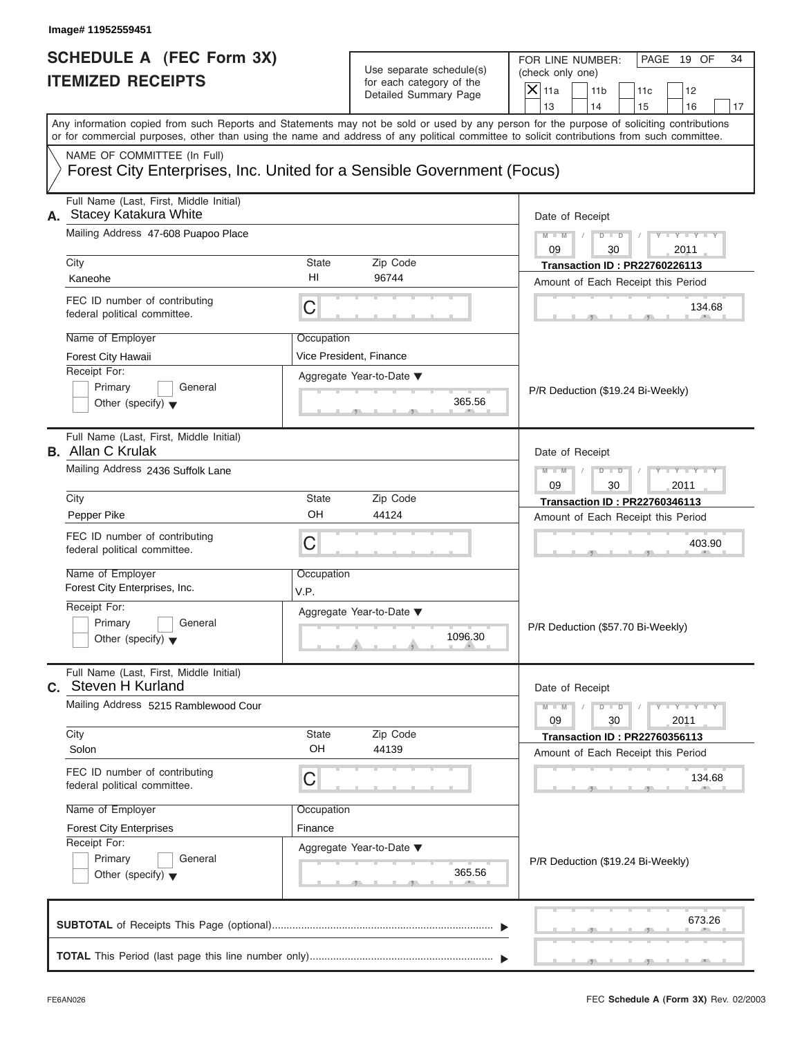| Use separate schedule(s)<br>(check only one)<br>for each category of the<br>$X$ 11a<br>11 <sub>b</sub><br>11c<br>12<br>Detailed Summary Page<br>13<br>14<br>15<br>16<br>Any information copied from such Reports and Statements may not be sold or used by any person for the purpose of soliciting contributions<br>or for commercial purposes, other than using the name and address of any political committee to solicit contributions from such committee.<br>Forest City Enterprises, Inc. United for a Sensible Government (Focus)<br>Date of Receipt<br>$Y - Y - Y - Y - Y$<br>$M - M$<br>$D - D$<br>09<br>30<br>2011<br><b>State</b><br>Zip Code<br><b>Transaction ID: PR22760226113</b><br>HI<br>96744<br>Kaneohe<br>Amount of Each Receipt this Period<br>C<br>134.68<br>Occupation<br>Vice President, Finance<br>Aggregate Year-to-Date ▼<br>Primary<br>General<br>P/R Deduction (\$19.24 Bi-Weekly)<br>365.56<br>Other (specify) $\blacktriangledown$<br>Date of Receipt<br>$Y = Y = Y + Y$<br>$M - M$<br>$D$ $\Box$ $D$<br>09<br>30<br>2011<br><b>State</b><br>Zip Code<br>City<br><b>Transaction ID: PR22760346113</b><br>OH<br>44124<br>Amount of Each Receipt this Period<br>C<br>403.90<br>Occupation<br>V.P.<br>Aggregate Year-to-Date ▼<br>Primary<br>General<br>P/R Deduction (\$57.70 Bi-Weekly)<br>1096.30<br>Other (specify) $\blacktriangledown$<br>C. Steven H Kurland<br>Date of Receipt<br>$M - M$<br>$D - D$<br>$Y - Y - Y - Y - Y$<br>09<br>30<br>2011<br>City<br>State<br>Zip Code<br><b>Transaction ID: PR22760356113</b><br>OH<br>Solon<br>44139<br>Amount of Each Receipt this Period<br>С<br>134.68<br>Name of Employer<br>Occupation<br>Finance<br><b>Forest City Enterprises</b><br>Aggregate Year-to-Date ▼<br>Primary<br>General<br>P/R Deduction (\$19.24 Bi-Weekly)<br>365.56<br>Other (specify) $\blacktriangledown$<br>673.26 | Image# 11952559451<br><b>SCHEDULE A (FEC Form 3X)</b>               |  |  | FOR LINE NUMBER:<br>PAGE 19 OF<br>34 |
|--------------------------------------------------------------------------------------------------------------------------------------------------------------------------------------------------------------------------------------------------------------------------------------------------------------------------------------------------------------------------------------------------------------------------------------------------------------------------------------------------------------------------------------------------------------------------------------------------------------------------------------------------------------------------------------------------------------------------------------------------------------------------------------------------------------------------------------------------------------------------------------------------------------------------------------------------------------------------------------------------------------------------------------------------------------------------------------------------------------------------------------------------------------------------------------------------------------------------------------------------------------------------------------------------------------------------------------------------------------------------------------------------------------------------------------------------------------------------------------------------------------------------------------------------------------------------------------------------------------------------------------------------------------------------------------------------------------------------------------------------------------------------------------------------------------------------------------------------------------------------|---------------------------------------------------------------------|--|--|--------------------------------------|
|                                                                                                                                                                                                                                                                                                                                                                                                                                                                                                                                                                                                                                                                                                                                                                                                                                                                                                                                                                                                                                                                                                                                                                                                                                                                                                                                                                                                                                                                                                                                                                                                                                                                                                                                                                                                                                                                          | <b>ITEMIZED RECEIPTS</b>                                            |  |  |                                      |
|                                                                                                                                                                                                                                                                                                                                                                                                                                                                                                                                                                                                                                                                                                                                                                                                                                                                                                                                                                                                                                                                                                                                                                                                                                                                                                                                                                                                                                                                                                                                                                                                                                                                                                                                                                                                                                                                          |                                                                     |  |  |                                      |
|                                                                                                                                                                                                                                                                                                                                                                                                                                                                                                                                                                                                                                                                                                                                                                                                                                                                                                                                                                                                                                                                                                                                                                                                                                                                                                                                                                                                                                                                                                                                                                                                                                                                                                                                                                                                                                                                          |                                                                     |  |  | 17                                   |
|                                                                                                                                                                                                                                                                                                                                                                                                                                                                                                                                                                                                                                                                                                                                                                                                                                                                                                                                                                                                                                                                                                                                                                                                                                                                                                                                                                                                                                                                                                                                                                                                                                                                                                                                                                                                                                                                          |                                                                     |  |  |                                      |
|                                                                                                                                                                                                                                                                                                                                                                                                                                                                                                                                                                                                                                                                                                                                                                                                                                                                                                                                                                                                                                                                                                                                                                                                                                                                                                                                                                                                                                                                                                                                                                                                                                                                                                                                                                                                                                                                          | NAME OF COMMITTEE (In Full)                                         |  |  |                                      |
|                                                                                                                                                                                                                                                                                                                                                                                                                                                                                                                                                                                                                                                                                                                                                                                                                                                                                                                                                                                                                                                                                                                                                                                                                                                                                                                                                                                                                                                                                                                                                                                                                                                                                                                                                                                                                                                                          | Full Name (Last, First, Middle Initial)<br>A. Stacey Katakura White |  |  |                                      |
|                                                                                                                                                                                                                                                                                                                                                                                                                                                                                                                                                                                                                                                                                                                                                                                                                                                                                                                                                                                                                                                                                                                                                                                                                                                                                                                                                                                                                                                                                                                                                                                                                                                                                                                                                                                                                                                                          | Mailing Address 47-608 Puapoo Place                                 |  |  |                                      |
|                                                                                                                                                                                                                                                                                                                                                                                                                                                                                                                                                                                                                                                                                                                                                                                                                                                                                                                                                                                                                                                                                                                                                                                                                                                                                                                                                                                                                                                                                                                                                                                                                                                                                                                                                                                                                                                                          | City                                                                |  |  |                                      |
|                                                                                                                                                                                                                                                                                                                                                                                                                                                                                                                                                                                                                                                                                                                                                                                                                                                                                                                                                                                                                                                                                                                                                                                                                                                                                                                                                                                                                                                                                                                                                                                                                                                                                                                                                                                                                                                                          |                                                                     |  |  |                                      |
|                                                                                                                                                                                                                                                                                                                                                                                                                                                                                                                                                                                                                                                                                                                                                                                                                                                                                                                                                                                                                                                                                                                                                                                                                                                                                                                                                                                                                                                                                                                                                                                                                                                                                                                                                                                                                                                                          | FEC ID number of contributing<br>federal political committee.       |  |  |                                      |
|                                                                                                                                                                                                                                                                                                                                                                                                                                                                                                                                                                                                                                                                                                                                                                                                                                                                                                                                                                                                                                                                                                                                                                                                                                                                                                                                                                                                                                                                                                                                                                                                                                                                                                                                                                                                                                                                          | Name of Employer                                                    |  |  |                                      |
|                                                                                                                                                                                                                                                                                                                                                                                                                                                                                                                                                                                                                                                                                                                                                                                                                                                                                                                                                                                                                                                                                                                                                                                                                                                                                                                                                                                                                                                                                                                                                                                                                                                                                                                                                                                                                                                                          | Forest City Hawaii                                                  |  |  |                                      |
|                                                                                                                                                                                                                                                                                                                                                                                                                                                                                                                                                                                                                                                                                                                                                                                                                                                                                                                                                                                                                                                                                                                                                                                                                                                                                                                                                                                                                                                                                                                                                                                                                                                                                                                                                                                                                                                                          | Receipt For:                                                        |  |  |                                      |
|                                                                                                                                                                                                                                                                                                                                                                                                                                                                                                                                                                                                                                                                                                                                                                                                                                                                                                                                                                                                                                                                                                                                                                                                                                                                                                                                                                                                                                                                                                                                                                                                                                                                                                                                                                                                                                                                          |                                                                     |  |  |                                      |
|                                                                                                                                                                                                                                                                                                                                                                                                                                                                                                                                                                                                                                                                                                                                                                                                                                                                                                                                                                                                                                                                                                                                                                                                                                                                                                                                                                                                                                                                                                                                                                                                                                                                                                                                                                                                                                                                          |                                                                     |  |  |                                      |
|                                                                                                                                                                                                                                                                                                                                                                                                                                                                                                                                                                                                                                                                                                                                                                                                                                                                                                                                                                                                                                                                                                                                                                                                                                                                                                                                                                                                                                                                                                                                                                                                                                                                                                                                                                                                                                                                          | Full Name (Last, First, Middle Initial)<br><b>B.</b> Allan C Krulak |  |  |                                      |
|                                                                                                                                                                                                                                                                                                                                                                                                                                                                                                                                                                                                                                                                                                                                                                                                                                                                                                                                                                                                                                                                                                                                                                                                                                                                                                                                                                                                                                                                                                                                                                                                                                                                                                                                                                                                                                                                          | Mailing Address 2436 Suffolk Lane                                   |  |  |                                      |
|                                                                                                                                                                                                                                                                                                                                                                                                                                                                                                                                                                                                                                                                                                                                                                                                                                                                                                                                                                                                                                                                                                                                                                                                                                                                                                                                                                                                                                                                                                                                                                                                                                                                                                                                                                                                                                                                          |                                                                     |  |  |                                      |
|                                                                                                                                                                                                                                                                                                                                                                                                                                                                                                                                                                                                                                                                                                                                                                                                                                                                                                                                                                                                                                                                                                                                                                                                                                                                                                                                                                                                                                                                                                                                                                                                                                                                                                                                                                                                                                                                          | Pepper Pike                                                         |  |  |                                      |
|                                                                                                                                                                                                                                                                                                                                                                                                                                                                                                                                                                                                                                                                                                                                                                                                                                                                                                                                                                                                                                                                                                                                                                                                                                                                                                                                                                                                                                                                                                                                                                                                                                                                                                                                                                                                                                                                          | FEC ID number of contributing<br>federal political committee.       |  |  |                                      |
|                                                                                                                                                                                                                                                                                                                                                                                                                                                                                                                                                                                                                                                                                                                                                                                                                                                                                                                                                                                                                                                                                                                                                                                                                                                                                                                                                                                                                                                                                                                                                                                                                                                                                                                                                                                                                                                                          | Name of Employer<br>Forest City Enterprises, Inc.                   |  |  |                                      |
|                                                                                                                                                                                                                                                                                                                                                                                                                                                                                                                                                                                                                                                                                                                                                                                                                                                                                                                                                                                                                                                                                                                                                                                                                                                                                                                                                                                                                                                                                                                                                                                                                                                                                                                                                                                                                                                                          | Receipt For:                                                        |  |  |                                      |
|                                                                                                                                                                                                                                                                                                                                                                                                                                                                                                                                                                                                                                                                                                                                                                                                                                                                                                                                                                                                                                                                                                                                                                                                                                                                                                                                                                                                                                                                                                                                                                                                                                                                                                                                                                                                                                                                          |                                                                     |  |  |                                      |
|                                                                                                                                                                                                                                                                                                                                                                                                                                                                                                                                                                                                                                                                                                                                                                                                                                                                                                                                                                                                                                                                                                                                                                                                                                                                                                                                                                                                                                                                                                                                                                                                                                                                                                                                                                                                                                                                          |                                                                     |  |  |                                      |
|                                                                                                                                                                                                                                                                                                                                                                                                                                                                                                                                                                                                                                                                                                                                                                                                                                                                                                                                                                                                                                                                                                                                                                                                                                                                                                                                                                                                                                                                                                                                                                                                                                                                                                                                                                                                                                                                          | Full Name (Last, First, Middle Initial)                             |  |  |                                      |
|                                                                                                                                                                                                                                                                                                                                                                                                                                                                                                                                                                                                                                                                                                                                                                                                                                                                                                                                                                                                                                                                                                                                                                                                                                                                                                                                                                                                                                                                                                                                                                                                                                                                                                                                                                                                                                                                          | Mailing Address 5215 Ramblewood Cour                                |  |  |                                      |
|                                                                                                                                                                                                                                                                                                                                                                                                                                                                                                                                                                                                                                                                                                                                                                                                                                                                                                                                                                                                                                                                                                                                                                                                                                                                                                                                                                                                                                                                                                                                                                                                                                                                                                                                                                                                                                                                          |                                                                     |  |  |                                      |
|                                                                                                                                                                                                                                                                                                                                                                                                                                                                                                                                                                                                                                                                                                                                                                                                                                                                                                                                                                                                                                                                                                                                                                                                                                                                                                                                                                                                                                                                                                                                                                                                                                                                                                                                                                                                                                                                          |                                                                     |  |  |                                      |
|                                                                                                                                                                                                                                                                                                                                                                                                                                                                                                                                                                                                                                                                                                                                                                                                                                                                                                                                                                                                                                                                                                                                                                                                                                                                                                                                                                                                                                                                                                                                                                                                                                                                                                                                                                                                                                                                          | FEC ID number of contributing<br>federal political committee.       |  |  |                                      |
|                                                                                                                                                                                                                                                                                                                                                                                                                                                                                                                                                                                                                                                                                                                                                                                                                                                                                                                                                                                                                                                                                                                                                                                                                                                                                                                                                                                                                                                                                                                                                                                                                                                                                                                                                                                                                                                                          |                                                                     |  |  |                                      |
|                                                                                                                                                                                                                                                                                                                                                                                                                                                                                                                                                                                                                                                                                                                                                                                                                                                                                                                                                                                                                                                                                                                                                                                                                                                                                                                                                                                                                                                                                                                                                                                                                                                                                                                                                                                                                                                                          |                                                                     |  |  |                                      |
|                                                                                                                                                                                                                                                                                                                                                                                                                                                                                                                                                                                                                                                                                                                                                                                                                                                                                                                                                                                                                                                                                                                                                                                                                                                                                                                                                                                                                                                                                                                                                                                                                                                                                                                                                                                                                                                                          | Receipt For:                                                        |  |  |                                      |
|                                                                                                                                                                                                                                                                                                                                                                                                                                                                                                                                                                                                                                                                                                                                                                                                                                                                                                                                                                                                                                                                                                                                                                                                                                                                                                                                                                                                                                                                                                                                                                                                                                                                                                                                                                                                                                                                          |                                                                     |  |  |                                      |
|                                                                                                                                                                                                                                                                                                                                                                                                                                                                                                                                                                                                                                                                                                                                                                                                                                                                                                                                                                                                                                                                                                                                                                                                                                                                                                                                                                                                                                                                                                                                                                                                                                                                                                                                                                                                                                                                          |                                                                     |  |  |                                      |
|                                                                                                                                                                                                                                                                                                                                                                                                                                                                                                                                                                                                                                                                                                                                                                                                                                                                                                                                                                                                                                                                                                                                                                                                                                                                                                                                                                                                                                                                                                                                                                                                                                                                                                                                                                                                                                                                          |                                                                     |  |  |                                      |
|                                                                                                                                                                                                                                                                                                                                                                                                                                                                                                                                                                                                                                                                                                                                                                                                                                                                                                                                                                                                                                                                                                                                                                                                                                                                                                                                                                                                                                                                                                                                                                                                                                                                                                                                                                                                                                                                          |                                                                     |  |  |                                      |

S S S , , .

a.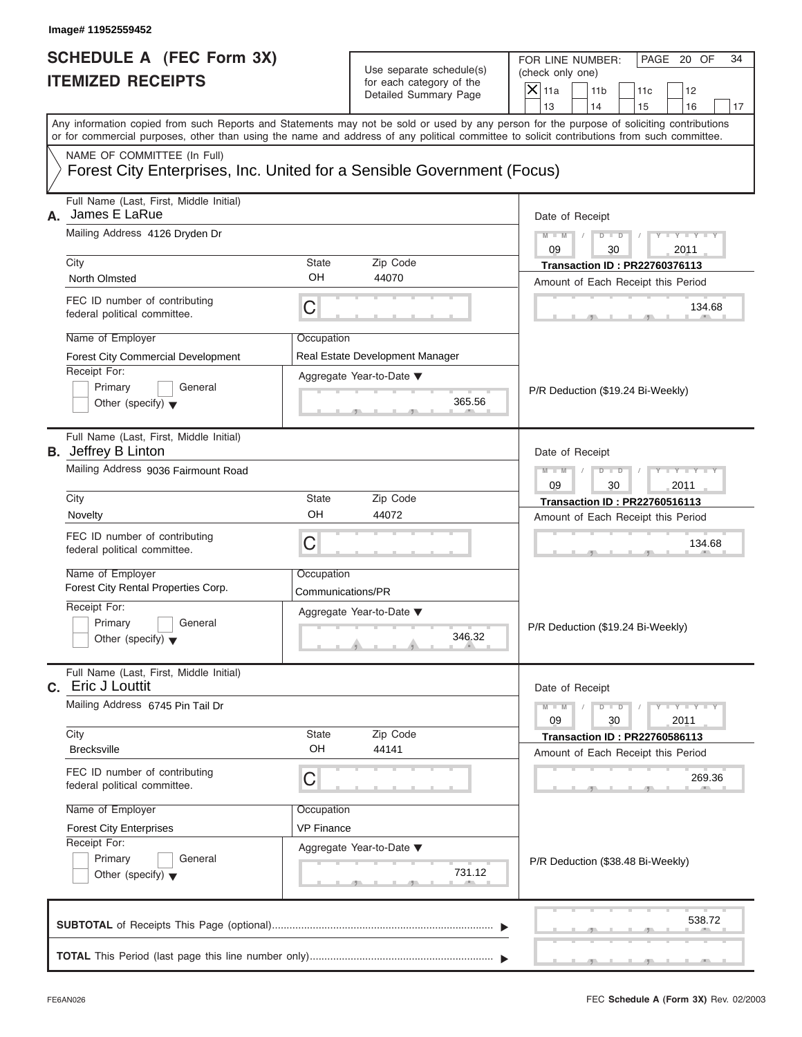| SCHEDULE A (FEC Form 3X) |  |  |
|--------------------------|--|--|
| <b>ITEMIZED RECEIPTS</b> |  |  |

| Image# 11952559452                                                                                                                                                                                                                                                                      |                                 |                                                                               |                                                                                                                                              |
|-----------------------------------------------------------------------------------------------------------------------------------------------------------------------------------------------------------------------------------------------------------------------------------------|---------------------------------|-------------------------------------------------------------------------------|----------------------------------------------------------------------------------------------------------------------------------------------|
| <b>SCHEDULE A (FEC Form 3X)</b><br><b>ITEMIZED RECEIPTS</b>                                                                                                                                                                                                                             |                                 | Use separate schedule(s)<br>for each category of the<br>Detailed Summary Page | FOR LINE NUMBER:<br>PAGE 20 OF<br>34<br>(check only one)<br>$\overline{X}$ 11a<br>11 <sub>b</sub><br>11c<br>12<br>13<br>14<br>15<br>16<br>17 |
| Any information copied from such Reports and Statements may not be sold or used by any person for the purpose of soliciting contributions<br>or for commercial purposes, other than using the name and address of any political committee to solicit contributions from such committee. |                                 |                                                                               |                                                                                                                                              |
| NAME OF COMMITTEE (In Full)<br>Forest City Enterprises, Inc. United for a Sensible Government (Focus)                                                                                                                                                                                   |                                 |                                                                               |                                                                                                                                              |
| Full Name (Last, First, Middle Initial)<br>James E LaRue<br>А.                                                                                                                                                                                                                          |                                 |                                                                               | Date of Receipt                                                                                                                              |
| Mailing Address 4126 Dryden Dr                                                                                                                                                                                                                                                          |                                 |                                                                               | $M - M$<br>$D$ $D$<br>$Y = Y =$<br>09<br>30<br>2011                                                                                          |
| City<br>North Olmsted                                                                                                                                                                                                                                                                   | State<br>OH                     | Zip Code<br>44070                                                             | <b>Transaction ID: PR22760376113</b><br>Amount of Each Receipt this Period                                                                   |
| FEC ID number of contributing<br>federal political committee.                                                                                                                                                                                                                           | С                               |                                                                               | 134.68                                                                                                                                       |
| Name of Employer<br><b>Forest City Commercial Development</b><br>Receipt For:<br>Primary<br>General<br>Other (specify) $\blacktriangledown$                                                                                                                                             | Occupation                      | Real Estate Development Manager<br>Aggregate Year-to-Date ▼<br>365.56         | P/R Deduction (\$19.24 Bi-Weekly)                                                                                                            |
| Full Name (Last, First, Middle Initial)<br><b>B.</b> Jeffrey B Linton<br>Mailing Address 9036 Fairmount Road                                                                                                                                                                            |                                 |                                                                               | Date of Receipt<br>$M - M$<br>$D$ $D$<br>09<br>30<br>2011                                                                                    |
| City<br>Novelty                                                                                                                                                                                                                                                                         | State<br>OH                     | Zip Code<br>44072                                                             | <b>Transaction ID: PR22760516113</b><br>Amount of Each Receipt this Period                                                                   |
| FEC ID number of contributing<br>federal political committee.                                                                                                                                                                                                                           | С                               |                                                                               | 134.68                                                                                                                                       |
| Name of Employer<br>Forest City Rental Properties Corp.<br>Receipt For:<br>Primary<br>General<br>Other (specify) $\blacktriangledown$                                                                                                                                                   | Occupation<br>Communications/PR | Aggregate Year-to-Date ▼<br>346.32                                            | P/R Deduction (\$19.24 Bi-Weekly)                                                                                                            |
| Full Name (Last, First, Middle Initial)<br>C. Eric J Louttit<br>Mailing Address 6745 Pin Tail Dr                                                                                                                                                                                        |                                 |                                                                               | Date of Receipt<br>$M - M$<br>$-\gamma$ - $\gamma$ -<br>$D$ $D$                                                                              |
| City<br><b>Brecksville</b>                                                                                                                                                                                                                                                              | State<br>OH                     | Zip Code<br>44141                                                             | 09<br>30<br>2011<br><b>Transaction ID: PR22760586113</b><br>Amount of Each Receipt this Period                                               |
| FEC ID number of contributing<br>federal political committee.                                                                                                                                                                                                                           | С                               |                                                                               | 269.36                                                                                                                                       |
| Name of Employer<br><b>Forest City Enterprises</b><br>Receipt For:<br>Primary<br>General<br>Other (specify) $\blacktriangledown$                                                                                                                                                        | Occupation<br><b>VP Finance</b> | Aggregate Year-to-Date ▼<br>731.12                                            | P/R Deduction (\$38.48 Bi-Weekly)                                                                                                            |
|                                                                                                                                                                                                                                                                                         |                                 |                                                                               | 538.72<br><u>1. 1. 7. 1. 1. 7. 1. 1.</u>                                                                                                     |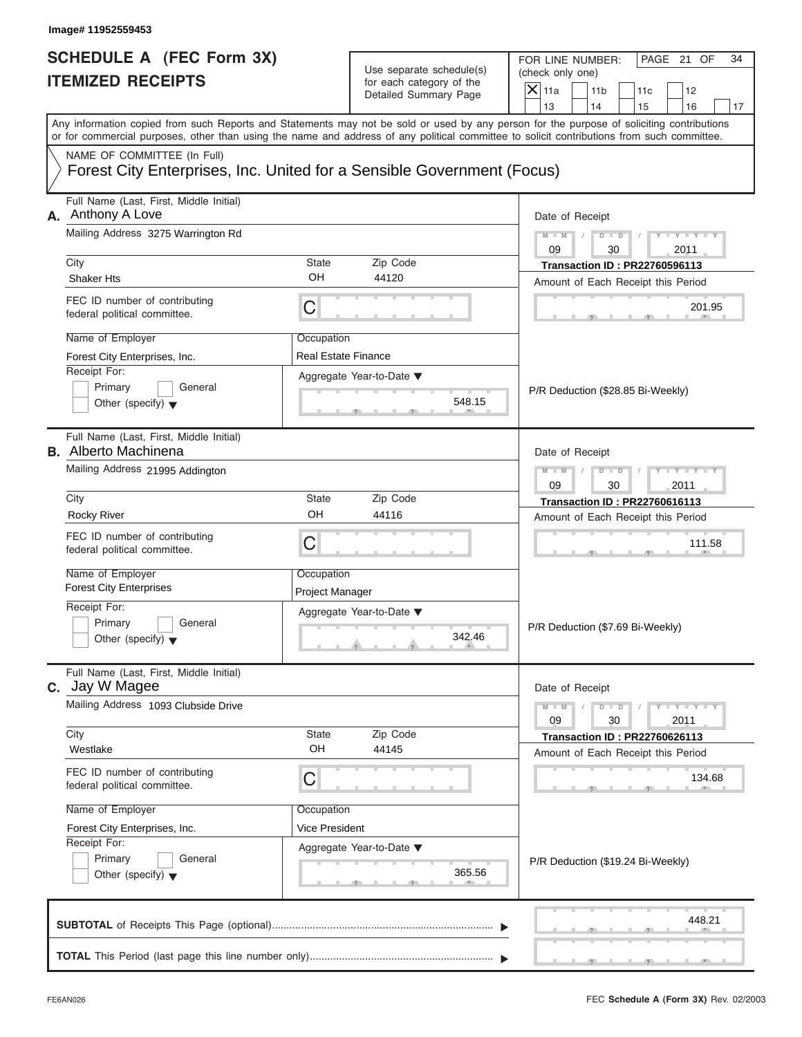| Image# 11952559453<br><b>SCHEDULE A (FEC Form 3X)</b><br><b>ITEMIZED RECEIPTS</b> | Use separate schedule(s)<br>for each category of the                   | FOR LINE NUMBER:<br>PAGE 21 OF<br>34<br>(check only one)                                                                                                                                                                                                                                |
|-----------------------------------------------------------------------------------|------------------------------------------------------------------------|-----------------------------------------------------------------------------------------------------------------------------------------------------------------------------------------------------------------------------------------------------------------------------------------|
|                                                                                   | Detailed Summary Page                                                  | $\mathsf{X}$ 11a<br>11 <sub>b</sub><br>11c<br>12<br>13<br>14<br>15<br>16<br>17                                                                                                                                                                                                          |
|                                                                                   |                                                                        | Any information copied from such Reports and Statements may not be sold or used by any person for the purpose of soliciting contributions<br>or for commercial purposes, other than using the name and address of any political committee to solicit contributions from such committee. |
| NAME OF COMMITTEE (In Full)                                                       | Forest City Enterprises, Inc. United for a Sensible Government (Focus) |                                                                                                                                                                                                                                                                                         |
| Full Name (Last, First, Middle Initial)<br>Anthony A Love<br>А.                   | Date of Receipt                                                        |                                                                                                                                                                                                                                                                                         |
| Mailing Address 3275 Warrington Rd                                                |                                                                        | $Y - Y - Y - Y - Y$<br>$M - M$<br>$D - D$<br>09<br>30<br>2011                                                                                                                                                                                                                           |
| City                                                                              | <b>State</b><br>Zip Code                                               | <b>Transaction ID: PR22760596113</b>                                                                                                                                                                                                                                                    |
| <b>Shaker Hts</b>                                                                 | Amount of Each Receipt this Period                                     |                                                                                                                                                                                                                                                                                         |
| FEC ID number of contributing<br>federal political committee.                     | C                                                                      | 201.95                                                                                                                                                                                                                                                                                  |
| Name of Employer                                                                  | Occupation                                                             |                                                                                                                                                                                                                                                                                         |
| Forest City Enterprises, Inc.                                                     | <b>Real Estate Finance</b>                                             |                                                                                                                                                                                                                                                                                         |
| Receipt For:<br>Primary<br>General<br>Other (specify) $\blacktriangledown$        | Aggregate Year-to-Date ▼<br>548.15                                     | P/R Deduction (\$28.85 Bi-Weekly)                                                                                                                                                                                                                                                       |
| Full Name (Last, First, Middle Initial)<br><b>B.</b> Alberto Machinena            |                                                                        | Date of Receipt                                                                                                                                                                                                                                                                         |
| Mailing Address 21995 Addington                                                   |                                                                        | $Y = Y = Y + Y$<br>$M - M$<br>$D$ $\Box$ $D$<br>09<br>30<br>2011                                                                                                                                                                                                                        |
| City                                                                              | <b>State</b><br>Zip Code                                               | <b>Transaction ID: PR22760616113</b>                                                                                                                                                                                                                                                    |
| <b>Rocky River</b>                                                                | OH<br>44116                                                            | Amount of Each Receipt this Period                                                                                                                                                                                                                                                      |
| FEC ID number of contributing<br>federal political committee.                     | C                                                                      | 111.58                                                                                                                                                                                                                                                                                  |
| Name of Employer<br><b>Forest City Enterprises</b>                                | Occupation<br>Project Manager                                          |                                                                                                                                                                                                                                                                                         |
| Receipt For:                                                                      | Aggregate Year-to-Date ▼                                               |                                                                                                                                                                                                                                                                                         |
| Primary<br>General<br>Other (specify) $\blacktriangledown$                        | 342.46                                                                 | P/R Deduction (\$7.69 Bi-Weekly)                                                                                                                                                                                                                                                        |
| Full Name (Last, First, Middle Initial)<br><b>C.</b> Jay W Magee                  |                                                                        | Date of Receipt                                                                                                                                                                                                                                                                         |
| Mailing Address 1093 Clubside Drive                                               |                                                                        | $M - M$<br>$D - D$<br>$Y - Y - Y - Y - I$<br>09<br>30<br>2011                                                                                                                                                                                                                           |
| City<br>Westlake                                                                  | Zip Code<br>State<br>OH<br>44145                                       | <b>Transaction ID: PR22760626113</b>                                                                                                                                                                                                                                                    |
| FEC ID number of contributing<br>federal political committee.                     | С                                                                      | Amount of Each Receipt this Period<br>134.68                                                                                                                                                                                                                                            |
| Name of Employer                                                                  | Occupation                                                             |                                                                                                                                                                                                                                                                                         |
| Forest City Enterprises, Inc.                                                     | Vice President                                                         |                                                                                                                                                                                                                                                                                         |
| Receipt For:                                                                      | Aggregate Year-to-Date ▼                                               |                                                                                                                                                                                                                                                                                         |
| Primary<br>General<br>Other (specify) $\blacktriangledown$                        | 365.56                                                                 | P/R Deduction (\$19.24 Bi-Weekly)                                                                                                                                                                                                                                                       |
|                                                                                   |                                                                        | 448.21                                                                                                                                                                                                                                                                                  |
|                                                                                   |                                                                        |                                                                                                                                                                                                                                                                                         |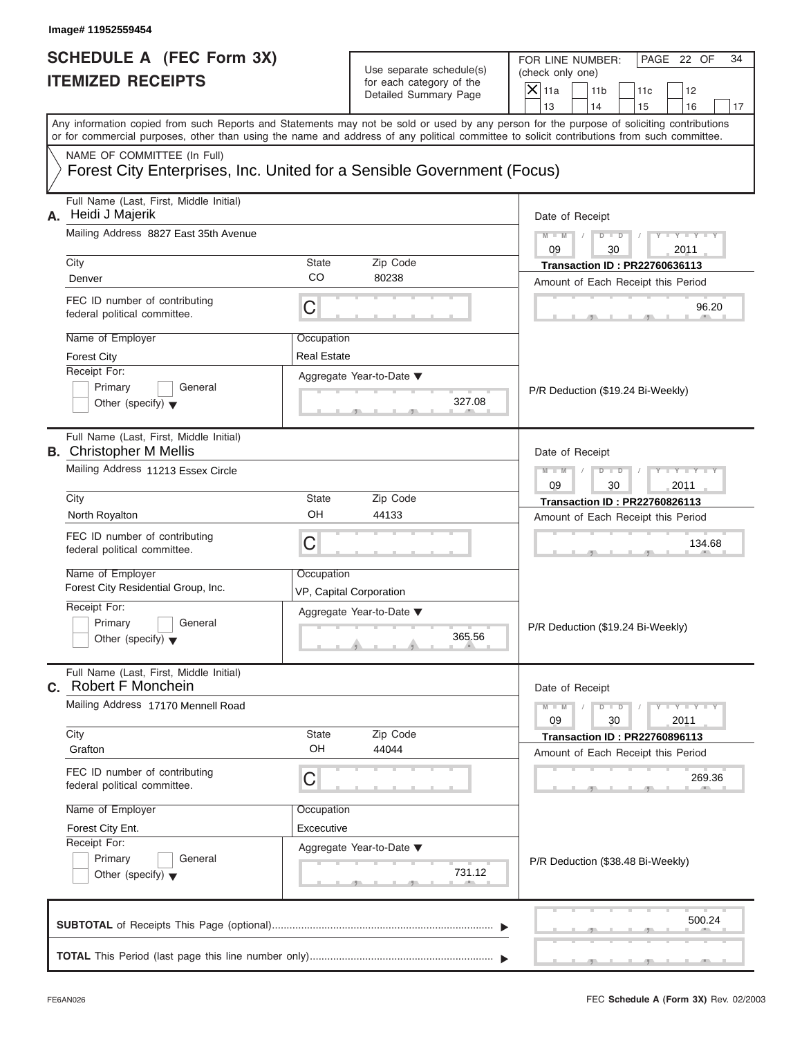| <b>SCHEDULE A (FEC Form 3X)</b>                                                                       |                         | Use separate schedule(s)                          | FOR LINE NUMBER:<br>PAGE 22 OF<br>34<br>(check only one)                                                                                                                                                                                                         |  |  |  |
|-------------------------------------------------------------------------------------------------------|-------------------------|---------------------------------------------------|------------------------------------------------------------------------------------------------------------------------------------------------------------------------------------------------------------------------------------------------------------------|--|--|--|
| <b>ITEMIZED RECEIPTS</b>                                                                              |                         | for each category of the<br>Detailed Summary Page | $\overline{X} _{11a}$<br>11 <sub>b</sub><br>11c<br>12                                                                                                                                                                                                            |  |  |  |
|                                                                                                       |                         |                                                   | 13<br>14<br>15<br>16<br>17<br>Any information copied from such Reports and Statements may not be sold or used by any person for the purpose of soliciting contributions                                                                                          |  |  |  |
|                                                                                                       |                         |                                                   | or for commercial purposes, other than using the name and address of any political committee to solicit contributions from such committee.                                                                                                                       |  |  |  |
| NAME OF COMMITTEE (In Full)<br>Forest City Enterprises, Inc. United for a Sensible Government (Focus) |                         |                                                   |                                                                                                                                                                                                                                                                  |  |  |  |
| Full Name (Last, First, Middle Initial)<br>Heidi J Majerik<br>А.                                      |                         |                                                   | Date of Receipt                                                                                                                                                                                                                                                  |  |  |  |
| Mailing Address 8827 East 35th Avenue                                                                 |                         |                                                   | $Y - Y - Y - Y - Y$<br>$M - M$<br>$\begin{array}{c c c c c c} \hline \multicolumn{3}{c }{\textbf{D} \textbf{I} \textbf{I} \textbf{D}} & \multicolumn{3}{c }{\textbf{D} \textbf{I} \textbf{I}} & \multicolumn{3}{c }{\textbf{A}} \end{array}$<br>09<br>30<br>2011 |  |  |  |
| City<br>Denver                                                                                        | State<br>CO             | Zip Code<br>80238                                 | <b>Transaction ID: PR22760636113</b>                                                                                                                                                                                                                             |  |  |  |
| FEC ID number of contributing                                                                         | C                       |                                                   | Amount of Each Receipt this Period<br>96.20                                                                                                                                                                                                                      |  |  |  |
| federal political committee.                                                                          |                         |                                                   |                                                                                                                                                                                                                                                                  |  |  |  |
| Name of Employer                                                                                      | Occupation              |                                                   |                                                                                                                                                                                                                                                                  |  |  |  |
| <b>Forest City</b><br>Receipt For:                                                                    | <b>Real Estate</b>      |                                                   |                                                                                                                                                                                                                                                                  |  |  |  |
| Primary<br>General<br>Other (specify) $\blacktriangledown$                                            |                         | Aggregate Year-to-Date ▼<br>327.08                | P/R Deduction (\$19.24 Bi-Weekly)                                                                                                                                                                                                                                |  |  |  |
| Full Name (Last, First, Middle Initial)<br><b>B.</b> Christopher M Mellis                             |                         |                                                   | Date of Receipt                                                                                                                                                                                                                                                  |  |  |  |
| Mailing Address 11213 Essex Circle                                                                    |                         |                                                   | $Y = Y = Y' = Y'$<br>$M - M$<br>$D - D$<br>$\sqrt{ }$<br>09<br>30<br>2011                                                                                                                                                                                        |  |  |  |
| City                                                                                                  | State                   | Zip Code                                          | <b>Transaction ID: PR22760826113</b><br>Amount of Each Receipt this Period                                                                                                                                                                                       |  |  |  |
| North Royalton                                                                                        | OH                      | 44133                                             |                                                                                                                                                                                                                                                                  |  |  |  |
| FEC ID number of contributing<br>federal political committee.                                         | C                       |                                                   | 134.68                                                                                                                                                                                                                                                           |  |  |  |
| Name of Employer<br>Forest City Residential Group, Inc.                                               | Occupation              |                                                   |                                                                                                                                                                                                                                                                  |  |  |  |
| Receipt For:                                                                                          | VP, Capital Corporation |                                                   |                                                                                                                                                                                                                                                                  |  |  |  |
| Primary<br>General<br>Other (specify) $\blacktriangledown$                                            |                         | Aggregate Year-to-Date ▼<br>365.56                | P/R Deduction (\$19.24 Bi-Weekly)                                                                                                                                                                                                                                |  |  |  |
| Full Name (Last, First, Middle Initial)<br>C. Robert F Monchein                                       |                         |                                                   | Date of Receipt                                                                                                                                                                                                                                                  |  |  |  |
| Mailing Address 17170 Mennell Road                                                                    |                         |                                                   | $Y - Y - Y - Y - Y$<br>$M - M$<br>$D$ $\Box$ $D$<br>09<br>30<br>2011                                                                                                                                                                                             |  |  |  |
| City<br>Grafton                                                                                       | State<br>OH             | Zip Code<br>44044                                 | <b>Transaction ID: PR22760896113</b>                                                                                                                                                                                                                             |  |  |  |
| FEC ID number of contributing<br>federal political committee.                                         | C                       |                                                   | Amount of Each Receipt this Period<br>269.36                                                                                                                                                                                                                     |  |  |  |
| Name of Employer                                                                                      | Occupation              |                                                   |                                                                                                                                                                                                                                                                  |  |  |  |
| Forest City Ent.                                                                                      | Excecutive              |                                                   |                                                                                                                                                                                                                                                                  |  |  |  |
| Receipt For:                                                                                          |                         | Aggregate Year-to-Date ▼                          |                                                                                                                                                                                                                                                                  |  |  |  |
| Primary<br>General<br>Other (specify) $\blacktriangledown$                                            |                         | 731.12                                            | P/R Deduction (\$38.48 Bi-Weekly)                                                                                                                                                                                                                                |  |  |  |
|                                                                                                       |                         |                                                   | 500.24                                                                                                                                                                                                                                                           |  |  |  |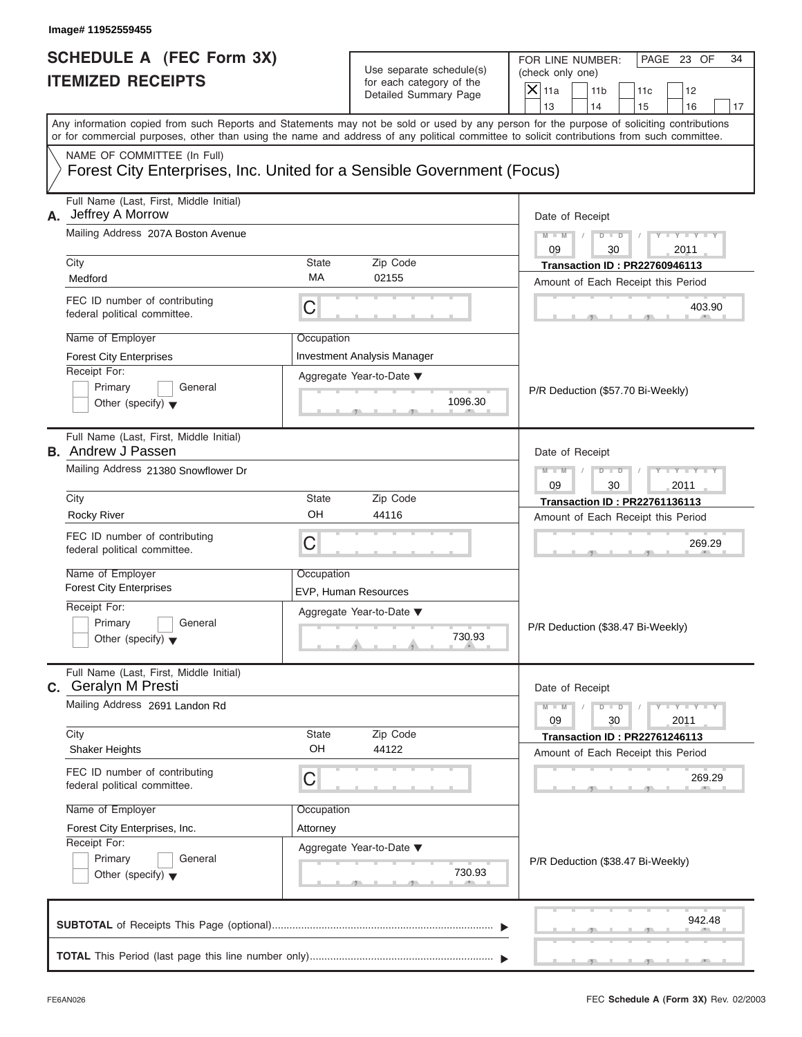| Image# 11952559455                                                                                                               |                        |                                                                               |                                                                                                                                                                                                                                                                                                                       |
|----------------------------------------------------------------------------------------------------------------------------------|------------------------|-------------------------------------------------------------------------------|-----------------------------------------------------------------------------------------------------------------------------------------------------------------------------------------------------------------------------------------------------------------------------------------------------------------------|
| <b>SCHEDULE A (FEC Form 3X)</b><br><b>ITEMIZED RECEIPTS</b>                                                                      |                        | Use separate schedule(s)<br>for each category of the<br>Detailed Summary Page | FOR LINE NUMBER:<br>PAGE 23 OF<br>34<br>(check only one)<br>$\mathsf{X}$ 11a<br>11 <sub>b</sub><br>11c<br>12                                                                                                                                                                                                          |
|                                                                                                                                  |                        |                                                                               | 13<br>14<br>15<br>16<br>17<br>Any information copied from such Reports and Statements may not be sold or used by any person for the purpose of soliciting contributions<br>or for commercial purposes, other than using the name and address of any political committee to solicit contributions from such committee. |
| NAME OF COMMITTEE (In Full)<br>Forest City Enterprises, Inc. United for a Sensible Government (Focus)                            |                        |                                                                               |                                                                                                                                                                                                                                                                                                                       |
| Full Name (Last, First, Middle Initial)<br>Jeffrey A Morrow<br>А.<br>Mailing Address 207A Boston Avenue                          |                        |                                                                               | Date of Receipt                                                                                                                                                                                                                                                                                                       |
|                                                                                                                                  |                        |                                                                               | $M - M$<br>$D$ $\Box$ $D$<br>Y TYT<br>09<br>30<br>2011                                                                                                                                                                                                                                                                |
| City<br>Medford                                                                                                                  | State<br>MA            | Zip Code<br>02155                                                             | <b>Transaction ID: PR22760946113</b><br>Amount of Each Receipt this Period                                                                                                                                                                                                                                            |
| FEC ID number of contributing<br>federal political committee.                                                                    | C                      |                                                                               | 403.90                                                                                                                                                                                                                                                                                                                |
| Name of Employer<br><b>Forest City Enterprises</b><br>Receipt For:<br>Primary<br>General<br>Other (specify) $\blacktriangledown$ | Occupation             | <b>Investment Analysis Manager</b><br>Aggregate Year-to-Date ▼<br>1096.30     | P/R Deduction (\$57.70 Bi-Weekly)                                                                                                                                                                                                                                                                                     |
| Full Name (Last, First, Middle Initial)<br><b>B.</b> Andrew J Passen                                                             |                        |                                                                               | Date of Receipt                                                                                                                                                                                                                                                                                                       |
| Mailing Address 21380 Snowflower Dr                                                                                              |                        |                                                                               | Y T Y T Y T<br>$M - M$<br>$D$ $D$<br>09<br>30<br>2011                                                                                                                                                                                                                                                                 |
| City                                                                                                                             | State                  | Zip Code                                                                      | <b>Transaction ID: PR22761136113</b>                                                                                                                                                                                                                                                                                  |
| <b>Rocky River</b>                                                                                                               | OH                     | 44116                                                                         | Amount of Each Receipt this Period                                                                                                                                                                                                                                                                                    |
| FEC ID number of contributing<br>federal political committee.                                                                    | C                      |                                                                               | 269.29                                                                                                                                                                                                                                                                                                                |
| Name of Employer<br><b>Forest City Enterprises</b>                                                                               | Occupation             | EVP, Human Resources                                                          |                                                                                                                                                                                                                                                                                                                       |
| Receipt For:<br>Primary<br>General<br>Other (specify) $\blacktriangledown$                                                       |                        | Aggregate Year-to-Date ▼<br>730.93                                            | P/R Deduction (\$38.47 Bi-Weekly)                                                                                                                                                                                                                                                                                     |
| Full Name (Last, First, Middle Initial)<br>C. Geralyn M Presti                                                                   |                        |                                                                               | Date of Receipt                                                                                                                                                                                                                                                                                                       |
| Mailing Address 2691 Landon Rd                                                                                                   |                        |                                                                               | $M - M$<br>$Y + Y + Y + Y$<br>$D$ $D$<br>09<br>30<br>2011                                                                                                                                                                                                                                                             |
| City<br><b>Shaker Heights</b>                                                                                                    | State<br>OH            | Zip Code<br>44122                                                             | <b>Transaction ID: PR22761246113</b><br>Amount of Each Receipt this Period                                                                                                                                                                                                                                            |
| FEC ID number of contributing<br>federal political committee.                                                                    | С                      |                                                                               | 269.29                                                                                                                                                                                                                                                                                                                |
| Name of Employer<br>Forest City Enterprises, Inc.<br>Receipt For:<br>Primary<br>General<br>Other (specify) $\blacktriangledown$  | Occupation<br>Attorney | Aggregate Year-to-Date ▼<br>730.93                                            | P/R Deduction (\$38.47 Bi-Weekly)                                                                                                                                                                                                                                                                                     |
|                                                                                                                                  |                        |                                                                               | 942.48                                                                                                                                                                                                                                                                                                                |
|                                                                                                                                  |                        |                                                                               |                                                                                                                                                                                                                                                                                                                       |

S S S , , .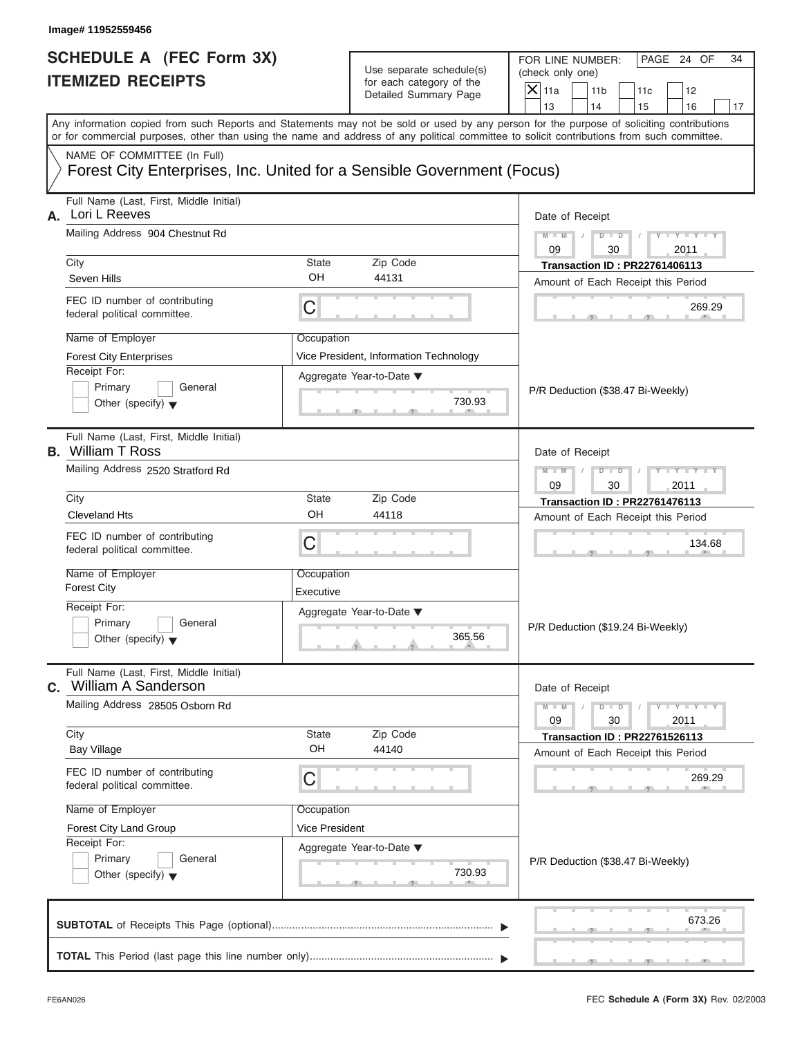| <b>SCHEDULE A (FEC Form 3X)</b> |  |  |
|---------------------------------|--|--|
| <b>ITEMIZED RECEIPTS</b>        |  |  |

|    | Image# 11952559456                                                                                                                                                                                                                                                                                                                                                                                                                                                                                                                                                                                                                                          |                |                                                                               |                                                                                               |    |  |  |
|----|-------------------------------------------------------------------------------------------------------------------------------------------------------------------------------------------------------------------------------------------------------------------------------------------------------------------------------------------------------------------------------------------------------------------------------------------------------------------------------------------------------------------------------------------------------------------------------------------------------------------------------------------------------------|----------------|-------------------------------------------------------------------------------|-----------------------------------------------------------------------------------------------|----|--|--|
|    | <b>SCHEDULE A (FEC Form 3X)</b><br><b>ITEMIZED RECEIPTS</b>                                                                                                                                                                                                                                                                                                                                                                                                                                                                                                                                                                                                 |                | Use separate schedule(s)<br>for each category of the<br>Detailed Summary Page | FOR LINE NUMBER:<br>PAGE 24 OF<br>(check only one)<br>$X$ 11a<br>11 <sub>b</sub><br>11c<br>12 | 34 |  |  |
|    |                                                                                                                                                                                                                                                                                                                                                                                                                                                                                                                                                                                                                                                             |                |                                                                               | 13<br>14<br>15<br>16                                                                          | 17 |  |  |
|    |                                                                                                                                                                                                                                                                                                                                                                                                                                                                                                                                                                                                                                                             |                |                                                                               |                                                                                               |    |  |  |
|    | NAME OF COMMITTEE (In Full)                                                                                                                                                                                                                                                                                                                                                                                                                                                                                                                                                                                                                                 |                |                                                                               |                                                                                               |    |  |  |
|    |                                                                                                                                                                                                                                                                                                                                                                                                                                                                                                                                                                                                                                                             |                |                                                                               |                                                                                               |    |  |  |
| А. | Full Name (Last, First, Middle Initial)<br>Lori L Reeves                                                                                                                                                                                                                                                                                                                                                                                                                                                                                                                                                                                                    |                |                                                                               | Date of Receipt                                                                               |    |  |  |
|    | Mailing Address 904 Chestnut Rd                                                                                                                                                                                                                                                                                                                                                                                                                                                                                                                                                                                                                             |                |                                                                               | $D$ $D$<br>$Y - Y - Y - Y$<br>$M - M$<br>09<br>30<br>2011                                     |    |  |  |
|    | City                                                                                                                                                                                                                                                                                                                                                                                                                                                                                                                                                                                                                                                        | <b>State</b>   | Zip Code                                                                      | <b>Transaction ID: PR22761406113</b>                                                          |    |  |  |
|    | Seven Hills                                                                                                                                                                                                                                                                                                                                                                                                                                                                                                                                                                                                                                                 | OH             | 44131                                                                         | Amount of Each Receipt this Period                                                            |    |  |  |
|    | FEC ID number of contributing<br>C<br>federal political committee.<br>Name of Employer<br>Occupation                                                                                                                                                                                                                                                                                                                                                                                                                                                                                                                                                        |                |                                                                               | 269.29                                                                                        |    |  |  |
|    |                                                                                                                                                                                                                                                                                                                                                                                                                                                                                                                                                                                                                                                             |                |                                                                               |                                                                                               |    |  |  |
|    | <b>Forest City Enterprises</b>                                                                                                                                                                                                                                                                                                                                                                                                                                                                                                                                                                                                                              |                | Vice President, Information Technology                                        |                                                                                               |    |  |  |
|    | Receipt For:                                                                                                                                                                                                                                                                                                                                                                                                                                                                                                                                                                                                                                                |                | Aggregate Year-to-Date ▼                                                      |                                                                                               |    |  |  |
|    | Primary<br>General                                                                                                                                                                                                                                                                                                                                                                                                                                                                                                                                                                                                                                          |                |                                                                               | P/R Deduction (\$38.47 Bi-Weekly)                                                             |    |  |  |
|    |                                                                                                                                                                                                                                                                                                                                                                                                                                                                                                                                                                                                                                                             |                | 730.93                                                                        |                                                                                               |    |  |  |
|    | Full Name (Last, First, Middle Initial)                                                                                                                                                                                                                                                                                                                                                                                                                                                                                                                                                                                                                     |                |                                                                               | Date of Receipt                                                                               |    |  |  |
|    | Mailing Address 2520 Stratford Rd                                                                                                                                                                                                                                                                                                                                                                                                                                                                                                                                                                                                                           |                |                                                                               | $Y - Y - Y - Y$<br>$M - M$<br>$D$ $D$                                                         |    |  |  |
|    |                                                                                                                                                                                                                                                                                                                                                                                                                                                                                                                                                                                                                                                             |                |                                                                               | 09<br>30<br>2011                                                                              |    |  |  |
|    | City                                                                                                                                                                                                                                                                                                                                                                                                                                                                                                                                                                                                                                                        |                | Zip Code                                                                      | <b>Transaction ID: PR22761476113</b>                                                          |    |  |  |
|    |                                                                                                                                                                                                                                                                                                                                                                                                                                                                                                                                                                                                                                                             |                | 44118                                                                         | Amount of Each Receipt this Period                                                            |    |  |  |
|    | OH<br><b>Cleveland Hts</b><br>FEC ID number of contributing<br>C<br>federal political committee.                                                                                                                                                                                                                                                                                                                                                                                                                                                                                                                                                            |                |                                                                               | 134.68                                                                                        |    |  |  |
|    | Name of Employer                                                                                                                                                                                                                                                                                                                                                                                                                                                                                                                                                                                                                                            | Occupation     |                                                                               |                                                                                               |    |  |  |
|    | <b>Forest City</b>                                                                                                                                                                                                                                                                                                                                                                                                                                                                                                                                                                                                                                          | Executive      |                                                                               |                                                                                               |    |  |  |
|    | Receipt For:                                                                                                                                                                                                                                                                                                                                                                                                                                                                                                                                                                                                                                                |                | Aggregate Year-to-Date ▼                                                      |                                                                                               |    |  |  |
|    |                                                                                                                                                                                                                                                                                                                                                                                                                                                                                                                                                                                                                                                             |                | 365.56                                                                        | P/R Deduction (\$19.24 Bi-Weekly)                                                             |    |  |  |
|    |                                                                                                                                                                                                                                                                                                                                                                                                                                                                                                                                                                                                                                                             |                |                                                                               |                                                                                               |    |  |  |
| C. | Full Name (Last, First, Middle Initial)                                                                                                                                                                                                                                                                                                                                                                                                                                                                                                                                                                                                                     |                |                                                                               | Date of Receipt                                                                               |    |  |  |
|    | Mailing Address 28505 Osborn Rd                                                                                                                                                                                                                                                                                                                                                                                                                                                                                                                                                                                                                             |                |                                                                               | $-1 - Y$ $-1 - Y$ $-1$<br>$M - M$<br>$D$ $D$                                                  |    |  |  |
|    |                                                                                                                                                                                                                                                                                                                                                                                                                                                                                                                                                                                                                                                             |                |                                                                               | 09<br>2011<br>30                                                                              |    |  |  |
|    | City                                                                                                                                                                                                                                                                                                                                                                                                                                                                                                                                                                                                                                                        | State          | Zip Code                                                                      | <b>Transaction ID: PR22761526113</b>                                                          |    |  |  |
|    |                                                                                                                                                                                                                                                                                                                                                                                                                                                                                                                                                                                                                                                             |                | 44140                                                                         | Amount of Each Receipt this Period                                                            |    |  |  |
|    | FEC ID number of contributing<br>federal political committee.                                                                                                                                                                                                                                                                                                                                                                                                                                                                                                                                                                                               | C              |                                                                               | 269.29                                                                                        |    |  |  |
|    | Name of Employer                                                                                                                                                                                                                                                                                                                                                                                                                                                                                                                                                                                                                                            | Occupation     |                                                                               |                                                                                               |    |  |  |
|    | Forest City Land Group                                                                                                                                                                                                                                                                                                                                                                                                                                                                                                                                                                                                                                      | Vice President |                                                                               |                                                                                               |    |  |  |
|    | Any information copied from such Reports and Statements may not be sold or used by any person for the purpose of soliciting contributions<br>or for commercial purposes, other than using the name and address of any political committee to solicit contributions from such committee.<br>Forest City Enterprises, Inc. United for a Sensible Government (Focus)<br>Other (specify) $\blacktriangledown$<br><b>B.</b> William T Ross<br><b>State</b><br>Primary<br>General<br>Other (specify) $\blacktriangledown$<br><b>William A Sanderson</b><br>OН<br><b>Bay Village</b><br>Receipt For:<br>Primary<br>General<br>Other (specify) $\blacktriangledown$ |                | Aggregate Year-to-Date ▼                                                      |                                                                                               |    |  |  |
|    |                                                                                                                                                                                                                                                                                                                                                                                                                                                                                                                                                                                                                                                             |                |                                                                               | P/R Deduction (\$38.47 Bi-Weekly)                                                             |    |  |  |
|    |                                                                                                                                                                                                                                                                                                                                                                                                                                                                                                                                                                                                                                                             |                | 730.93                                                                        |                                                                                               |    |  |  |
|    |                                                                                                                                                                                                                                                                                                                                                                                                                                                                                                                                                                                                                                                             |                |                                                                               |                                                                                               |    |  |  |
|    |                                                                                                                                                                                                                                                                                                                                                                                                                                                                                                                                                                                                                                                             |                |                                                                               | 673.26                                                                                        |    |  |  |
|    |                                                                                                                                                                                                                                                                                                                                                                                                                                                                                                                                                                                                                                                             |                |                                                                               |                                                                                               |    |  |  |
|    |                                                                                                                                                                                                                                                                                                                                                                                                                                                                                                                                                                                                                                                             |                |                                                                               |                                                                                               |    |  |  |

S S S , , .

a.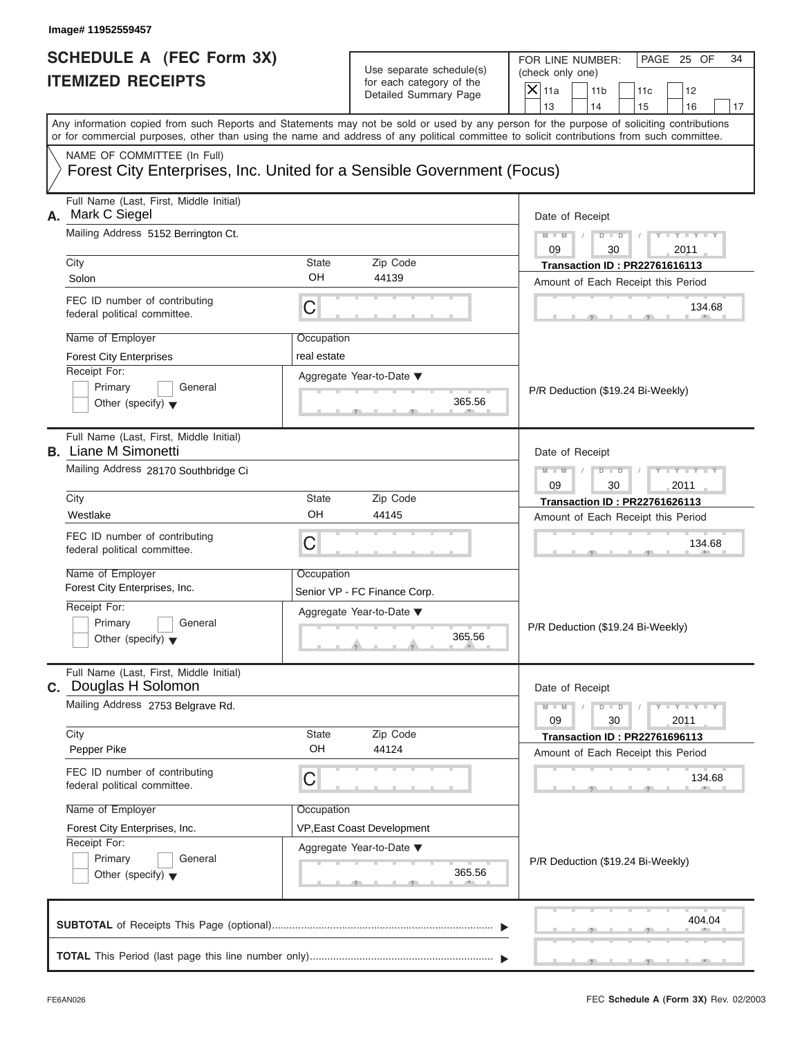| Image# 11952559457                                                                                                               |                                                       |                                                                               |                                                                                                                                                                                                                                                                                         |
|----------------------------------------------------------------------------------------------------------------------------------|-------------------------------------------------------|-------------------------------------------------------------------------------|-----------------------------------------------------------------------------------------------------------------------------------------------------------------------------------------------------------------------------------------------------------------------------------------|
| <b>SCHEDULE A (FEC Form 3X)</b><br><b>ITEMIZED RECEIPTS</b>                                                                      |                                                       | Use separate schedule(s)<br>for each category of the<br>Detailed Summary Page | FOR LINE NUMBER:<br>PAGE 25 OF<br>34<br>(check only one)<br>$\mathsf{X}$ 11a<br>11 <sub>b</sub><br>11c<br>12<br>13<br>14<br>15<br>16<br>17                                                                                                                                              |
|                                                                                                                                  |                                                       |                                                                               | Any information copied from such Reports and Statements may not be sold or used by any person for the purpose of soliciting contributions<br>or for commercial purposes, other than using the name and address of any political committee to solicit contributions from such committee. |
| NAME OF COMMITTEE (In Full)<br>Forest City Enterprises, Inc. United for a Sensible Government (Focus)                            |                                                       |                                                                               |                                                                                                                                                                                                                                                                                         |
| Full Name (Last, First, Middle Initial)<br>Mark C Siegel<br>А.<br>Mailing Address 5152 Berrington Ct.                            |                                                       |                                                                               | Date of Receipt<br>$D$ $\Box$ $D$<br>Y TYT<br>$M - M$                                                                                                                                                                                                                                   |
| City                                                                                                                             | <b>State</b>                                          | Zip Code                                                                      | 09<br>2011<br>30<br><b>Transaction ID: PR22761616113</b>                                                                                                                                                                                                                                |
| Solon                                                                                                                            | OH                                                    | 44139                                                                         | Amount of Each Receipt this Period                                                                                                                                                                                                                                                      |
| FEC ID number of contributing<br>federal political committee.                                                                    | C                                                     |                                                                               | 134.68                                                                                                                                                                                                                                                                                  |
| Name of Employer<br><b>Forest City Enterprises</b><br>Receipt For:<br>Primary<br>General<br>Other (specify) $\blacktriangledown$ | Occupation<br>real estate<br>Aggregate Year-to-Date ▼ | 365.56                                                                        | P/R Deduction (\$19.24 Bi-Weekly)                                                                                                                                                                                                                                                       |
| Full Name (Last, First, Middle Initial)<br><b>B.</b> Liane M Simonetti<br>Mailing Address 28170 Southbridge Ci                   |                                                       |                                                                               | Date of Receipt<br>$M - M$<br>$D$ $D$<br>Y T Y T<br>09<br>30<br>2011                                                                                                                                                                                                                    |
| City                                                                                                                             | <b>State</b>                                          | Zip Code                                                                      | <b>Transaction ID: PR22761626113</b>                                                                                                                                                                                                                                                    |
| Westlake                                                                                                                         | OH                                                    | 44145                                                                         | Amount of Each Receipt this Period                                                                                                                                                                                                                                                      |
| FEC ID number of contributing<br>federal political committee.                                                                    | C                                                     |                                                                               | 134.68                                                                                                                                                                                                                                                                                  |
| Name of Employer<br>Forest City Enterprises, Inc.                                                                                | Occupation<br>Senior VP - FC Finance Corp.            |                                                                               |                                                                                                                                                                                                                                                                                         |
| Receipt For:<br>Primary<br>General<br>Other (specify) $\blacktriangledown$                                                       | Aggregate Year-to-Date ▼                              | 365.56                                                                        | P/R Deduction (\$19.24 Bi-Weekly)                                                                                                                                                                                                                                                       |
| Full Name (Last, First, Middle Initial)<br>C. Douglas H Solomon                                                                  |                                                       |                                                                               | Date of Receipt                                                                                                                                                                                                                                                                         |
| Mailing Address 2753 Belgrave Rd.<br>City                                                                                        |                                                       | Zip Code                                                                      | $M - M$<br>$Y = Y$<br>$D$ $D$<br>09<br>2011<br>30                                                                                                                                                                                                                                       |
| Pepper Pike                                                                                                                      | State<br>OH                                           | 44124                                                                         | <b>Transaction ID: PR22761696113</b><br>Amount of Each Receipt this Period                                                                                                                                                                                                              |
| FEC ID number of contributing<br>federal political committee.                                                                    | С                                                     |                                                                               | 134.68                                                                                                                                                                                                                                                                                  |
| Name of Employer                                                                                                                 | Occupation                                            |                                                                               |                                                                                                                                                                                                                                                                                         |
| Forest City Enterprises, Inc.                                                                                                    | VP, East Coast Development                            |                                                                               |                                                                                                                                                                                                                                                                                         |
| Receipt For:<br>Primary<br>General<br>Other (specify) $\blacktriangledown$                                                       | Aggregate Year-to-Date ▼                              | 365.56                                                                        | P/R Deduction (\$19.24 Bi-Weekly)                                                                                                                                                                                                                                                       |
|                                                                                                                                  |                                                       |                                                                               | 404.04                                                                                                                                                                                                                                                                                  |
|                                                                                                                                  |                                                       |                                                                               |                                                                                                                                                                                                                                                                                         |

S S S , , .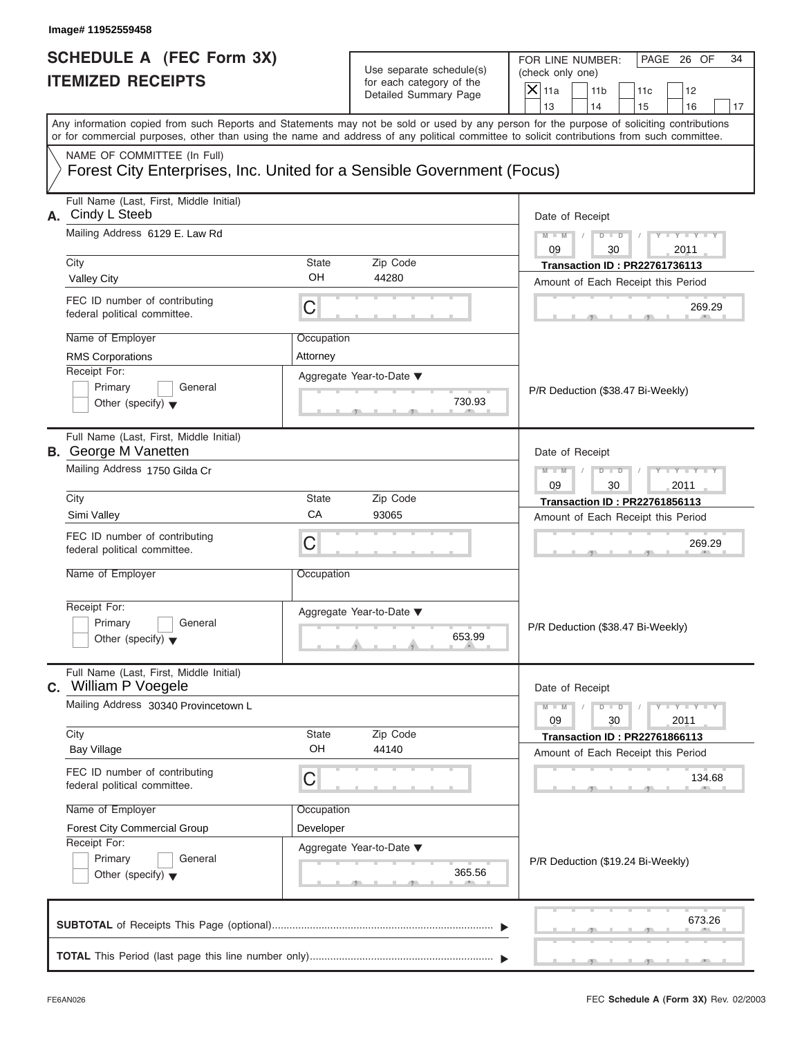| <b>SCHEDULE A (FEC Form 3X)</b> |  |  |
|---------------------------------|--|--|
| <b>ITEMIZED RECEIPTS</b>        |  |  |

| Image# 11952559458                                                                                                                    |                         |                                                                               |                                                                                                                                                                                                                                                                                         |
|---------------------------------------------------------------------------------------------------------------------------------------|-------------------------|-------------------------------------------------------------------------------|-----------------------------------------------------------------------------------------------------------------------------------------------------------------------------------------------------------------------------------------------------------------------------------------|
| <b>SCHEDULE A (FEC Form 3X)</b><br><b>ITEMIZED RECEIPTS</b>                                                                           |                         | Use separate schedule(s)<br>for each category of the<br>Detailed Summary Page | FOR LINE NUMBER:<br>PAGE 26 OF<br>34<br>(check only one)<br>$\overline{X}$ 11a<br>11 <sub>b</sub><br>11c<br>12<br>13<br>14<br>15<br>16<br>17                                                                                                                                            |
|                                                                                                                                       |                         |                                                                               | Any information copied from such Reports and Statements may not be sold or used by any person for the purpose of soliciting contributions<br>or for commercial purposes, other than using the name and address of any political committee to solicit contributions from such committee. |
| NAME OF COMMITTEE (In Full)<br>Forest City Enterprises, Inc. United for a Sensible Government (Focus)                                 |                         |                                                                               |                                                                                                                                                                                                                                                                                         |
| Full Name (Last, First, Middle Initial)<br>A. Cindy L Steeb<br>Mailing Address 6129 E. Law Rd                                         |                         |                                                                               | Date of Receipt<br>$M - M$<br>$D$ $D$<br>$Y = Y = Y$                                                                                                                                                                                                                                    |
|                                                                                                                                       | State                   |                                                                               | 09<br>30<br>2011                                                                                                                                                                                                                                                                        |
| City<br><b>Valley City</b>                                                                                                            | OH                      | Zip Code<br>44280                                                             | <b>Transaction ID: PR22761736113</b>                                                                                                                                                                                                                                                    |
| FEC ID number of contributing<br>federal political committee.                                                                         | С                       |                                                                               | Amount of Each Receipt this Period<br>269.29                                                                                                                                                                                                                                            |
| Name of Employer<br><b>RMS Corporations</b><br>Receipt For:<br>Primary<br>General<br>Other (specify) $\blacktriangledown$             | Occupation<br>Attorney  | Aggregate Year-to-Date ▼<br>730.93                                            | P/R Deduction (\$38.47 Bi-Weekly)                                                                                                                                                                                                                                                       |
| Full Name (Last, First, Middle Initial)<br><b>B.</b> George M Vanetten<br>Mailing Address 1750 Gilda Cr                               |                         |                                                                               | Date of Receipt<br>$M - M$<br>$D$ $D$<br>$Y - Y - Y - I$<br>09<br>30<br>2011                                                                                                                                                                                                            |
| City                                                                                                                                  | State                   | Zip Code                                                                      | <b>Transaction ID: PR22761856113</b>                                                                                                                                                                                                                                                    |
| Simi Valley                                                                                                                           | CA                      | 93065                                                                         | Amount of Each Receipt this Period                                                                                                                                                                                                                                                      |
| FEC ID number of contributing<br>federal political committee.                                                                         | С                       |                                                                               | 269.29                                                                                                                                                                                                                                                                                  |
| Name of Employer<br>Receipt For:<br>Primary<br>General<br>Other (specify) $\blacktriangledown$                                        | Occupation              | Aggregate Year-to-Date ▼<br>653.99                                            | P/R Deduction (\$38.47 Bi-Weekly)                                                                                                                                                                                                                                                       |
| Full Name (Last, First, Middle Initial)<br><b>c.</b> William P Voegele                                                                |                         |                                                                               | Date of Receipt                                                                                                                                                                                                                                                                         |
| Mailing Address 30340 Provincetown L                                                                                                  |                         |                                                                               | $M - M$<br>$\mathbf{I} = \mathbf{Y} + \mathbf{I} - \mathbf{Y}$<br>$D$ $D$<br>09<br>30<br>2011                                                                                                                                                                                           |
| City<br><b>Bay Village</b>                                                                                                            | State<br>OH             | Zip Code<br>44140                                                             | <b>Transaction ID: PR22761866113</b><br>Amount of Each Receipt this Period                                                                                                                                                                                                              |
| FEC ID number of contributing<br>federal political committee.                                                                         | С                       |                                                                               | 134.68                                                                                                                                                                                                                                                                                  |
| Name of Employer<br><b>Forest City Commercial Group</b><br>Receipt For:<br>Primary<br>General<br>Other (specify) $\blacktriangledown$ | Occupation<br>Developer | Aggregate Year-to-Date ▼<br>365.56                                            | P/R Deduction (\$19.24 Bi-Weekly)                                                                                                                                                                                                                                                       |
|                                                                                                                                       |                         |                                                                               | 673.26                                                                                                                                                                                                                                                                                  |
|                                                                                                                                       |                         |                                                                               |                                                                                                                                                                                                                                                                                         |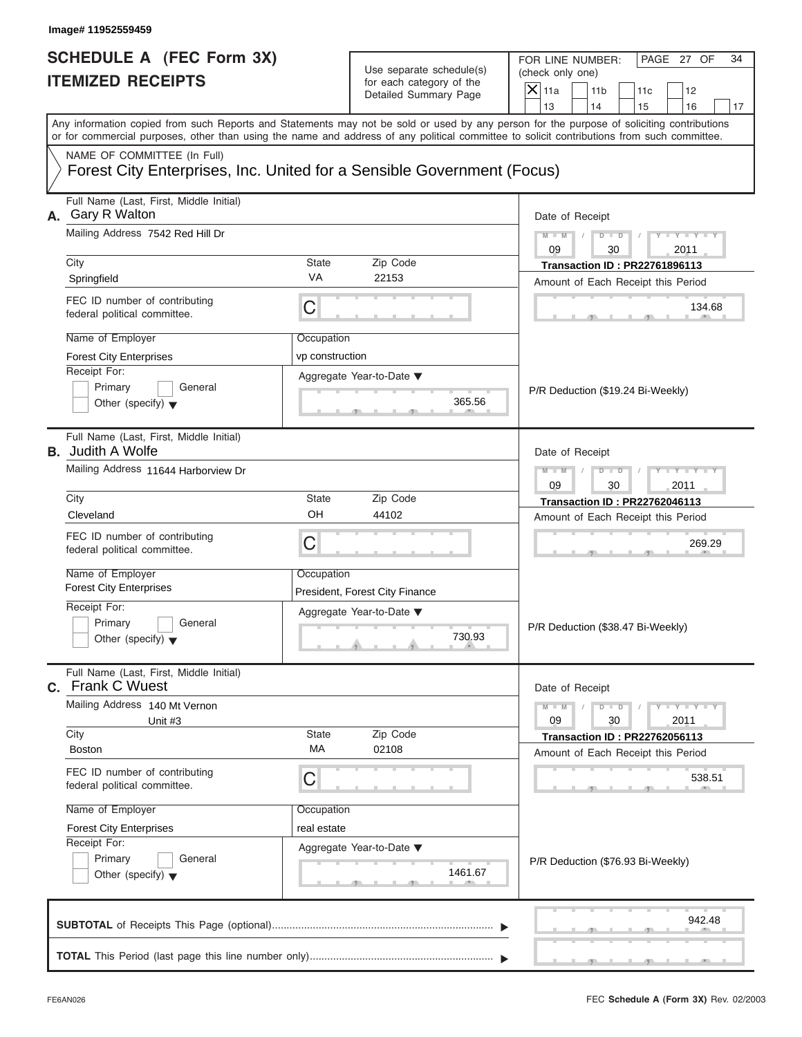| <b>SCHEDULE A (FEC Form 3X)</b><br><b>ITEMIZED RECEIPTS</b>                                                                                                                                                                                                                             |                 | Use separate schedule(s)<br>for each category of the |               | FOR LINE NUMBER:<br>(check only one) |                                                                            | PAGE 27 OF                  | 34 |
|-----------------------------------------------------------------------------------------------------------------------------------------------------------------------------------------------------------------------------------------------------------------------------------------|-----------------|------------------------------------------------------|---------------|--------------------------------------|----------------------------------------------------------------------------|-----------------------------|----|
|                                                                                                                                                                                                                                                                                         |                 | Detailed Summary Page                                | $X$ 11a<br>13 | 11 <sub>b</sub><br>14                | 11c<br>15                                                                  | 12<br>16                    |    |
| Any information copied from such Reports and Statements may not be sold or used by any person for the purpose of soliciting contributions<br>or for commercial purposes, other than using the name and address of any political committee to solicit contributions from such committee. |                 |                                                      |               |                                      |                                                                            |                             | 17 |
| NAME OF COMMITTEE (In Full)<br>Forest City Enterprises, Inc. United for a Sensible Government (Focus)                                                                                                                                                                                   |                 |                                                      |               |                                      |                                                                            |                             |    |
| Full Name (Last, First, Middle Initial)<br>A. Gary R Walton                                                                                                                                                                                                                             |                 |                                                      |               | Date of Receipt                      |                                                                            |                             |    |
| Mailing Address 7542 Red Hill Dr                                                                                                                                                                                                                                                        |                 |                                                      | $M - M$<br>09 | $D - D$<br>30                        |                                                                            | $Y - Y - Y - Y - Y$<br>2011 |    |
| <b>State</b><br>Zip Code<br>City                                                                                                                                                                                                                                                        |                 |                                                      |               | <b>Transaction ID: PR22761896113</b> |                                                                            |                             |    |
| Springfield                                                                                                                                                                                                                                                                             | <b>VA</b>       | 22153                                                |               |                                      | Amount of Each Receipt this Period                                         |                             |    |
| FEC ID number of contributing<br>federal political committee.                                                                                                                                                                                                                           | C               |                                                      |               |                                      |                                                                            | 134.68                      |    |
| Name of Employer                                                                                                                                                                                                                                                                        | Occupation      |                                                      |               |                                      |                                                                            |                             |    |
| <b>Forest City Enterprises</b>                                                                                                                                                                                                                                                          | vp construction |                                                      |               |                                      |                                                                            |                             |    |
| Receipt For:                                                                                                                                                                                                                                                                            |                 | Aggregate Year-to-Date ▼                             |               |                                      |                                                                            |                             |    |
| Primary<br>General                                                                                                                                                                                                                                                                      |                 |                                                      |               |                                      | P/R Deduction (\$19.24 Bi-Weekly)                                          |                             |    |
| Other (specify) $\blacktriangledown$                                                                                                                                                                                                                                                    |                 | 365.56                                               |               |                                      |                                                                            |                             |    |
| Full Name (Last, First, Middle Initial)<br><b>B.</b> Judith A Wolfe                                                                                                                                                                                                                     |                 |                                                      |               | Date of Receipt                      |                                                                            |                             |    |
| Mailing Address 11644 Harborview Dr                                                                                                                                                                                                                                                     |                 |                                                      | $M - M$       | $D$ $\Box$ $D$                       |                                                                            | $Y = Y = Y + Y$             |    |
|                                                                                                                                                                                                                                                                                         |                 |                                                      | 09            | 30                                   |                                                                            | 2011                        |    |
| City                                                                                                                                                                                                                                                                                    | <b>State</b>    | Zip Code                                             |               |                                      | <b>Transaction ID: PR22762046113</b>                                       |                             |    |
| Cleveland                                                                                                                                                                                                                                                                               | OH              | 44102                                                |               |                                      | Amount of Each Receipt this Period                                         |                             |    |
| FEC ID number of contributing<br>federal political committee.                                                                                                                                                                                                                           | C               |                                                      |               |                                      |                                                                            | 269.29                      |    |
| Name of Employer                                                                                                                                                                                                                                                                        | Occupation      |                                                      |               |                                      |                                                                            |                             |    |
| <b>Forest City Enterprises</b>                                                                                                                                                                                                                                                          |                 | President, Forest City Finance                       |               |                                      |                                                                            |                             |    |
| Receipt For:                                                                                                                                                                                                                                                                            |                 | Aggregate Year-to-Date ▼                             |               |                                      |                                                                            |                             |    |
| Primary<br>General<br>Other (specify) $\blacktriangledown$                                                                                                                                                                                                                              |                 | 730.93                                               |               | P/R Deduction (\$38.47 Bi-Weekly)    |                                                                            |                             |    |
| Full Name (Last, First, Middle Initial)<br><b>C.</b> Frank C Wuest                                                                                                                                                                                                                      |                 |                                                      |               | Date of Receipt                      |                                                                            |                             |    |
| Mailing Address 140 Mt Vernon                                                                                                                                                                                                                                                           |                 |                                                      | $M - M$       | $D - D$                              |                                                                            | $Y - Y - Y - Y - I$         |    |
| Unit #3                                                                                                                                                                                                                                                                                 |                 |                                                      | 09            | 30                                   |                                                                            | 2011                        |    |
| City<br><b>Boston</b>                                                                                                                                                                                                                                                                   | State<br>МA     | Zip Code<br>02108                                    |               |                                      | <b>Transaction ID: PR22762056113</b><br>Amount of Each Receipt this Period |                             |    |
| FEC ID number of contributing<br>federal political committee.                                                                                                                                                                                                                           | С               |                                                      |               |                                      |                                                                            | 538.51                      |    |
|                                                                                                                                                                                                                                                                                         |                 |                                                      |               |                                      |                                                                            |                             |    |
| Name of Employer                                                                                                                                                                                                                                                                        | Occupation      |                                                      |               |                                      |                                                                            |                             |    |
| <b>Forest City Enterprises</b><br>Receipt For:                                                                                                                                                                                                                                          | real estate     |                                                      |               |                                      |                                                                            |                             |    |
| Primary<br>General                                                                                                                                                                                                                                                                      |                 | Aggregate Year-to-Date ▼                             |               |                                      | P/R Deduction (\$76.93 Bi-Weekly)                                          |                             |    |
| Other (specify) $\blacktriangledown$                                                                                                                                                                                                                                                    |                 | 1461.67                                              |               |                                      |                                                                            |                             |    |
|                                                                                                                                                                                                                                                                                         |                 |                                                      |               |                                      |                                                                            |                             |    |
|                                                                                                                                                                                                                                                                                         |                 |                                                      |               |                                      |                                                                            | 942.48                      |    |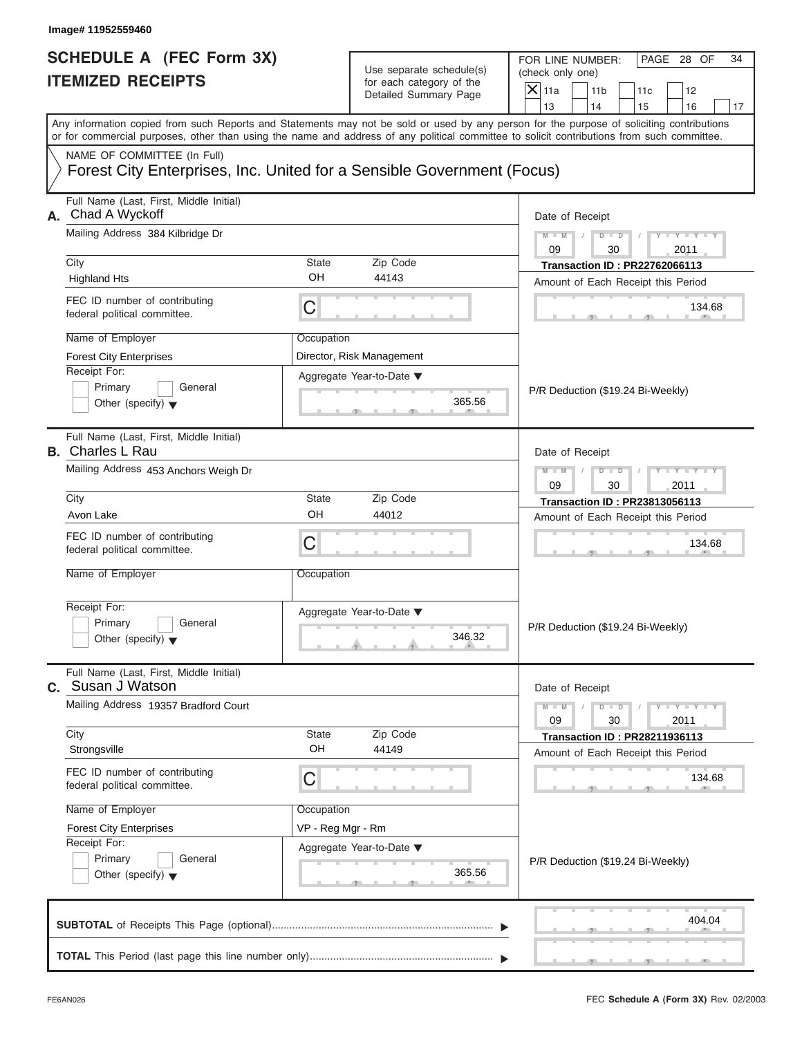| Image# 11952559460                                                                                                               |                                 |                                                                               |                                                                                                                                                                                                                                                                                                                       |  |  |
|----------------------------------------------------------------------------------------------------------------------------------|---------------------------------|-------------------------------------------------------------------------------|-----------------------------------------------------------------------------------------------------------------------------------------------------------------------------------------------------------------------------------------------------------------------------------------------------------------------|--|--|
| <b>SCHEDULE A (FEC Form 3X)</b><br><b>ITEMIZED RECEIPTS</b>                                                                      |                                 | Use separate schedule(s)<br>for each category of the<br>Detailed Summary Page | FOR LINE NUMBER:<br>PAGE 28 OF<br>34<br>(check only one)<br>$\mathsf{X}$ 11a<br>11 <sub>b</sub><br>11c<br>12                                                                                                                                                                                                          |  |  |
|                                                                                                                                  |                                 |                                                                               | 13<br>14<br>15<br>16<br>17<br>Any information copied from such Reports and Statements may not be sold or used by any person for the purpose of soliciting contributions<br>or for commercial purposes, other than using the name and address of any political committee to solicit contributions from such committee. |  |  |
| NAME OF COMMITTEE (In Full)<br>Forest City Enterprises, Inc. United for a Sensible Government (Focus)                            |                                 |                                                                               |                                                                                                                                                                                                                                                                                                                       |  |  |
| Full Name (Last, First, Middle Initial)<br>A. Chad A Wyckoff                                                                     |                                 |                                                                               | Date of Receipt<br>$M - M$<br>$Y - Y - Y$                                                                                                                                                                                                                                                                             |  |  |
| Mailing Address 384 Kilbridge Dr                                                                                                 |                                 |                                                                               | $D$ $\Box$ $D$<br>09<br>30<br>2011                                                                                                                                                                                                                                                                                    |  |  |
| City<br><b>Highland Hts</b>                                                                                                      | State<br>OH                     | Zip Code<br>44143                                                             | <b>Transaction ID: PR22762066113</b><br>Amount of Each Receipt this Period                                                                                                                                                                                                                                            |  |  |
| FEC ID number of contributing<br>federal political committee.                                                                    | C                               |                                                                               | 134.68                                                                                                                                                                                                                                                                                                                |  |  |
| Name of Employer<br><b>Forest City Enterprises</b><br>Receipt For:<br>Primary<br>General<br>Other (specify) $\blacktriangledown$ | Occupation                      | Director, Risk Management<br>Aggregate Year-to-Date ▼<br>365.56               | P/R Deduction (\$19.24 Bi-Weekly)                                                                                                                                                                                                                                                                                     |  |  |
| Full Name (Last, First, Middle Initial)<br><b>B.</b> Charles L Rau<br>Mailing Address 453 Anchors Weigh Dr                       |                                 |                                                                               | Date of Receipt<br>Y T Y T Y T<br>$M - M$<br>$D$ $D$                                                                                                                                                                                                                                                                  |  |  |
| City                                                                                                                             | State                           | Zip Code                                                                      | 09<br>30<br>2011<br><b>Transaction ID: PR23813056113</b>                                                                                                                                                                                                                                                              |  |  |
| Avon Lake                                                                                                                        | OH                              | 44012                                                                         | Amount of Each Receipt this Period                                                                                                                                                                                                                                                                                    |  |  |
| FEC ID number of contributing<br>federal political committee.                                                                    | C                               |                                                                               | 134.68                                                                                                                                                                                                                                                                                                                |  |  |
| Name of Employer                                                                                                                 | Occupation                      |                                                                               |                                                                                                                                                                                                                                                                                                                       |  |  |
| Receipt For:<br>Primary<br>General<br>Other (specify) $\blacktriangledown$                                                       |                                 | Aggregate Year-to-Date ▼<br>346.32                                            | P/R Deduction (\$19.24 Bi-Weekly)                                                                                                                                                                                                                                                                                     |  |  |
| Full Name (Last, First, Middle Initial)<br><b>C.</b> Susan J Watson                                                              |                                 |                                                                               | Date of Receipt                                                                                                                                                                                                                                                                                                       |  |  |
| Mailing Address 19357 Bradford Court                                                                                             |                                 |                                                                               | $M - M$<br>$Y + Y + Y + Y$<br>$D$ $D$<br>09<br>30<br>2011                                                                                                                                                                                                                                                             |  |  |
| City<br>Strongsville                                                                                                             | State<br>OH                     | Zip Code<br>44149                                                             | <b>Transaction ID: PR28211936113</b><br>Amount of Each Receipt this Period                                                                                                                                                                                                                                            |  |  |
| FEC ID number of contributing<br>federal political committee.                                                                    | С                               |                                                                               | 134.68                                                                                                                                                                                                                                                                                                                |  |  |
| Name of Employer<br><b>Forest City Enterprises</b><br>Receipt For:<br>Primary<br>General<br>Other (specify) $\blacktriangledown$ | Occupation<br>VP - Reg Mgr - Rm | Aggregate Year-to-Date ▼<br>365.56                                            | P/R Deduction (\$19.24 Bi-Weekly)                                                                                                                                                                                                                                                                                     |  |  |
|                                                                                                                                  |                                 |                                                                               | 404.04                                                                                                                                                                                                                                                                                                                |  |  |
|                                                                                                                                  |                                 |                                                                               |                                                                                                                                                                                                                                                                                                                       |  |  |

S S S , , .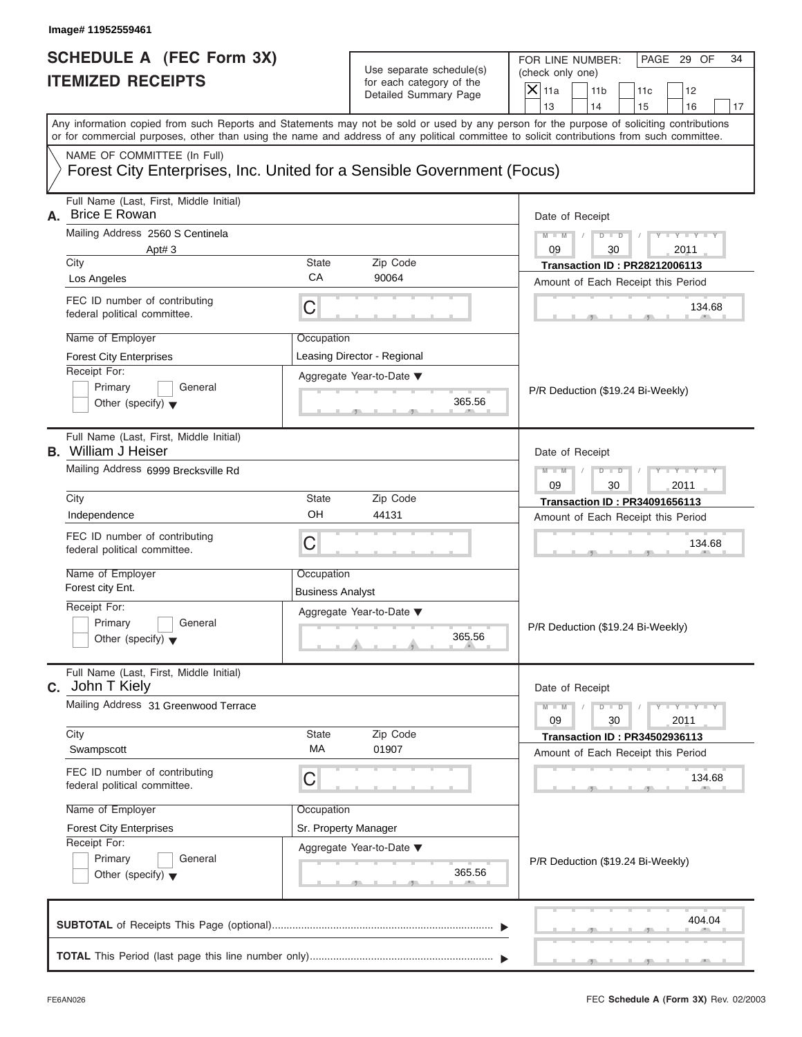| <b>SCHEDULE A (FEC Form 3X)</b><br><b>ITEMIZED RECEIPTS</b>                                                                                |                         | Use separate schedule(s)<br>for each category of the<br>Detailed Summary Page |               | FOR LINE NUMBER:<br>(check only one)<br>11 <sub>b</sub> | 11c                                  | PAGE 29 OF<br>12            | 34 |
|--------------------------------------------------------------------------------------------------------------------------------------------|-------------------------|-------------------------------------------------------------------------------|---------------|---------------------------------------------------------|--------------------------------------|-----------------------------|----|
| Any information copied from such Reports and Statements may not be sold or used by any person for the purpose of soliciting contributions  |                         |                                                                               | 13            | 14                                                      | 15                                   | 16                          | 17 |
| or for commercial purposes, other than using the name and address of any political committee to solicit contributions from such committee. |                         |                                                                               |               |                                                         |                                      |                             |    |
| NAME OF COMMITTEE (In Full)<br>Forest City Enterprises, Inc. United for a Sensible Government (Focus)                                      |                         |                                                                               |               |                                                         |                                      |                             |    |
| Full Name (Last, First, Middle Initial)<br><b>Brice E Rowan</b><br>А.                                                                      |                         |                                                                               |               | Date of Receipt                                         |                                      |                             |    |
| Mailing Address 2560 S Centinela                                                                                                           |                         |                                                                               | $M - M$       | $D$ $D$                                                 |                                      | $Y - Y - Y - Y - Y$         |    |
| Apt#3<br>City                                                                                                                              | <b>State</b>            | Zip Code                                                                      | 09            | 30                                                      | <b>Transaction ID: PR28212006113</b> | 2011                        |    |
| Los Angeles                                                                                                                                | CA                      | 90064                                                                         |               |                                                         | Amount of Each Receipt this Period   |                             |    |
| FEC ID number of contributing<br>federal political committee.                                                                              | C                       |                                                                               |               |                                                         |                                      | 134.68                      |    |
| Name of Employer                                                                                                                           | Occupation              |                                                                               |               |                                                         |                                      |                             |    |
| <b>Forest City Enterprises</b>                                                                                                             |                         | Leasing Director - Regional                                                   |               |                                                         |                                      |                             |    |
| Receipt For:<br>Primary<br>General<br>Other (specify) $\blacktriangledown$                                                                 |                         | Aggregate Year-to-Date ▼<br>365.56                                            |               |                                                         | P/R Deduction (\$19.24 Bi-Weekly)    |                             |    |
| Full Name (Last, First, Middle Initial)<br><b>B.</b> William J Heiser                                                                      |                         |                                                                               |               | Date of Receipt                                         |                                      |                             |    |
| Mailing Address 6999 Brecksville Rd                                                                                                        |                         |                                                                               | $M - M$<br>09 | $D$ $\Box$ $D$<br>30                                    |                                      | $Y = Y = Y$<br>2011         |    |
| City                                                                                                                                       | <b>State</b>            | Zip Code                                                                      |               |                                                         | <b>Transaction ID: PR34091656113</b> |                             |    |
| Independence                                                                                                                               | OH                      | 44131                                                                         |               |                                                         | Amount of Each Receipt this Period   |                             |    |
| FEC ID number of contributing<br>federal political committee.                                                                              | C                       |                                                                               |               |                                                         |                                      | 134.68                      |    |
| Name of Employer<br>Forest city Ent.                                                                                                       | Occupation              |                                                                               |               |                                                         |                                      |                             |    |
| Receipt For:                                                                                                                               | <b>Business Analyst</b> |                                                                               |               |                                                         |                                      |                             |    |
| Primary<br>General<br>Other (specify) $\blacktriangledown$                                                                                 |                         | Aggregate Year-to-Date ▼<br>365.56                                            |               |                                                         | P/R Deduction (\$19.24 Bi-Weekly)    |                             |    |
| Full Name (Last, First, Middle Initial)<br>C. John T Kiely                                                                                 |                         |                                                                               |               | Date of Receipt                                         |                                      |                             |    |
| Mailing Address 31 Greenwood Terrace                                                                                                       |                         |                                                                               | $M - M$<br>09 | $D$ $\Box$ $D$<br>30                                    |                                      | $Y - Y - Y - Y - I$<br>2011 |    |
| City<br>Swampscott                                                                                                                         | State<br>MA             | Zip Code<br>01907                                                             |               |                                                         | <b>Transaction ID: PR34502936113</b> |                             |    |
| FEC ID number of contributing<br>federal political committee.                                                                              | С                       |                                                                               |               |                                                         | Amount of Each Receipt this Period   | 134.68                      |    |
| Name of Employer                                                                                                                           | Occupation              |                                                                               |               |                                                         |                                      |                             |    |
| <b>Forest City Enterprises</b>                                                                                                             | Sr. Property Manager    |                                                                               |               |                                                         |                                      |                             |    |
| Receipt For:                                                                                                                               |                         | Aggregate Year-to-Date ▼                                                      |               |                                                         |                                      |                             |    |
| Primary<br>General<br>Other (specify) $\blacktriangledown$                                                                                 |                         | 365.56                                                                        |               |                                                         | P/R Deduction (\$19.24 Bi-Weekly)    |                             |    |
|                                                                                                                                            |                         |                                                                               |               |                                                         |                                      | 404.04                      |    |

S S S , , .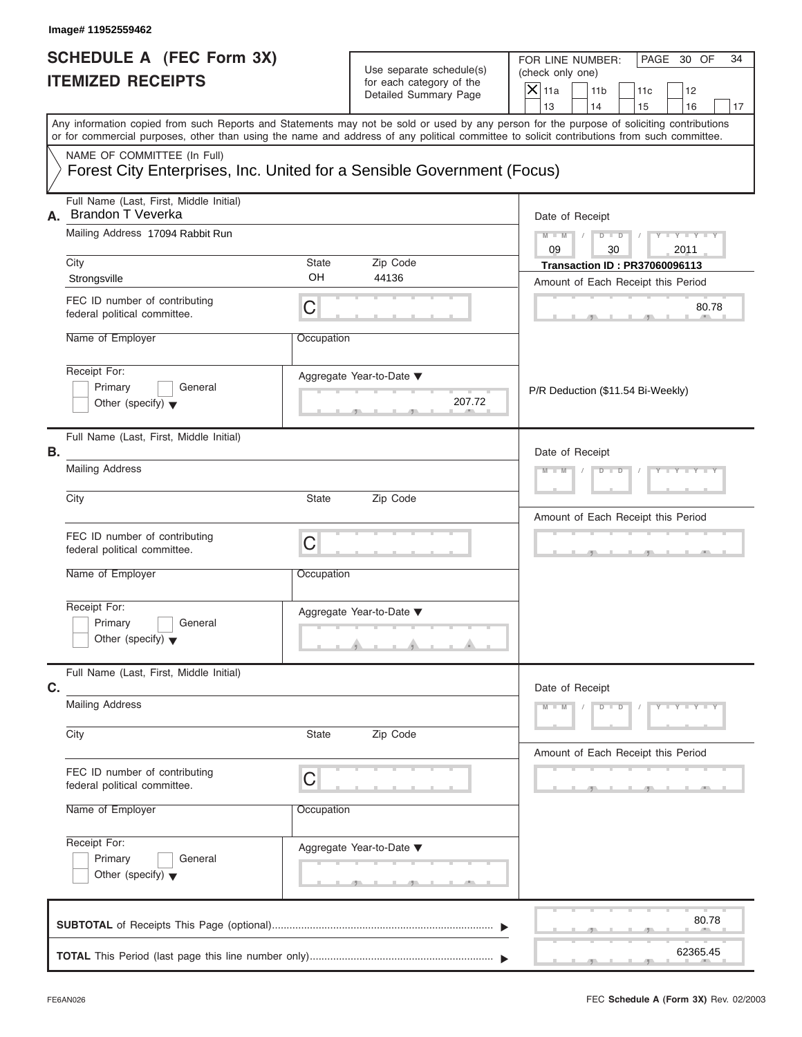|                                                                                                                                                   | Image# 11952559462                                                                                                                         |                 |                                                                               |                                                                                                                                            |
|---------------------------------------------------------------------------------------------------------------------------------------------------|--------------------------------------------------------------------------------------------------------------------------------------------|-----------------|-------------------------------------------------------------------------------|--------------------------------------------------------------------------------------------------------------------------------------------|
| <b>SCHEDULE A (FEC Form 3X)</b><br><b>ITEMIZED RECEIPTS</b>                                                                                       |                                                                                                                                            |                 | Use separate schedule(s)<br>for each category of the<br>Detailed Summary Page | FOR LINE NUMBER:<br>PAGE 30 OF<br>34<br>(check only one)<br>$\mathsf{X}$ 11a<br>11 <sub>b</sub><br>11c<br>12<br>13<br>14<br>15<br>16<br>17 |
|                                                                                                                                                   | or for commercial purposes, other than using the name and address of any political committee to solicit contributions from such committee. |                 |                                                                               | Any information copied from such Reports and Statements may not be sold or used by any person for the purpose of soliciting contributions  |
|                                                                                                                                                   | NAME OF COMMITTEE (In Full)<br>Forest City Enterprises, Inc. United for a Sensible Government (Focus)                                      |                 |                                                                               |                                                                                                                                            |
| А.                                                                                                                                                | Full Name (Last, First, Middle Initial)<br>Brandon T Veverka<br>Mailing Address 17094 Rabbit Run                                           |                 |                                                                               | Date of Receipt<br>$Y = Y = Y$<br>$M - M$<br>$D$ $D$<br>Y L                                                                                |
|                                                                                                                                                   | City                                                                                                                                       | State<br>OH     | Zip Code<br>44136                                                             | 09<br>30<br>2011<br><b>Transaction ID: PR37060096113</b>                                                                                   |
|                                                                                                                                                   | Strongsville<br>FEC ID number of contributing<br>federal political committee.                                                              | C               |                                                                               | Amount of Each Receipt this Period<br>80.78                                                                                                |
|                                                                                                                                                   | Name of Employer<br>Receipt For:<br>Primary<br>General<br>Other (specify) $\blacktriangledown$                                             | Occupation      | Aggregate Year-to-Date ▼<br>207.72                                            | P/R Deduction (\$11.54 Bi-Weekly)                                                                                                          |
| В.                                                                                                                                                | Full Name (Last, First, Middle Initial)<br><b>Mailing Address</b><br>City                                                                  | State           | Zip Code                                                                      | Date of Receipt<br>$Y - Y - Y - Y - Y$<br>$M - M$<br>$D$ $D$                                                                               |
|                                                                                                                                                   | FEC ID number of contributing<br>federal political committee.<br>Name of Employer                                                          | C<br>Occupation |                                                                               | Amount of Each Receipt this Period<br>$-9$                                                                                                 |
|                                                                                                                                                   | Receipt For:<br>Primary<br>General<br>Other (specify) $\blacktriangledown$                                                                 |                 | Aggregate Year-to-Date ▼                                                      |                                                                                                                                            |
| C.                                                                                                                                                | Full Name (Last, First, Middle Initial)                                                                                                    |                 |                                                                               | Date of Receipt                                                                                                                            |
| <b>Mailing Address</b><br>City<br>State<br>FEC ID number of contributing<br>С<br>federal political committee.<br>Name of Employer<br>Receipt For: |                                                                                                                                            |                 | Zip Code                                                                      | $M - M$<br>$D$ $\Box$ $D$<br>$Y - Y - Y - Y - Y$                                                                                           |
|                                                                                                                                                   |                                                                                                                                            |                 |                                                                               | Amount of Each Receipt this Period                                                                                                         |
|                                                                                                                                                   |                                                                                                                                            | Occupation      | Aggregate Year-to-Date ▼                                                      |                                                                                                                                            |
|                                                                                                                                                   | Primary<br>General<br>Other (specify) $\blacktriangledown$                                                                                 |                 | <u>.</u><br>$\overline{1}$                                                    |                                                                                                                                            |
|                                                                                                                                                   |                                                                                                                                            |                 |                                                                               | 80.78                                                                                                                                      |
|                                                                                                                                                   |                                                                                                                                            |                 |                                                                               | 62365.45                                                                                                                                   |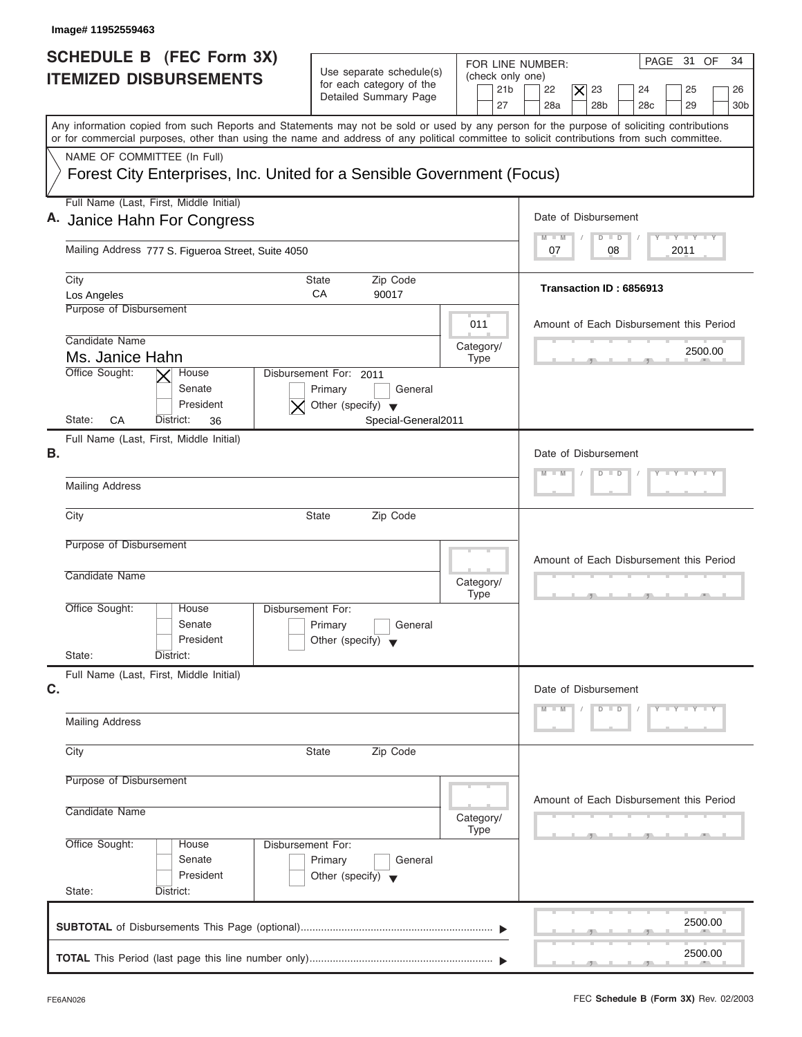| Image# 11952559463                                                                                                                                                                                                                                                                      |                                                                                                             |                                                                      |                                                                                                                                                 |
|-----------------------------------------------------------------------------------------------------------------------------------------------------------------------------------------------------------------------------------------------------------------------------------------|-------------------------------------------------------------------------------------------------------------|----------------------------------------------------------------------|-------------------------------------------------------------------------------------------------------------------------------------------------|
| SCHEDULE B (FEC Form 3X)<br><b>ITEMIZED DISBURSEMENTS</b>                                                                                                                                                                                                                               | Use separate schedule(s)<br>for each category of the<br>Detailed Summary Page                               | FOR LINE NUMBER:<br>(check only one)<br>21 <sub>b</sub><br>27        | PAGE 31 OF<br>34<br>22<br>23<br>$\overline{\mathsf{x}}$<br>24<br>25<br>26<br>28a<br>28 <sub>b</sub><br>29<br>28 <sub>c</sub><br>30 <sub>b</sub> |
| Any information copied from such Reports and Statements may not be sold or used by any person for the purpose of soliciting contributions<br>or for commercial purposes, other than using the name and address of any political committee to solicit contributions from such committee. |                                                                                                             |                                                                      |                                                                                                                                                 |
| NAME OF COMMITTEE (In Full)<br>Forest City Enterprises, Inc. United for a Sensible Government (Focus)                                                                                                                                                                                   |                                                                                                             |                                                                      |                                                                                                                                                 |
| Full Name (Last, First, Middle Initial)                                                                                                                                                                                                                                                 |                                                                                                             |                                                                      |                                                                                                                                                 |
| A. Janice Hahn For Congress                                                                                                                                                                                                                                                             |                                                                                                             |                                                                      | Date of Disbursement                                                                                                                            |
| Mailing Address 777 S. Figueroa Street, Suite 4050                                                                                                                                                                                                                                      |                                                                                                             |                                                                      | $T - Y = T - Y = T - Y$<br>$\blacksquare$<br>$D$ $D$<br>2011<br>07<br>08                                                                        |
| City<br>Los Angeles                                                                                                                                                                                                                                                                     | Zip Code<br>State<br>CA<br>90017                                                                            |                                                                      | Transaction ID: 6856913                                                                                                                         |
| Purpose of Disbursement                                                                                                                                                                                                                                                                 |                                                                                                             | 011                                                                  | Amount of Each Disbursement this Period                                                                                                         |
| Candidate Name<br>Ms. Janice Hahn                                                                                                                                                                                                                                                       |                                                                                                             | Category/<br><b>Type</b>                                             | 2500.00                                                                                                                                         |
| Office Sought:<br>House<br>Senate<br>President<br>State:<br>СA<br>District:<br>36                                                                                                                                                                                                       | Disbursement For: 2011<br>General<br>Primary<br>Other (specify) $\blacktriangledown$<br>Special-General2011 |                                                                      |                                                                                                                                                 |
| Full Name (Last, First, Middle Initial)<br>В.                                                                                                                                                                                                                                           |                                                                                                             |                                                                      | Date of Disbursement                                                                                                                            |
| <b>Mailing Address</b>                                                                                                                                                                                                                                                                  |                                                                                                             |                                                                      | $Y - Y - Y - Y$<br>$D$ $D$<br>W                                                                                                                 |
| City                                                                                                                                                                                                                                                                                    | <b>State</b><br>Zip Code                                                                                    |                                                                      |                                                                                                                                                 |
| Purpose of Disbursement                                                                                                                                                                                                                                                                 |                                                                                                             |                                                                      | Amount of Each Disbursement this Period                                                                                                         |
| Candidate Name                                                                                                                                                                                                                                                                          |                                                                                                             | Category/<br><b>Type</b>                                             |                                                                                                                                                 |
| Office Sought:<br>House<br>Disbursement For:<br>Senate<br>President<br>State:<br>District:                                                                                                                                                                                              | Primary<br>General<br>Other (specify)                                                                       |                                                                      |                                                                                                                                                 |
| Full Name (Last, First, Middle Initial)                                                                                                                                                                                                                                                 |                                                                                                             |                                                                      |                                                                                                                                                 |
| C.                                                                                                                                                                                                                                                                                      |                                                                                                             | Date of Disbursement<br>$Y - Y - Y - Y - Y$<br>M<br>$- M$<br>$D$ $D$ |                                                                                                                                                 |
| <b>Mailing Address</b>                                                                                                                                                                                                                                                                  |                                                                                                             |                                                                      |                                                                                                                                                 |
| City                                                                                                                                                                                                                                                                                    | Zip Code<br><b>State</b>                                                                                    |                                                                      |                                                                                                                                                 |
| Purpose of Disbursement<br>Candidate Name                                                                                                                                                                                                                                               |                                                                                                             |                                                                      | Amount of Each Disbursement this Period                                                                                                         |
|                                                                                                                                                                                                                                                                                         |                                                                                                             | Category/<br><b>Type</b>                                             |                                                                                                                                                 |
| Office Sought:<br>Disbursement For:<br>House<br>Senate<br>President                                                                                                                                                                                                                     | Primary<br>General<br>Other (specify) $\blacktriangledown$                                                  |                                                                      |                                                                                                                                                 |
| State:<br>District:                                                                                                                                                                                                                                                                     |                                                                                                             |                                                                      |                                                                                                                                                 |
|                                                                                                                                                                                                                                                                                         |                                                                                                             |                                                                      | 2500.00                                                                                                                                         |
|                                                                                                                                                                                                                                                                                         |                                                                                                             |                                                                      | 2500.00                                                                                                                                         |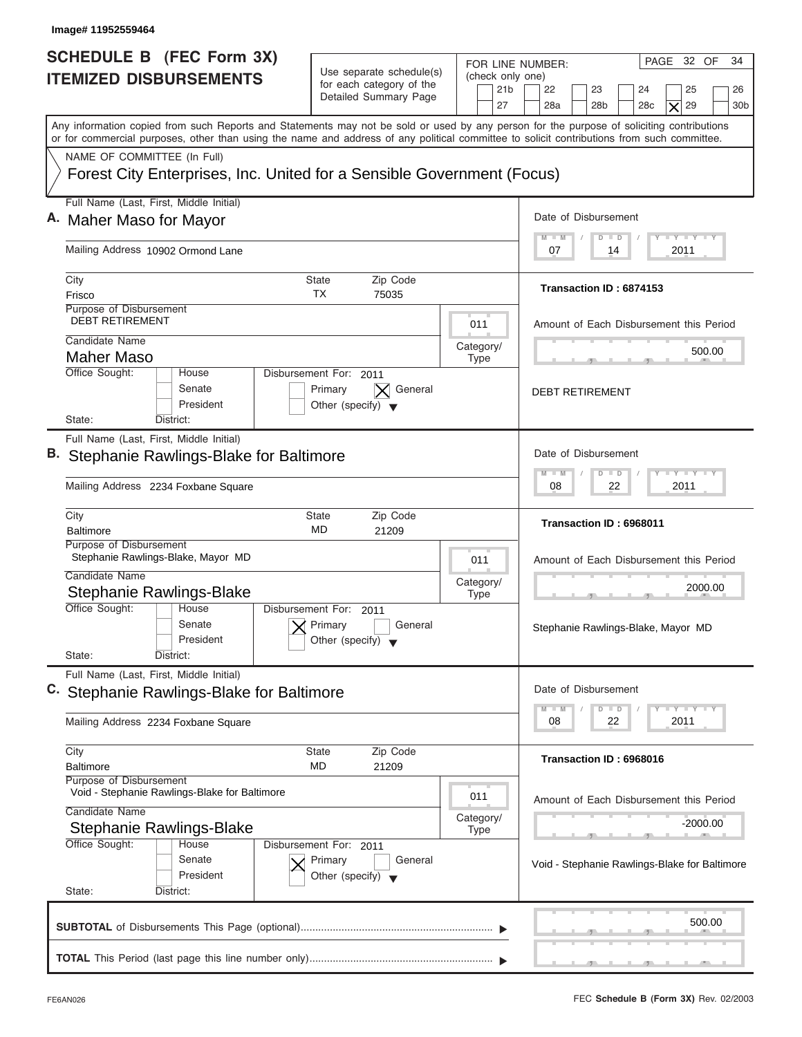| Image# 11952559464                                                                                                                         |                                                                                      |                                                                                                                                                                                       |  |  |
|--------------------------------------------------------------------------------------------------------------------------------------------|--------------------------------------------------------------------------------------|---------------------------------------------------------------------------------------------------------------------------------------------------------------------------------------|--|--|
| <b>SCHEDULE B (FEC Form 3X)</b><br><b>ITEMIZED DISBURSEMENTS</b>                                                                           | Use separate schedule(s)<br>for each category of the<br>Detailed Summary Page        | PAGE 32 OF<br>34<br>FOR LINE NUMBER:<br>(check only one)<br>21 <sub>b</sub><br>22<br>23<br>25<br>24<br>26<br>27<br>28a<br>28 <sub>b</sub><br>28c<br>29<br>30 <sub>b</sub><br>$\times$ |  |  |
| or for commercial purposes, other than using the name and address of any political committee to solicit contributions from such committee. |                                                                                      | Any information copied from such Reports and Statements may not be sold or used by any person for the purpose of soliciting contributions                                             |  |  |
| NAME OF COMMITTEE (In Full)<br>Forest City Enterprises, Inc. United for a Sensible Government (Focus)                                      |                                                                                      |                                                                                                                                                                                       |  |  |
| Full Name (Last, First, Middle Initial)<br>A. Maher Maso for Mayor                                                                         |                                                                                      | Date of Disbursement                                                                                                                                                                  |  |  |
| Mailing Address 10902 Ormond Lane                                                                                                          |                                                                                      |                                                                                                                                                                                       |  |  |
| City<br>Frisco                                                                                                                             | Zip Code<br>State<br>ТX<br>75035                                                     | Transaction ID: 6874153                                                                                                                                                               |  |  |
| Purpose of Disbursement<br><b>DEBT RETIREMENT</b><br>Candidate Name                                                                        |                                                                                      | 011<br>Amount of Each Disbursement this Period                                                                                                                                        |  |  |
| <b>Maher Maso</b><br>Office Sought:<br>House                                                                                               | Disbursement For: 2011                                                               | Category/<br>500.00<br><b>Type</b>                                                                                                                                                    |  |  |
| Senate<br>President<br>State:<br>District:                                                                                                 | Primary<br>General<br>Other (specify) $\blacktriangledown$                           | <b>DEBT RETIREMENT</b>                                                                                                                                                                |  |  |
| Full Name (Last, First, Middle Initial)<br>B. Stephanie Rawlings-Blake for Baltimore                                                       |                                                                                      | Date of Disbursement                                                                                                                                                                  |  |  |
| Mailing Address 2234 Foxbane Square                                                                                                        | $-1$ $-1$ $-1$ $-1$ $-1$<br>$M - M$<br>$\Box$<br>D<br>2011<br>08<br>22               |                                                                                                                                                                                       |  |  |
| City<br><b>Baltimore</b>                                                                                                                   | Zip Code<br>State<br>MD<br>21209                                                     | Transaction ID: 6968011                                                                                                                                                               |  |  |
| Purpose of Disbursement<br>Stephanie Rawlings-Blake, Mayor MD<br>Candidate Name<br>Stephanie Rawlings-Blake                                |                                                                                      | 011<br>Amount of Each Disbursement this Period<br>Category/<br>2000.00<br><b>Type</b><br>- -                                                                                          |  |  |
| Office Sought:<br>House<br>Senate<br>President<br>State:<br>District:                                                                      | Disbursement For:<br>2011<br>Primary<br>General<br>Other (specify)                   | Stephanie Rawlings-Blake, Mayor MD                                                                                                                                                    |  |  |
| Full Name (Last, First, Middle Initial)<br>C. Stephanie Rawlings-Blake for Baltimore                                                       |                                                                                      | Date of Disbursement<br>$\Box$ $\Upsilon$ $\Box$ $\Upsilon$ $\Upsilon$ $\Upsilon$<br>$M - M$<br>D<br>$\blacksquare$                                                                   |  |  |
| Mailing Address 2234 Foxbane Square<br>City                                                                                                | Zip Code<br>State                                                                    | 08<br>22<br>2011                                                                                                                                                                      |  |  |
| <b>Baltimore</b><br>Purpose of Disbursement                                                                                                | MD<br>21209                                                                          | Transaction ID: 6968016                                                                                                                                                               |  |  |
| Void - Stephanie Rawlings-Blake for Baltimore<br>Candidate Name<br>Stephanie Rawlings-Blake                                                |                                                                                      | 011<br>Amount of Each Disbursement this Period<br>Category/<br>-2000.00<br><b>Type</b>                                                                                                |  |  |
| Office Sought:<br>House<br>Senate<br>President<br>State:<br>District:                                                                      | Disbursement For: 2011<br>Primary<br>General<br>Other (specify) $\blacktriangledown$ | Void - Stephanie Rawlings-Blake for Baltimore                                                                                                                                         |  |  |
|                                                                                                                                            |                                                                                      | 500.00                                                                                                                                                                                |  |  |
|                                                                                                                                            |                                                                                      |                                                                                                                                                                                       |  |  |

I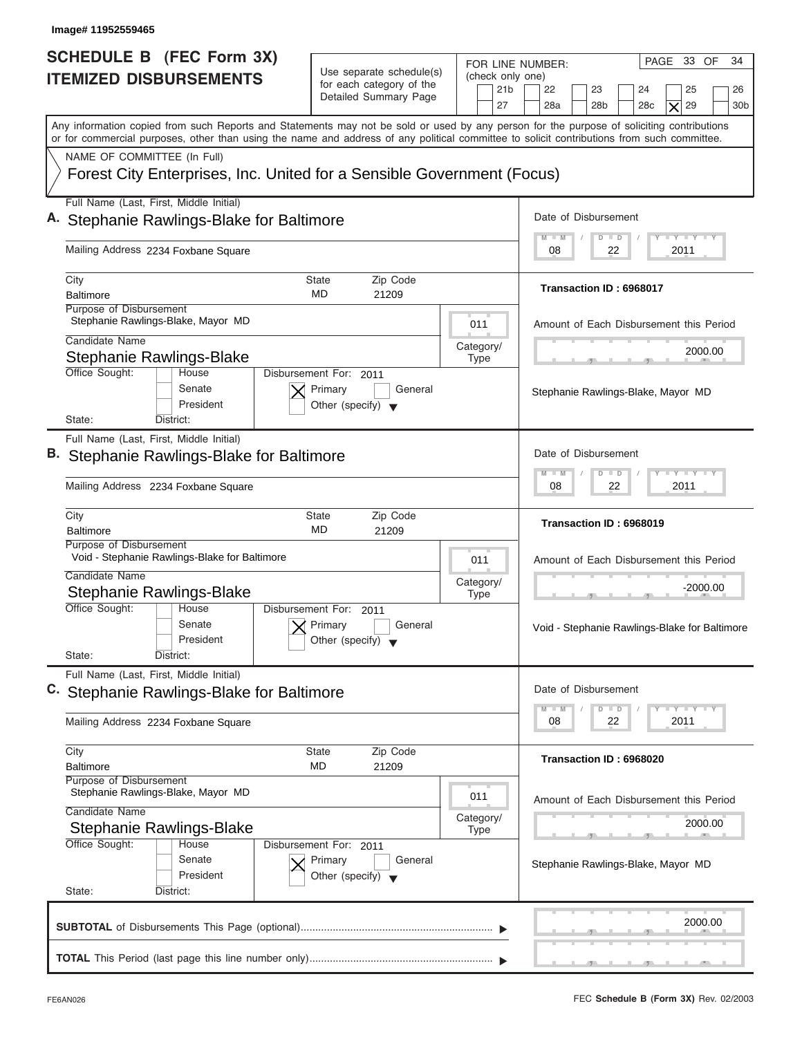| Image# 11952559465                                                                                                                                                                                                                                                                      |                                                                                      |                                                               |                                                                                                                      |
|-----------------------------------------------------------------------------------------------------------------------------------------------------------------------------------------------------------------------------------------------------------------------------------------|--------------------------------------------------------------------------------------|---------------------------------------------------------------|----------------------------------------------------------------------------------------------------------------------|
| <b>SCHEDULE B (FEC Form 3X)</b><br><b>ITEMIZED DISBURSEMENTS</b>                                                                                                                                                                                                                        | Use separate schedule(s)<br>for each category of the<br>Detailed Summary Page        | FOR LINE NUMBER:<br>(check only one)<br>21 <sub>b</sub><br>27 | 34<br>PAGE 33 OF<br>22<br>23<br>25<br>24<br>26<br>28a<br>28 <sub>b</sub><br>28c<br>29<br>30 <sub>b</sub><br>$\times$ |
| Any information copied from such Reports and Statements may not be sold or used by any person for the purpose of soliciting contributions<br>or for commercial purposes, other than using the name and address of any political committee to solicit contributions from such committee. |                                                                                      |                                                               |                                                                                                                      |
| NAME OF COMMITTEE (In Full)<br>Forest City Enterprises, Inc. United for a Sensible Government (Focus)                                                                                                                                                                                   |                                                                                      |                                                               |                                                                                                                      |
| Full Name (Last, First, Middle Initial)                                                                                                                                                                                                                                                 |                                                                                      |                                                               |                                                                                                                      |
| A. Stephanie Rawlings-Blake for Baltimore                                                                                                                                                                                                                                               |                                                                                      |                                                               | Date of Disbursement<br><b>LY LY LY</b><br>$\Box$<br>$M \equiv M$<br>D                                               |
| Mailing Address 2234 Foxbane Square                                                                                                                                                                                                                                                     |                                                                                      |                                                               | 2011<br>08<br>22                                                                                                     |
| City<br><b>Baltimore</b>                                                                                                                                                                                                                                                                | Zip Code<br>State<br>MD<br>21209                                                     |                                                               | Transaction ID: 6968017                                                                                              |
| Purpose of Disbursement<br>Stephanie Rawlings-Blake, Mayor MD                                                                                                                                                                                                                           |                                                                                      | 011                                                           | Amount of Each Disbursement this Period                                                                              |
| Candidate Name<br><b>Stephanie Rawlings-Blake</b>                                                                                                                                                                                                                                       |                                                                                      | Category/                                                     | 2000.00                                                                                                              |
| Office Sought:<br>House<br>Senate<br>President<br>State:<br>District:                                                                                                                                                                                                                   | Disbursement For: 2011<br>Primary<br>General<br>Other (specify) $\blacktriangledown$ | <b>Type</b>                                                   | Stephanie Rawlings-Blake, Mayor MD                                                                                   |
| Full Name (Last, First, Middle Initial)                                                                                                                                                                                                                                                 |                                                                                      |                                                               |                                                                                                                      |
| B. Stephanie Rawlings-Blake for Baltimore                                                                                                                                                                                                                                               |                                                                                      |                                                               | Date of Disbursement                                                                                                 |
| Mailing Address 2234 Foxbane Square                                                                                                                                                                                                                                                     |                                                                                      |                                                               |                                                                                                                      |
| City<br><b>Baltimore</b>                                                                                                                                                                                                                                                                | Zip Code<br>State<br>MD<br>21209                                                     |                                                               | Transaction ID: 6968019                                                                                              |
| Purpose of Disbursement<br>Void - Stephanie Rawlings-Blake for Baltimore                                                                                                                                                                                                                |                                                                                      | 011                                                           | Amount of Each Disbursement this Period                                                                              |
| Candidate Name<br>Stephanie Rawlings-Blake                                                                                                                                                                                                                                              |                                                                                      | Category/<br><b>Type</b>                                      | -2000.00<br>- 51                                                                                                     |
| Office Sought:<br>House<br>Senate<br>President<br>State:<br>District:                                                                                                                                                                                                                   | Disbursement For:<br>2011<br>Primary<br>General<br>Other (specify)                   |                                                               | Void - Stephanie Rawlings-Blake for Baltimore                                                                        |
| Full Name (Last, First, Middle Initial)                                                                                                                                                                                                                                                 |                                                                                      |                                                               |                                                                                                                      |
| C. Stephanie Rawlings-Blake for Baltimore                                                                                                                                                                                                                                               |                                                                                      |                                                               | Date of Disbursement                                                                                                 |
| Mailing Address 2234 Foxbane Square                                                                                                                                                                                                                                                     |                                                                                      |                                                               | $\Box$ $\Upsilon$ $\Box$ $\Upsilon$ $\Upsilon$ $\Upsilon$<br>$M - M$<br>D<br>$\blacksquare$<br>08<br>22<br>2011      |
| City<br><b>Baltimore</b>                                                                                                                                                                                                                                                                | Zip Code<br>State<br>MD<br>21209                                                     |                                                               | Transaction ID: 6968020                                                                                              |
| Purpose of Disbursement<br>Stephanie Rawlings-Blake, Mayor MD                                                                                                                                                                                                                           |                                                                                      | 011                                                           | Amount of Each Disbursement this Period                                                                              |
|                                                                                                                                                                                                                                                                                         |                                                                                      |                                                               |                                                                                                                      |
| Candidate Name                                                                                                                                                                                                                                                                          |                                                                                      | Category/                                                     | 2000.00                                                                                                              |
| Stephanie Rawlings-Blake<br>Office Sought:<br>House<br>Senate<br>President                                                                                                                                                                                                              | Disbursement For: 2011<br>Primary<br>General<br>Other (specify) $\blacktriangledown$ | <b>Type</b>                                                   | Stephanie Rawlings-Blake, Mayor MD                                                                                   |
| State:<br>District:                                                                                                                                                                                                                                                                     |                                                                                      |                                                               |                                                                                                                      |